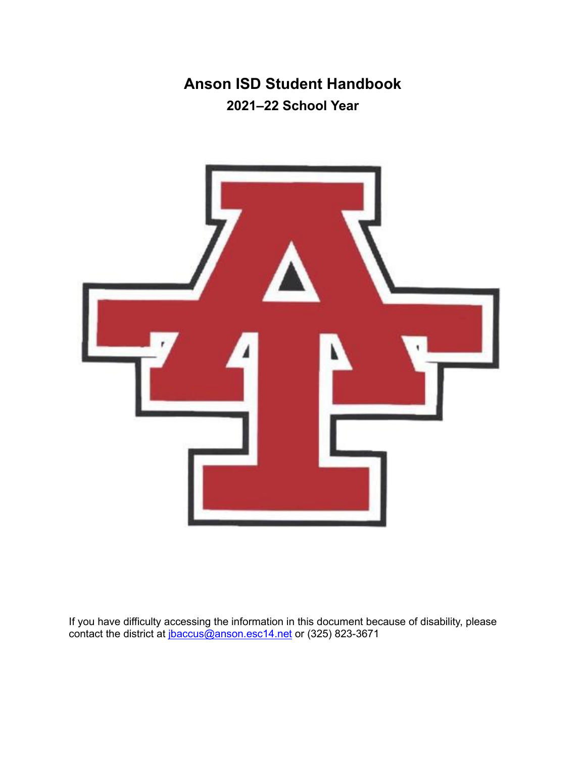# **Anson ISD Student Handbook 2021–22 School Year**

<span id="page-0-0"></span>

If you have difficulty accessing the information in this document because of disability, please contact the district at <u>jbaccus@anson.esc14.net</u> or (325) 823-3671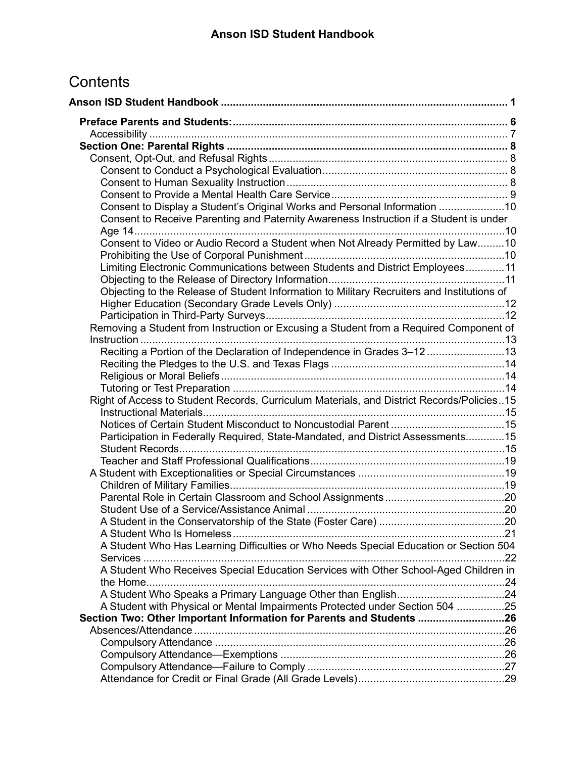# **Contents**

| Consent to Display a Student's Original Works and Personal Information 10                  |     |
|--------------------------------------------------------------------------------------------|-----|
| Consent to Receive Parenting and Paternity Awareness Instruction if a Student is under     |     |
|                                                                                            |     |
| Consent to Video or Audio Record a Student when Not Already Permitted by Law10             |     |
|                                                                                            |     |
| Limiting Electronic Communications between Students and District Employees 11              |     |
|                                                                                            |     |
| Objecting to the Release of Student Information to Military Recruiters and Institutions of |     |
|                                                                                            |     |
|                                                                                            |     |
| Removing a Student from Instruction or Excusing a Student from a Required Component of     |     |
| Reciting a Portion of the Declaration of Independence in Grades 3-1213                     |     |
|                                                                                            |     |
|                                                                                            |     |
|                                                                                            |     |
| Right of Access to Student Records, Curriculum Materials, and District Records/Policies15  |     |
|                                                                                            |     |
|                                                                                            |     |
| Participation in Federally Required, State-Mandated, and District Assessments15            |     |
|                                                                                            |     |
|                                                                                            |     |
|                                                                                            |     |
|                                                                                            |     |
|                                                                                            |     |
|                                                                                            |     |
|                                                                                            |     |
| A Student Who Has Learning Difficulties or Who Needs Special Education or Section 504      |     |
|                                                                                            | .22 |
| A Student Who Receives Special Education Services with Other School-Aged Children in       |     |
|                                                                                            |     |
|                                                                                            |     |
| A Student with Physical or Mental Impairments Protected under Section 504 25               |     |
| Section Two: Other Important Information for Parents and Students 26                       |     |
|                                                                                            |     |
|                                                                                            |     |
|                                                                                            |     |
|                                                                                            |     |
|                                                                                            |     |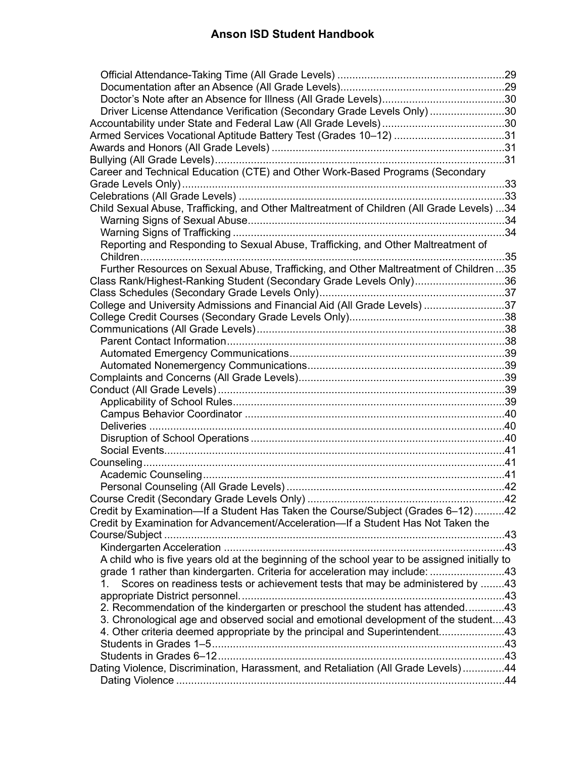| Driver License Attendance Verification (Secondary Grade Levels Only) 30                         |
|-------------------------------------------------------------------------------------------------|
|                                                                                                 |
| Armed Services Vocational Aptitude Battery Test (Grades 10-12) 31                               |
|                                                                                                 |
|                                                                                                 |
| Career and Technical Education (CTE) and Other Work-Based Programs (Secondary                   |
|                                                                                                 |
|                                                                                                 |
| Child Sexual Abuse, Trafficking, and Other Maltreatment of Children (All Grade Levels) 34       |
|                                                                                                 |
|                                                                                                 |
| Reporting and Responding to Sexual Abuse, Trafficking, and Other Maltreatment of                |
| 35                                                                                              |
| Further Resources on Sexual Abuse, Trafficking, and Other Maltreatment of Children35            |
| Class Rank/Highest-Ranking Student (Secondary Grade Levels Only)36                              |
|                                                                                                 |
| College and University Admissions and Financial Aid (All Grade Levels) 37                       |
|                                                                                                 |
|                                                                                                 |
|                                                                                                 |
|                                                                                                 |
|                                                                                                 |
|                                                                                                 |
|                                                                                                 |
|                                                                                                 |
|                                                                                                 |
|                                                                                                 |
|                                                                                                 |
|                                                                                                 |
|                                                                                                 |
|                                                                                                 |
|                                                                                                 |
|                                                                                                 |
| Credit by Examination-If a Student Has Taken the Course/Subject (Grades 6-12)42                 |
| Credit by Examination for Advancement/Acceleration-If a Student Has Not Taken the               |
|                                                                                                 |
|                                                                                                 |
| A child who is five years old at the beginning of the school year to be assigned initially to   |
| grade 1 rather than kindergarten. Criteria for acceleration may include: 43                     |
| Scores on readiness tests or achievement tests that may be administered by 43<br>1 <sup>1</sup> |
|                                                                                                 |
| 2. Recommendation of the kindergarten or preschool the student has attended43                   |
| 3. Chronological age and observed social and emotional development of the student43             |
| 4. Other criteria deemed appropriate by the principal and Superintendent43                      |
|                                                                                                 |
|                                                                                                 |
| Dating Violence, Discrimination, Harassment, and Retaliation (All Grade Levels)44               |
|                                                                                                 |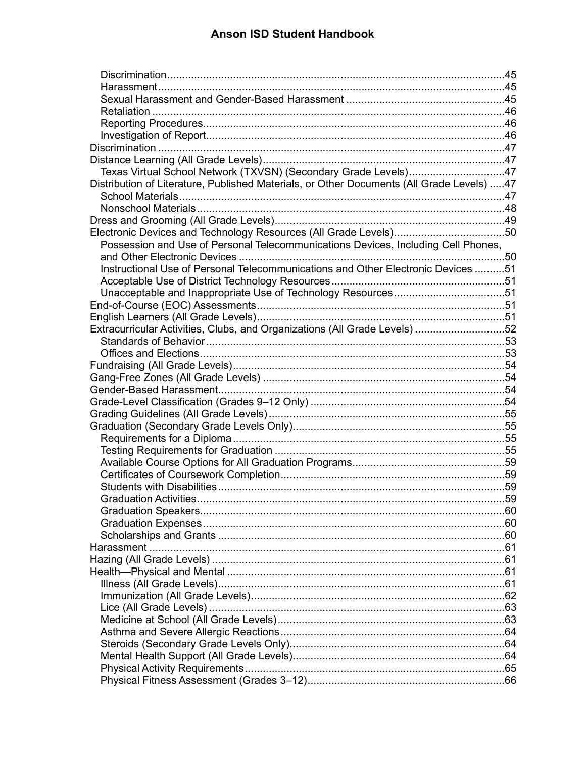| Texas Virtual School Network (TXVSN) (Secondary Grade Levels)47<br>Distribution of Literature, Published Materials, or Other Documents (All Grade Levels) 47<br>Possession and Use of Personal Telecommunications Devices, Including Cell Phones,<br>Instructional Use of Personal Telecommunications and Other Electronic Devices 51<br>Unacceptable and Inappropriate Use of Technology Resources51<br>Extracurricular Activities, Clubs, and Organizations (All Grade Levels) 52 |  |
|-------------------------------------------------------------------------------------------------------------------------------------------------------------------------------------------------------------------------------------------------------------------------------------------------------------------------------------------------------------------------------------------------------------------------------------------------------------------------------------|--|
|                                                                                                                                                                                                                                                                                                                                                                                                                                                                                     |  |
|                                                                                                                                                                                                                                                                                                                                                                                                                                                                                     |  |
|                                                                                                                                                                                                                                                                                                                                                                                                                                                                                     |  |
|                                                                                                                                                                                                                                                                                                                                                                                                                                                                                     |  |
|                                                                                                                                                                                                                                                                                                                                                                                                                                                                                     |  |
|                                                                                                                                                                                                                                                                                                                                                                                                                                                                                     |  |
|                                                                                                                                                                                                                                                                                                                                                                                                                                                                                     |  |
|                                                                                                                                                                                                                                                                                                                                                                                                                                                                                     |  |
|                                                                                                                                                                                                                                                                                                                                                                                                                                                                                     |  |
|                                                                                                                                                                                                                                                                                                                                                                                                                                                                                     |  |
|                                                                                                                                                                                                                                                                                                                                                                                                                                                                                     |  |
|                                                                                                                                                                                                                                                                                                                                                                                                                                                                                     |  |
|                                                                                                                                                                                                                                                                                                                                                                                                                                                                                     |  |
|                                                                                                                                                                                                                                                                                                                                                                                                                                                                                     |  |
|                                                                                                                                                                                                                                                                                                                                                                                                                                                                                     |  |
|                                                                                                                                                                                                                                                                                                                                                                                                                                                                                     |  |
|                                                                                                                                                                                                                                                                                                                                                                                                                                                                                     |  |
|                                                                                                                                                                                                                                                                                                                                                                                                                                                                                     |  |
|                                                                                                                                                                                                                                                                                                                                                                                                                                                                                     |  |
|                                                                                                                                                                                                                                                                                                                                                                                                                                                                                     |  |
|                                                                                                                                                                                                                                                                                                                                                                                                                                                                                     |  |
|                                                                                                                                                                                                                                                                                                                                                                                                                                                                                     |  |
|                                                                                                                                                                                                                                                                                                                                                                                                                                                                                     |  |
|                                                                                                                                                                                                                                                                                                                                                                                                                                                                                     |  |
|                                                                                                                                                                                                                                                                                                                                                                                                                                                                                     |  |
|                                                                                                                                                                                                                                                                                                                                                                                                                                                                                     |  |
|                                                                                                                                                                                                                                                                                                                                                                                                                                                                                     |  |
|                                                                                                                                                                                                                                                                                                                                                                                                                                                                                     |  |
|                                                                                                                                                                                                                                                                                                                                                                                                                                                                                     |  |
|                                                                                                                                                                                                                                                                                                                                                                                                                                                                                     |  |
|                                                                                                                                                                                                                                                                                                                                                                                                                                                                                     |  |
|                                                                                                                                                                                                                                                                                                                                                                                                                                                                                     |  |
|                                                                                                                                                                                                                                                                                                                                                                                                                                                                                     |  |
|                                                                                                                                                                                                                                                                                                                                                                                                                                                                                     |  |
|                                                                                                                                                                                                                                                                                                                                                                                                                                                                                     |  |
|                                                                                                                                                                                                                                                                                                                                                                                                                                                                                     |  |
|                                                                                                                                                                                                                                                                                                                                                                                                                                                                                     |  |
|                                                                                                                                                                                                                                                                                                                                                                                                                                                                                     |  |
|                                                                                                                                                                                                                                                                                                                                                                                                                                                                                     |  |
|                                                                                                                                                                                                                                                                                                                                                                                                                                                                                     |  |
|                                                                                                                                                                                                                                                                                                                                                                                                                                                                                     |  |
|                                                                                                                                                                                                                                                                                                                                                                                                                                                                                     |  |
|                                                                                                                                                                                                                                                                                                                                                                                                                                                                                     |  |
|                                                                                                                                                                                                                                                                                                                                                                                                                                                                                     |  |
|                                                                                                                                                                                                                                                                                                                                                                                                                                                                                     |  |
|                                                                                                                                                                                                                                                                                                                                                                                                                                                                                     |  |
|                                                                                                                                                                                                                                                                                                                                                                                                                                                                                     |  |
|                                                                                                                                                                                                                                                                                                                                                                                                                                                                                     |  |
|                                                                                                                                                                                                                                                                                                                                                                                                                                                                                     |  |
|                                                                                                                                                                                                                                                                                                                                                                                                                                                                                     |  |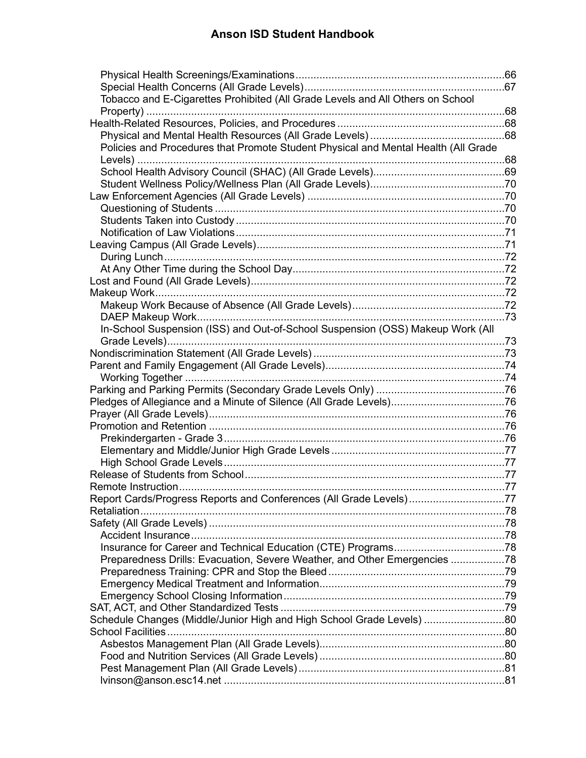| Tobacco and E-Cigarettes Prohibited (All Grade Levels and All Others on School     |  |
|------------------------------------------------------------------------------------|--|
|                                                                                    |  |
|                                                                                    |  |
|                                                                                    |  |
| Policies and Procedures that Promote Student Physical and Mental Health (All Grade |  |
|                                                                                    |  |
|                                                                                    |  |
|                                                                                    |  |
|                                                                                    |  |
|                                                                                    |  |
|                                                                                    |  |
|                                                                                    |  |
|                                                                                    |  |
|                                                                                    |  |
|                                                                                    |  |
|                                                                                    |  |
|                                                                                    |  |
|                                                                                    |  |
|                                                                                    |  |
| In-School Suspension (ISS) and Out-of-School Suspension (OSS) Makeup Work (All     |  |
|                                                                                    |  |
|                                                                                    |  |
|                                                                                    |  |
|                                                                                    |  |
|                                                                                    |  |
|                                                                                    |  |
|                                                                                    |  |
|                                                                                    |  |
|                                                                                    |  |
|                                                                                    |  |
|                                                                                    |  |
|                                                                                    |  |
|                                                                                    |  |
|                                                                                    |  |
| Report Cards/Progress Reports and Conferences (All Grade Levels)77                 |  |
| Retaliation                                                                        |  |
|                                                                                    |  |
|                                                                                    |  |
|                                                                                    |  |
| Preparedness Drills: Evacuation, Severe Weather, and Other Emergencies 78          |  |
|                                                                                    |  |
|                                                                                    |  |
|                                                                                    |  |
|                                                                                    |  |
| Schedule Changes (Middle/Junior High and High School Grade Levels) 80              |  |
|                                                                                    |  |
|                                                                                    |  |
|                                                                                    |  |
|                                                                                    |  |
|                                                                                    |  |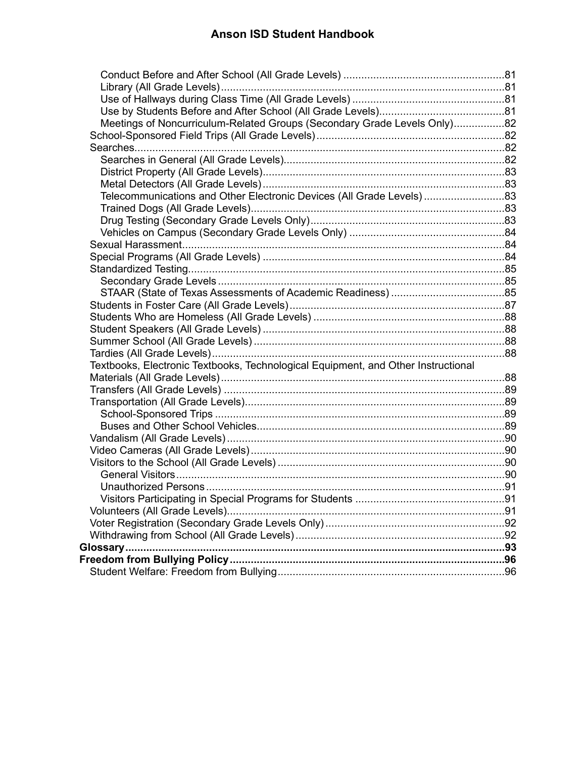| Meetings of Noncurriculum-Related Groups (Secondary Grade Levels Only)82          |  |
|-----------------------------------------------------------------------------------|--|
|                                                                                   |  |
|                                                                                   |  |
|                                                                                   |  |
|                                                                                   |  |
|                                                                                   |  |
| Telecommunications and Other Electronic Devices (All Grade Levels)83              |  |
|                                                                                   |  |
|                                                                                   |  |
|                                                                                   |  |
|                                                                                   |  |
|                                                                                   |  |
|                                                                                   |  |
|                                                                                   |  |
|                                                                                   |  |
|                                                                                   |  |
|                                                                                   |  |
|                                                                                   |  |
|                                                                                   |  |
|                                                                                   |  |
| Textbooks, Electronic Textbooks, Technological Equipment, and Other Instructional |  |
|                                                                                   |  |
|                                                                                   |  |
|                                                                                   |  |
|                                                                                   |  |
|                                                                                   |  |
|                                                                                   |  |
|                                                                                   |  |
|                                                                                   |  |
|                                                                                   |  |
|                                                                                   |  |
|                                                                                   |  |
|                                                                                   |  |
|                                                                                   |  |
|                                                                                   |  |
|                                                                                   |  |
|                                                                                   |  |
|                                                                                   |  |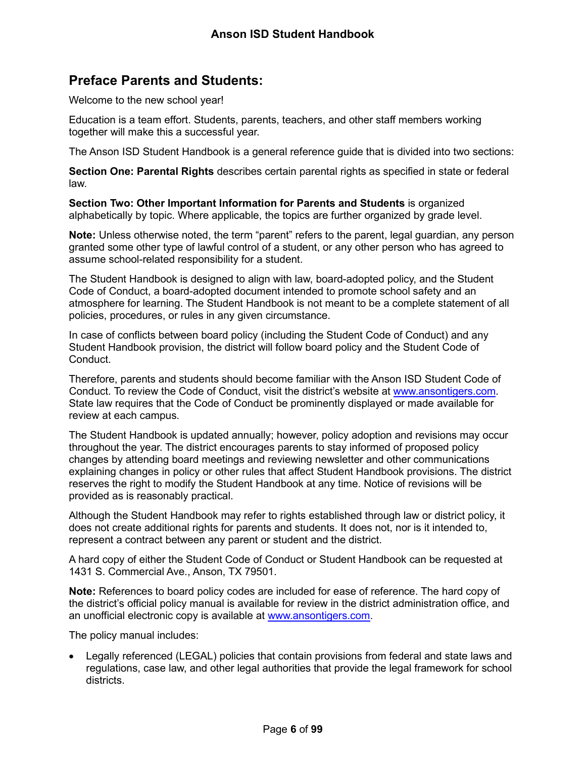# <span id="page-6-0"></span>**Preface Parents and Students:**

Welcome to the new school year!

Education is a team effort. Students, parents, teachers, and other staff members working together will make this a successful year.

The Anson ISD Student Handbook is a general reference guide that is divided into two sections:

**Section One: Parental Rights** describes certain parental rights as specified in state or federal law.

**Section Two: Other Important Information for Parents and Students** is organized alphabetically by topic. Where applicable, the topics are further organized by grade level.

**Note:** Unless otherwise noted, the term "parent" refers to the parent, legal guardian, any person granted some other type of lawful control of a student, or any other person who has agreed to assume school-related responsibility for a student.

The Student Handbook is designed to align with law, board-adopted policy, and the Student Code of Conduct, a board-adopted document intended to promote school safety and an atmosphere for learning. The Student Handbook is not meant to be a complete statement of all policies, procedures, or rules in any given circumstance.

In case of conflicts between board policy (including the Student Code of Conduct) and any Student Handbook provision, the district will follow board policy and the Student Code of Conduct.

Therefore, parents and students should become familiar with the Anson ISD Student Code of Conduct. To review the Code of Conduct, visit the district's website at [www.ansontigers.com.](http://www.ansontigers.com/) State law requires that the Code of Conduct be prominently displayed or made available for review at each campus.

The Student Handbook is updated annually; however, policy adoption and revisions may occur throughout the year. The district encourages parents to stay informed of proposed policy changes by attending board meetings and reviewing newsletter and other communications explaining changes in policy or other rules that affect Student Handbook provisions. The district reserves the right to modify the Student Handbook at any time. Notice of revisions will be provided as is reasonably practical.

Although the Student Handbook may refer to rights established through law or district policy, it does not create additional rights for parents and students. It does not, nor is it intended to, represent a contract between any parent or student and the district.

A hard copy of either the Student Code of Conduct or Student Handbook can be requested at 1431 S. Commercial Ave., Anson, TX 79501.

**Note:** References to board policy codes are included for ease of reference. The hard copy of the district's official policy manual is available for review in the district administration office, and an unofficial electronic copy is available at [www.ansontigers.com.](http://www.ansontigers.com/)

The policy manual includes:

• Legally referenced (LEGAL) policies that contain provisions from federal and state laws and regulations, case law, and other legal authorities that provide the legal framework for school districts.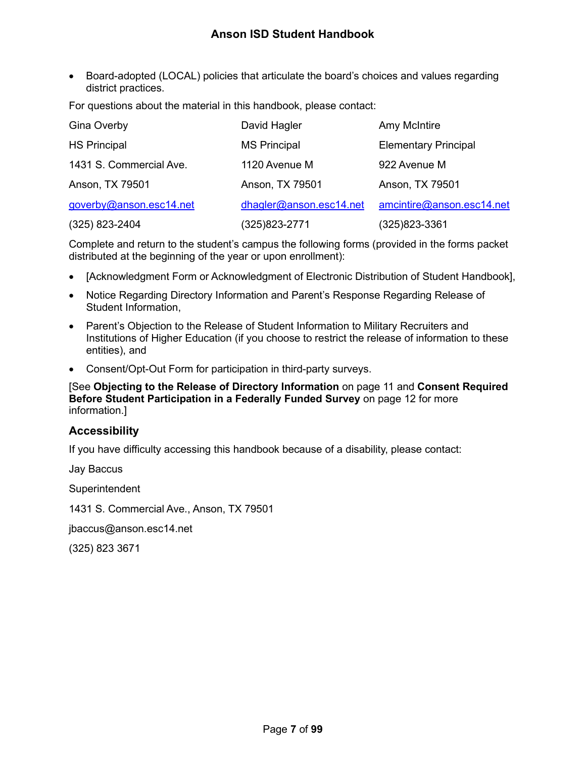• Board-adopted (LOCAL) policies that articulate the board's choices and values regarding district practices.

For questions about the material in this handbook, please contact:

| Gina Overby             | David Hagler            | <b>Amy McIntire</b>         |
|-------------------------|-------------------------|-----------------------------|
| <b>HS Principal</b>     | <b>MS Principal</b>     | <b>Elementary Principal</b> |
| 1431 S. Commercial Ave. | 1120 Avenue M           | 922 Avenue M                |
| Anson, TX 79501         | Anson, TX 79501         | Anson, TX 79501             |
| goverby@anson.esc14.net | dhagler@anson.esc14.net | amcintire@anson.esc14.net   |
| $(325)$ 823-2404        | (325)823-2771           | (325)823-3361               |

Complete and return to the student's campus the following forms (provided in the forms packet distributed at the beginning of the year or upon enrollment):

- [Acknowledgment Form or Acknowledgment of Electronic Distribution of Student Handbook],
- Notice Regarding Directory Information and Parent's Response Regarding Release of Student Information,
- Parent's Objection to the Release of Student Information to Military Recruiters and Institutions of Higher Education (if you choose to restrict the release of information to these entities), and
- Consent/Opt-Out Form for participation in third-party surveys.

#### [See **Objecting to the Release of Directory Information** on page [11](#page-11-1) and **Consent Required Before Student Participation in a Federally Funded Survey** on page [12](#page-12-2) for more information.]

#### <span id="page-7-0"></span>**Accessibility**

If you have difficulty accessing this handbook because of a disability, please contact:

Jay Baccus **Superintendent** 

1431 S. Commercial Ave., Anson, TX 79501

jbaccus@anson.esc14.net

(325) 823 3671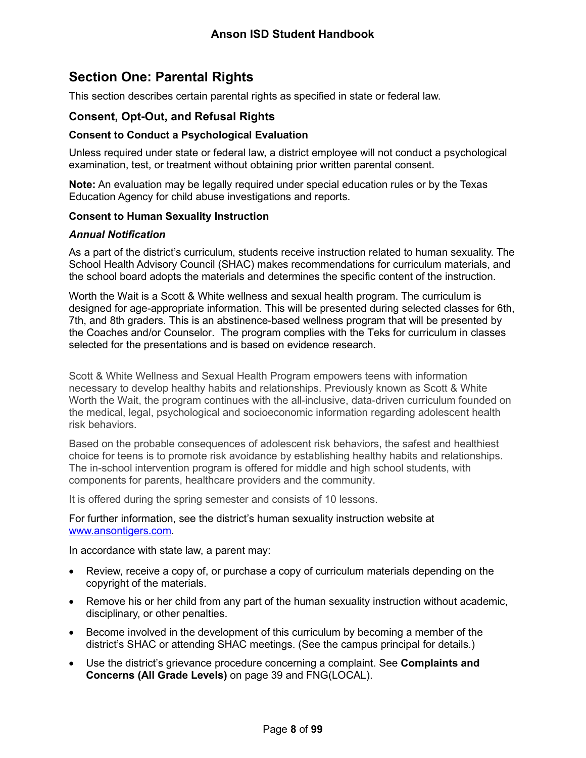# <span id="page-8-0"></span>**Section One: Parental Rights**

This section describes certain parental rights as specified in state or federal law.

#### <span id="page-8-1"></span>**Consent, Opt-Out, and Refusal Rights**

#### <span id="page-8-2"></span>**Consent to Conduct a Psychological Evaluation**

Unless required under state or federal law, a district employee will not conduct a psychological examination, test, or treatment without obtaining prior written parental consent.

**Note:** An evaluation may be legally required under special education rules or by the Texas Education Agency for child abuse investigations and reports.

#### <span id="page-8-3"></span>**Consent to Human Sexuality Instruction**

#### *Annual Notification*

As a part of the district's curriculum, students receive instruction related to human sexuality. The School Health Advisory Council (SHAC) makes recommendations for curriculum materials, and the school board adopts the materials and determines the specific content of the instruction.

Worth the Wait is a Scott & White wellness and sexual health program. The curriculum is designed for age-appropriate information. This will be presented during selected classes for 6th, 7th, and 8th graders. This is an abstinence-based wellness program that will be presented by the Coaches and/or Counselor. The program complies with the Teks for curriculum in classes selected for the presentations and is based on evidence research.

Scott & White Wellness and Sexual Health Program empowers teens with information necessary to develop healthy habits and relationships. Previously known as Scott & White Worth the Wait, the program continues with the all-inclusive, data-driven curriculum founded on the medical, legal, psychological and socioeconomic information regarding adolescent health risk behaviors.

Based on the probable consequences of adolescent risk behaviors, the safest and healthiest choice for teens is to promote risk avoidance by establishing healthy habits and relationships. The in-school intervention program is offered for middle and high school students, with components for parents, healthcare providers and the community.

It is offered during the spring semester and consists of 10 lessons.

For further information, see the district's human sexuality instruction website at [www.ansontigers.com.](http://www.ansontigers.com/)

In accordance with state law, a parent may:

- Review, receive a copy of, or purchase a copy of curriculum materials depending on the copyright of the materials.
- Remove his or her child from any part of the human sexuality instruction without academic, disciplinary, or other penalties.
- Become involved in the development of this curriculum by becoming a member of the district's SHAC or attending SHAC meetings. (See the campus principal for details.)
- Use the district's grievance procedure concerning a complaint. See **Complaints and Concerns (All Grade Levels)** on page [39](#page-39-2) and FNG(LOCAL).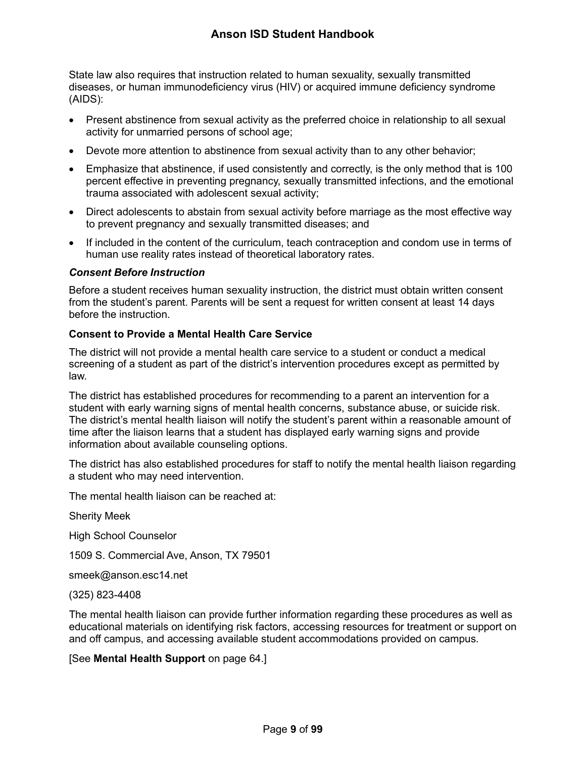State law also requires that instruction related to human sexuality, sexually transmitted diseases, or human immunodeficiency virus (HIV) or acquired immune deficiency syndrome (AIDS):

- Present abstinence from sexual activity as the preferred choice in relationship to all sexual activity for unmarried persons of school age;
- Devote more attention to abstinence from sexual activity than to any other behavior;
- Emphasize that abstinence, if used consistently and correctly, is the only method that is 100 percent effective in preventing pregnancy, sexually transmitted infections, and the emotional trauma associated with adolescent sexual activity;
- Direct adolescents to abstain from sexual activity before marriage as the most effective way to prevent pregnancy and sexually transmitted diseases; and
- If included in the content of the curriculum, teach contraception and condom use in terms of human use reality rates instead of theoretical laboratory rates.

#### *Consent Before Instruction*

Before a student receives human sexuality instruction, the district must obtain written consent from the student's parent. Parents will be sent a request for written consent at least 14 days before the instruction.

#### <span id="page-9-0"></span>**Consent to Provide a Mental Health Care Service**

The district will not provide a mental health care service to a student or conduct a medical screening of a student as part of the district's intervention procedures except as permitted by law.

The district has established procedures for recommending to a parent an intervention for a student with early warning signs of mental health concerns, substance abuse, or suicide risk. The district's mental health liaison will notify the student's parent within a reasonable amount of time after the liaison learns that a student has displayed early warning signs and provide information about available counseling options.

The district has also established procedures for staff to notify the mental health liaison regarding a student who may need intervention.

The mental health liaison can be reached at:

Sherity Meek

High School Counselor

1509 S. Commercial Ave, Anson, TX 79501

smeek@anson.esc14.net

(325) 823-4408

The mental health liaison can provide further information regarding these procedures as well as educational materials on identifying risk factors, accessing resources for treatment or support on and off campus, and accessing available student accommodations provided on campus.

[See **Mental Health Support** on page [64.](#page-64-2)]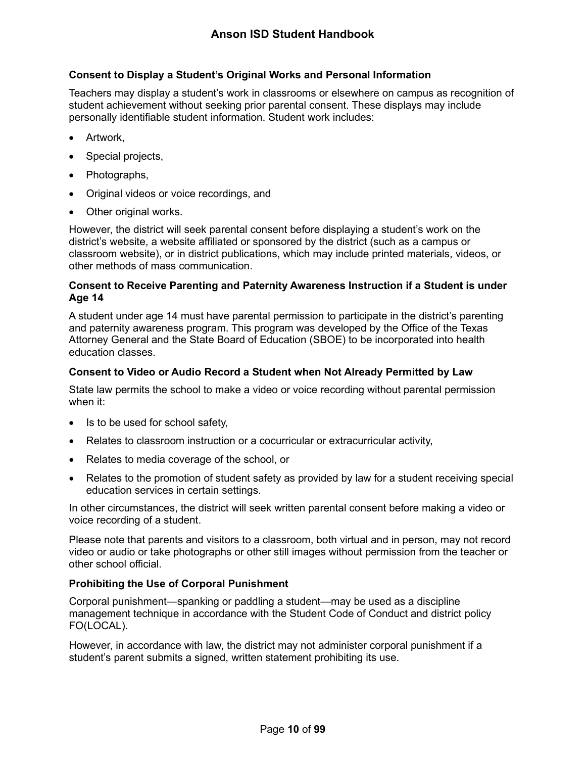#### <span id="page-10-0"></span>**Consent to Display a Student's Original Works and Personal Information**

Teachers may display a student's work in classrooms or elsewhere on campus as recognition of student achievement without seeking prior parental consent. These displays may include personally identifiable student information. Student work includes:

- Artwork,
- Special projects,
- Photographs,
- Original videos or voice recordings, and
- Other original works.

However, the district will seek parental consent before displaying a student's work on the district's website, a website affiliated or sponsored by the district (such as a campus or classroom website), or in district publications, which may include printed materials, videos, or other methods of mass communication.

#### <span id="page-10-1"></span>**Consent to Receive Parenting and Paternity Awareness Instruction if a Student is under Age 14**

A student under age 14 must have parental permission to participate in the district's parenting and paternity awareness program. This program was developed by the Office of the Texas Attorney General and the State Board of Education (SBOE) to be incorporated into health education classes.

#### <span id="page-10-2"></span>**Consent to Video or Audio Record a Student when Not Already Permitted by Law**

State law permits the school to make a video or voice recording without parental permission when it:

- Is to be used for school safety,
- Relates to classroom instruction or a cocurricular or extracurricular activity,
- Relates to media coverage of the school, or
- Relates to the promotion of student safety as provided by law for a student receiving special education services in certain settings.

In other circumstances, the district will seek written parental consent before making a video or voice recording of a student.

Please note that parents and visitors to a classroom, both virtual and in person, may not record video or audio or take photographs or other still images without permission from the teacher or other school official.

#### <span id="page-10-3"></span>**Prohibiting the Use of Corporal Punishment**

Corporal punishment—spanking or paddling a student—may be used as a discipline management technique in accordance with the Student Code of Conduct and district policy FO(LOCAL).

However, in accordance with law, the district may not administer corporal punishment if a student's parent submits a signed, written statement prohibiting its use.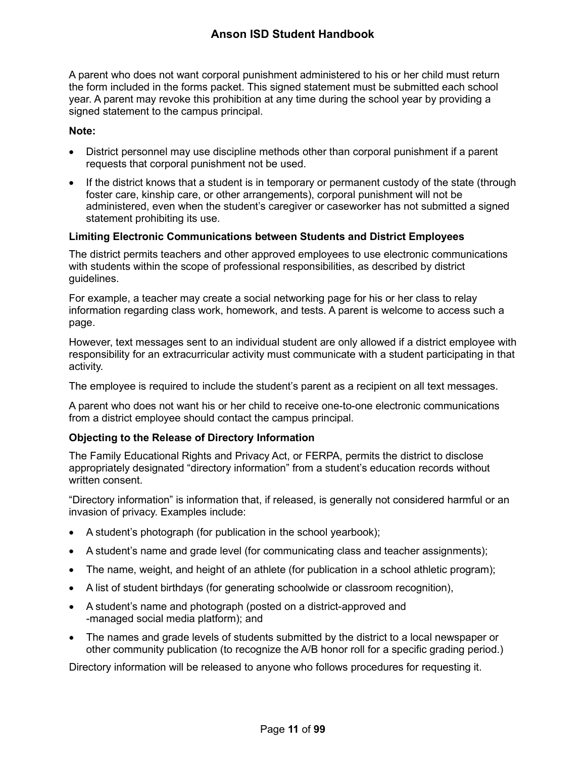A parent who does not want corporal punishment administered to his or her child must return the form included in the forms packet. This signed statement must be submitted each school year. A parent may revoke this prohibition at any time during the school year by providing a signed statement to the campus principal.

#### **Note:**

- District personnel may use discipline methods other than corporal punishment if a parent requests that corporal punishment not be used.
- If the district knows that a student is in temporary or permanent custody of the state (through foster care, kinship care, or other arrangements), corporal punishment will not be administered, even when the student's caregiver or caseworker has not submitted a signed statement prohibiting its use.

#### <span id="page-11-0"></span>**Limiting Electronic Communications between Students and District Employees**

The district permits teachers and other approved employees to use electronic communications with students within the scope of professional responsibilities, as described by district guidelines.

For example, a teacher may create a social networking page for his or her class to relay information regarding class work, homework, and tests. A parent is welcome to access such a page.

However, text messages sent to an individual student are only allowed if a district employee with responsibility for an extracurricular activity must communicate with a student participating in that activity.

The employee is required to include the student's parent as a recipient on all text messages.

A parent who does not want his or her child to receive one-to-one electronic communications from a district employee should contact the campus principal.

#### <span id="page-11-1"></span>**Objecting to the Release of Directory Information**

The Family Educational Rights and Privacy Act, or FERPA, permits the district to disclose appropriately designated "directory information" from a student's education records without written consent.

"Directory information" is information that, if released, is generally not considered harmful or an invasion of privacy. Examples include:

- A student's photograph (for publication in the school yearbook);
- A student's name and grade level (for communicating class and teacher assignments);
- The name, weight, and height of an athlete (for publication in a school athletic program);
- A list of student birthdays (for generating schoolwide or classroom recognition),
- A student's name and photograph (posted on a district-approved and -managed social media platform); and
- The names and grade levels of students submitted by the district to a local newspaper or other community publication (to recognize the A/B honor roll for a specific grading period.)

Directory information will be released to anyone who follows procedures for requesting it.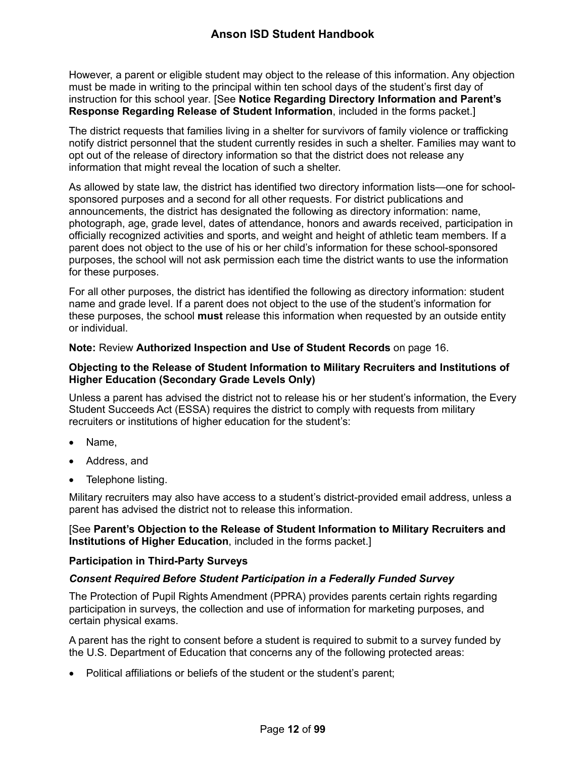However, a parent or eligible student may object to the release of this information. Any objection must be made in writing to the principal within ten school days of the student's first day of instruction for this school year*.* [See **Notice Regarding Directory Information and Parent's Response Regarding Release of Student Information**, included in the forms packet.]

The district requests that families living in a shelter for survivors of family violence or trafficking notify district personnel that the student currently resides in such a shelter. Families may want to opt out of the release of directory information so that the district does not release any information that might reveal the location of such a shelter.

As allowed by state law, the district has identified two directory information lists—one for schoolsponsored purposes and a second for all other requests. For district publications and announcements, the district has designated the following as directory information: name, photograph, age, grade level, dates of attendance, honors and awards received, participation in officially recognized activities and sports, and weight and height of athletic team members. If a parent does not object to the use of his or her child's information for these school-sponsored purposes, the school will not ask permission each time the district wants to use the information for these purposes.

For all other purposes, the district has identified the following as directory information: student name and grade level. If a parent does not object to the use of the student's information for these purposes, the school **must** release this information when requested by an outside entity or individual.

**Note:** Review **Authorized Inspection and Use of Student Records** on page [16.](#page-16-0)

#### <span id="page-12-0"></span>**Objecting to the Release of Student Information to Military Recruiters and Institutions of Higher Education (Secondary Grade Levels Only)**

Unless a parent has advised the district not to release his or her student's information, the Every Student Succeeds Act (ESSA) requires the district to comply with requests from military recruiters or institutions of higher education for the student's:

- Name.
- Address, and
- Telephone listing.

Military recruiters may also have access to a student's district-provided email address, unless a parent has advised the district not to release this information.

#### [See **Parent's Objection to the Release of Student Information to Military Recruiters and Institutions of Higher Education**, included in the forms packet.]

#### <span id="page-12-1"></span>**Participation in Third-Party Surveys**

#### <span id="page-12-2"></span>*Consent Required Before Student Participation in a Federally Funded Survey*

The Protection of Pupil Rights Amendment (PPRA) provides parents certain rights regarding participation in surveys, the collection and use of information for marketing purposes, and certain physical exams.

A parent has the right to consent before a student is required to submit to a survey funded by the U.S. Department of Education that concerns any of the following protected areas:

• Political affiliations or beliefs of the student or the student's parent;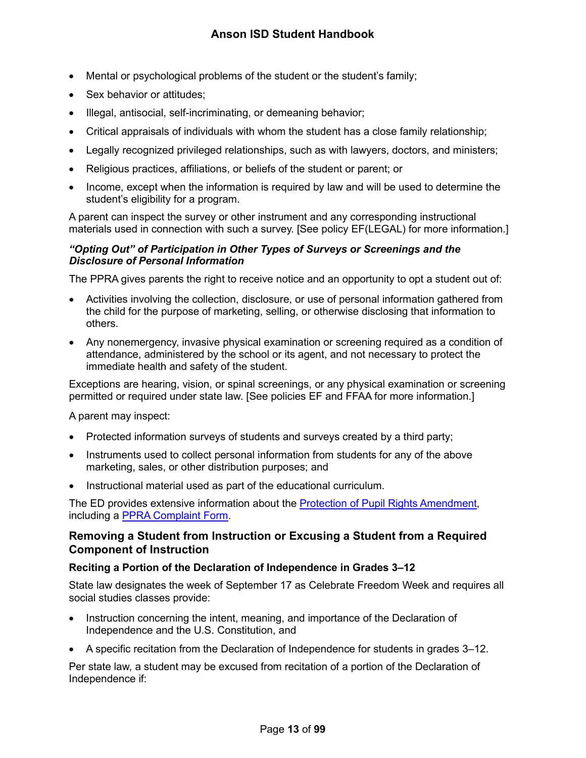- Mental or psychological problems of the student or the student's family;
- Sex behavior or attitudes;
- Illegal, antisocial, self-incriminating, or demeaning behavior;
- Critical appraisals of individuals with whom the student has a close family relationship;
- Legally recognized privileged relationships, such as with lawyers, doctors, and ministers;
- Religious practices, affiliations, or beliefs of the student or parent; or
- Income, except when the information is required by law and will be used to determine the student's eligibility for a program.

A parent can inspect the survey or other instrument and any corresponding instructional materials used in connection with such a survey. [See policy EF(LEGAL) for more information.]

#### *"Opting Out" of Participation in Other Types of Surveys or Screenings and the Disclosure of Personal Information*

The PPRA gives parents the right to receive notice and an opportunity to opt a student out of:

- Activities involving the collection, disclosure, or use of personal information gathered from the child for the purpose of marketing, selling, or otherwise disclosing that information to others.
- Any nonemergency, invasive physical examination or screening required as a condition of attendance, administered by the school or its agent, and not necessary to protect the immediate health and safety of the student.

Exceptions are hearing, vision, or spinal screenings, or any physical examination or screening permitted or required under state law. [See policies EF and FFAA for more information.]

A parent may inspect:

- Protected information surveys of students and surveys created by a third party;
- Instruments used to collect personal information from students for any of the above marketing, sales, or other distribution purposes; and
- Instructional material used as part of the educational curriculum.

The ED provides extensive information about the [Protection of Pupil Rights Amendment,](https://studentprivacy.ed.gov/resources/protection-pupil-rights-amendment-ppra-general-guidance) including a **PPRA Complaint Form**.

#### <span id="page-13-0"></span>**Removing a Student from Instruction or Excusing a Student from a Required Component of Instruction**

#### <span id="page-13-1"></span>**Reciting a Portion of the Declaration of Independence in Grades 3–12**

State law designates the week of September 17 as Celebrate Freedom Week and requires all social studies classes provide:

- Instruction concerning the intent, meaning, and importance of the Declaration of Independence and the U.S. Constitution, and
- A specific recitation from the Declaration of Independence for students in grades 3–12.

Per state law, a student may be excused from recitation of a portion of the Declaration of Independence if: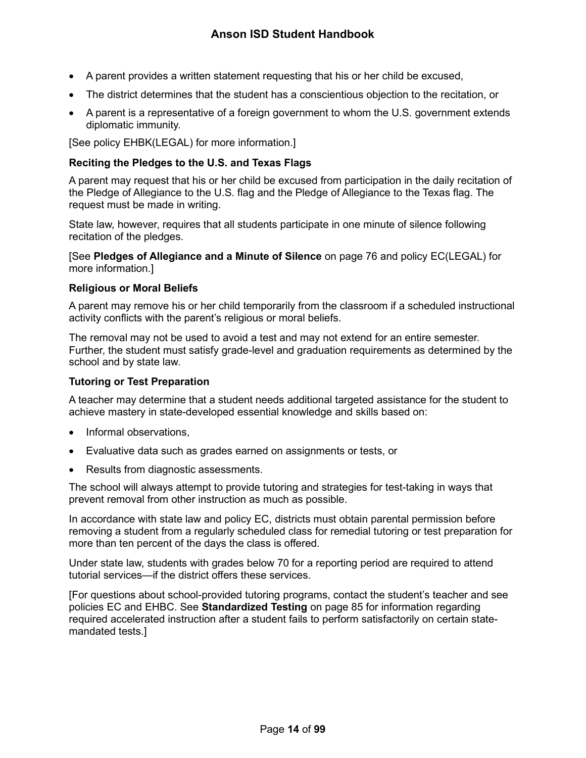- A parent provides a written statement requesting that his or her child be excused,
- The district determines that the student has a conscientious objection to the recitation, or
- A parent is a representative of a foreign government to whom the U.S. government extends diplomatic immunity.

[See policy EHBK(LEGAL) for more information.]

#### <span id="page-14-0"></span>**Reciting the Pledges to the U.S. and Texas Flags**

A parent may request that his or her child be excused from participation in the daily recitation of the Pledge of Allegiance to the U.S. flag and the Pledge of Allegiance to the Texas flag. The request must be made in writing.

State law, however, requires that all students participate in one minute of silence following recitation of the pledges.

[See **Pledges of Allegiance and a Minute of Silence** on page [76](#page-76-1) and policy EC(LEGAL) for more information.]

#### <span id="page-14-1"></span>**Religious or Moral Beliefs**

A parent may remove his or her child temporarily from the classroom if a scheduled instructional activity conflicts with the parent's religious or moral beliefs.

The removal may not be used to avoid a test and may not extend for an entire semester. Further, the student must satisfy grade-level and graduation requirements as determined by the school and by state law.

#### <span id="page-14-2"></span>**Tutoring or Test Preparation**

A teacher may determine that a student needs additional targeted assistance for the student to achieve mastery in state-developed essential knowledge and skills based on:

- Informal observations,
- Evaluative data such as grades earned on assignments or tests, or
- Results from diagnostic assessments.

The school will always attempt to provide tutoring and strategies for test-taking in ways that prevent removal from other instruction as much as possible.

In accordance with state law and policy EC, districts must obtain parental permission before removing a student from a regularly scheduled class for remedial tutoring or test preparation for more than ten percent of the days the class is offered.

Under state law, students with grades below 70 for a reporting period are required to attend tutorial services—if the district offers these services.

[For questions about school-provided tutoring programs, contact the student's teacher and see policies EC and EHBC. See **Standardized Testing** on page [85](#page-85-0) for information regarding required accelerated instruction after a student fails to perform satisfactorily on certain statemandated tests.]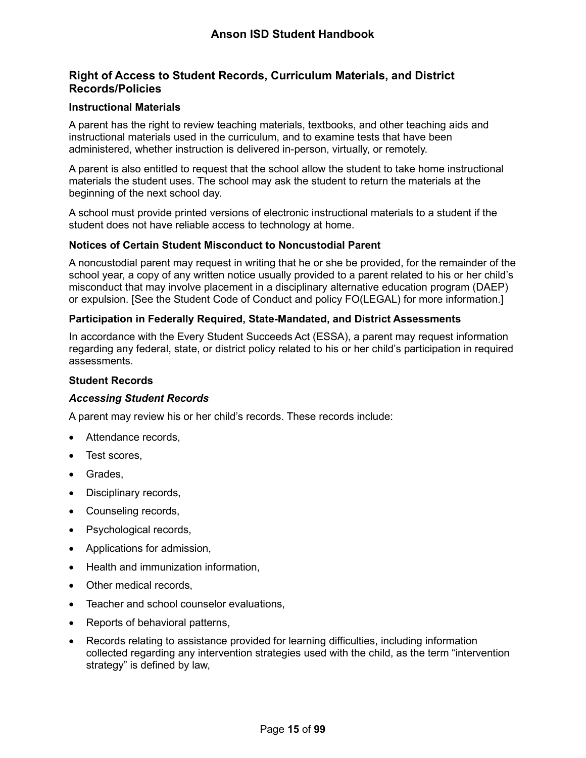#### <span id="page-15-0"></span>**Right of Access to Student Records, Curriculum Materials, and District Records/Policies**

#### <span id="page-15-1"></span>**Instructional Materials**

A parent has the right to review teaching materials, textbooks, and other teaching aids and instructional materials used in the curriculum, and to examine tests that have been administered, whether instruction is delivered in-person, virtually, or remotely.

A parent is also entitled to request that the school allow the student to take home instructional materials the student uses. The school may ask the student to return the materials at the beginning of the next school day.

A school must provide printed versions of electronic instructional materials to a student if the student does not have reliable access to technology at home.

#### <span id="page-15-2"></span>**Notices of Certain Student Misconduct to Noncustodial Parent**

A noncustodial parent may request in writing that he or she be provided, for the remainder of the school year, a copy of any written notice usually provided to a parent related to his or her child's misconduct that may involve placement in a disciplinary alternative education program (DAEP) or expulsion. [See the Student Code of Conduct and policy FO(LEGAL) for more information.]

#### <span id="page-15-3"></span>**Participation in Federally Required, State-Mandated, and District Assessments**

In accordance with the Every Student Succeeds Act (ESSA), a parent may request information regarding any federal, state, or district policy related to his or her child's participation in required assessments.

#### <span id="page-15-4"></span>**Student Records**

#### *Accessing Student Records*

A parent may review his or her child's records. These records include:

- Attendance records.
- Test scores,
- Grades,
- Disciplinary records,
- Counseling records,
- Psychological records,
- Applications for admission,
- Health and immunization information,
- Other medical records,
- Teacher and school counselor evaluations,
- Reports of behavioral patterns,
- Records relating to assistance provided for learning difficulties, including information collected regarding any intervention strategies used with the child, as the term "intervention strategy" is defined by law,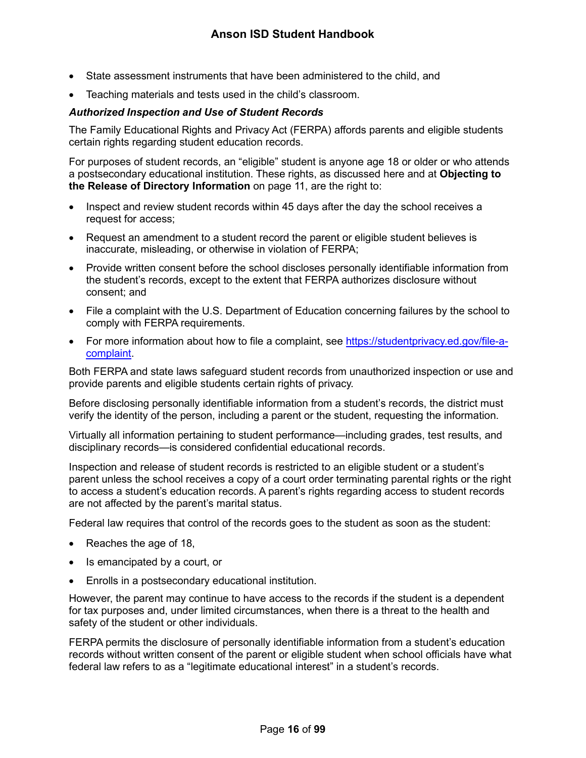- State assessment instruments that have been administered to the child, and
- Teaching materials and tests used in the child's classroom.

#### <span id="page-16-0"></span>*Authorized Inspection and Use of Student Records*

The Family Educational Rights and Privacy Act (FERPA) affords parents and eligible students certain rights regarding student education records.

For purposes of student records, an "eligible" student is anyone age 18 or older or who attends a postsecondary educational institution. These rights, as discussed here and at **Objecting to the Release of Directory Information** on page [11,](#page-11-1) are the right to:

- Inspect and review student records within 45 days after the day the school receives a request for access;
- Request an amendment to a student record the parent or eligible student believes is inaccurate, misleading, or otherwise in violation of FERPA;
- Provide written consent before the school discloses personally identifiable information from the student's records, except to the extent that FERPA authorizes disclosure without consent; and
- File a complaint with the U.S. Department of Education concerning failures by the school to comply with FERPA requirements.
- For more information about how to file a complaint, see [https://studentprivacy.ed.gov/file-a](https://studentprivacy.ed.gov/file-a-complaint)[complaint.](https://studentprivacy.ed.gov/file-a-complaint)

Both FERPA and state laws safeguard student records from unauthorized inspection or use and provide parents and eligible students certain rights of privacy.

Before disclosing personally identifiable information from a student's records, the district must verify the identity of the person, including a parent or the student, requesting the information.

Virtually all information pertaining to student performance—including grades, test results, and disciplinary records—is considered confidential educational records.

Inspection and release of student records is restricted to an eligible student or a student's parent unless the school receives a copy of a court order terminating parental rights or the right to access a student's education records. A parent's rights regarding access to student records are not affected by the parent's marital status.

Federal law requires that control of the records goes to the student as soon as the student:

- Reaches the age of 18,
- Is emancipated by a court, or
- Enrolls in a postsecondary educational institution.

However, the parent may continue to have access to the records if the student is a dependent for tax purposes and, under limited circumstances, when there is a threat to the health and safety of the student or other individuals.

FERPA permits the disclosure of personally identifiable information from a student's education records without written consent of the parent or eligible student when school officials have what federal law refers to as a "legitimate educational interest" in a student's records.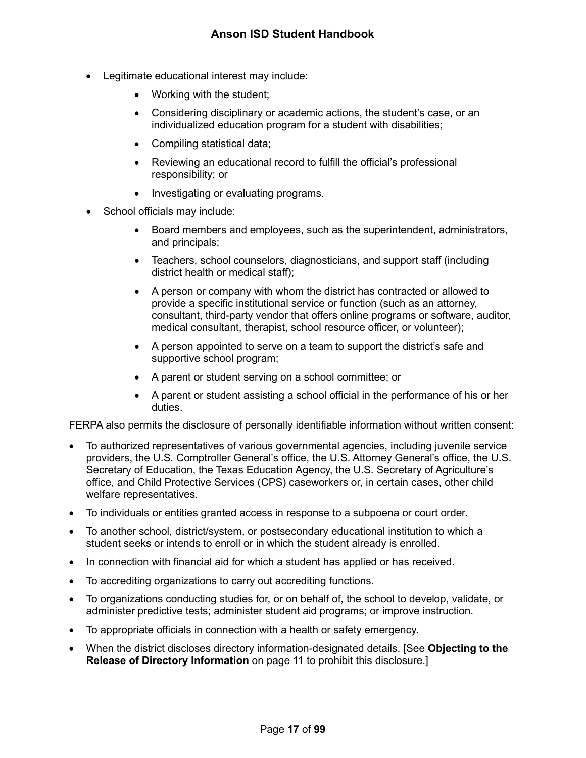- Legitimate educational interest may include:
	- Working with the student;
	- Considering disciplinary or academic actions, the student's case, or an individualized education program for a student with disabilities;
	- Compiling statistical data;
	- Reviewing an educational record to fulfill the official's professional responsibility; or
	- Investigating or evaluating programs.
- School officials may include:
	- Board members and employees, such as the superintendent, administrators, and principals;
	- Teachers, school counselors, diagnosticians, and support staff (including district health or medical staff);
	- A person or company with whom the district has contracted or allowed to provide a specific institutional service or function (such as an attorney, consultant, third-party vendor that offers online programs or software, auditor, medical consultant, therapist, school resource officer, or volunteer);
	- A person appointed to serve on a team to support the district's safe and supportive school program;
	- A parent or student serving on a school committee; or
	- A parent or student assisting a school official in the performance of his or her duties.

FERPA also permits the disclosure of personally identifiable information without written consent:

- To authorized representatives of various governmental agencies, including juvenile service providers, the U.S. Comptroller General's office, the U.S. Attorney General's office, the U.S. Secretary of Education, the Texas Education Agency, the U.S. Secretary of Agriculture's office, and Child Protective Services (CPS) caseworkers or, in certain cases, other child welfare representatives.
- To individuals or entities granted access in response to a subpoena or court order.
- To another school, district/system, or postsecondary educational institution to which a student seeks or intends to enroll or in which the student already is enrolled.
- In connection with financial aid for which a student has applied or has received.
- To accrediting organizations to carry out accrediting functions.
- To organizations conducting studies for, or on behalf of, the school to develop, validate, or administer predictive tests; administer student aid programs; or improve instruction.
- To appropriate officials in connection with a health or safety emergency.
- When the district discloses directory information-designated details. [See **Objecting to the Release of Directory Information** on page [11](#page-11-1) to prohibit this disclosure.]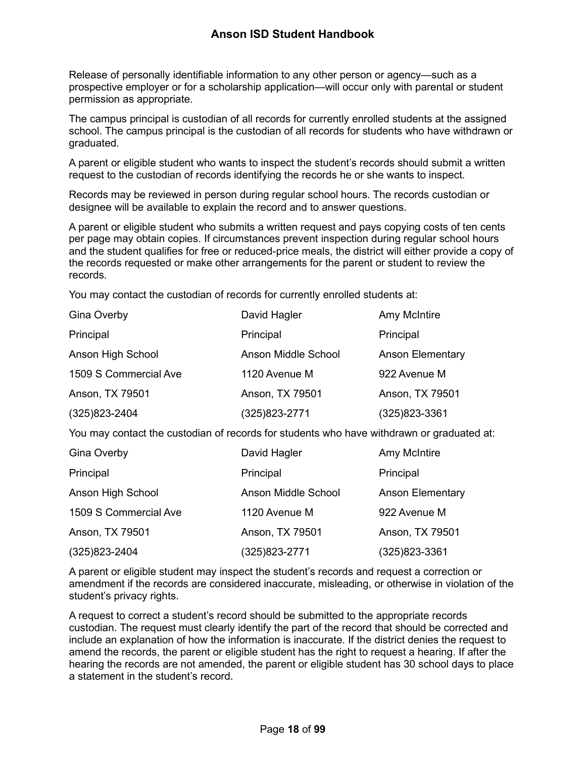Release of personally identifiable information to any other person or agency—such as a prospective employer or for a scholarship application—will occur only with parental or student permission as appropriate.

The campus principal is custodian of all records for currently enrolled students at the assigned school. The campus principal is the custodian of all records for students who have withdrawn or graduated.

A parent or eligible student who wants to inspect the student's records should submit a written request to the custodian of records identifying the records he or she wants to inspect.

Records may be reviewed in person during regular school hours. The records custodian or designee will be available to explain the record and to answer questions.

A parent or eligible student who submits a written request and pays copying costs of ten cents per page may obtain copies. If circumstances prevent inspection during regular school hours and the student qualifies for free or reduced-price meals, the district will either provide a copy of the records requested or make other arrangements for the parent or student to review the records.

You may contact the custodian of records for currently enrolled students at:

| <b>Gina Overby</b>    | David Hagler        | Amy McIntire            |
|-----------------------|---------------------|-------------------------|
| Principal             | Principal           | Principal               |
| Anson High School     | Anson Middle School | <b>Anson Elementary</b> |
| 1509 S Commercial Ave | 1120 Avenue M       | 922 Avenue M            |
| Anson, TX 79501       | Anson, TX 79501     | Anson, TX 79501         |
| $(325)823 - 2404$     | (325)823-2771       | (325) 823-3361          |

You may contact the custodian of records for students who have withdrawn or graduated at:

| <b>Gina Overby</b>    | David Hagler        | Amy McIntire            |
|-----------------------|---------------------|-------------------------|
| Principal             | Principal           | Principal               |
| Anson High School     | Anson Middle School | <b>Anson Elementary</b> |
| 1509 S Commercial Ave | 1120 Avenue M       | 922 Avenue M            |
| Anson, TX 79501       | Anson, TX 79501     | Anson, TX 79501         |
| (325) 823-2404        | (325)823-2771       | (325)823-3361           |

A parent or eligible student may inspect the student's records and request a correction or amendment if the records are considered inaccurate, misleading, or otherwise in violation of the student's privacy rights.

A request to correct a student's record should be submitted to the appropriate records custodian. The request must clearly identify the part of the record that should be corrected and include an explanation of how the information is inaccurate. If the district denies the request to amend the records, the parent or eligible student has the right to request a hearing. If after the hearing the records are not amended, the parent or eligible student has 30 school days to place a statement in the student's record.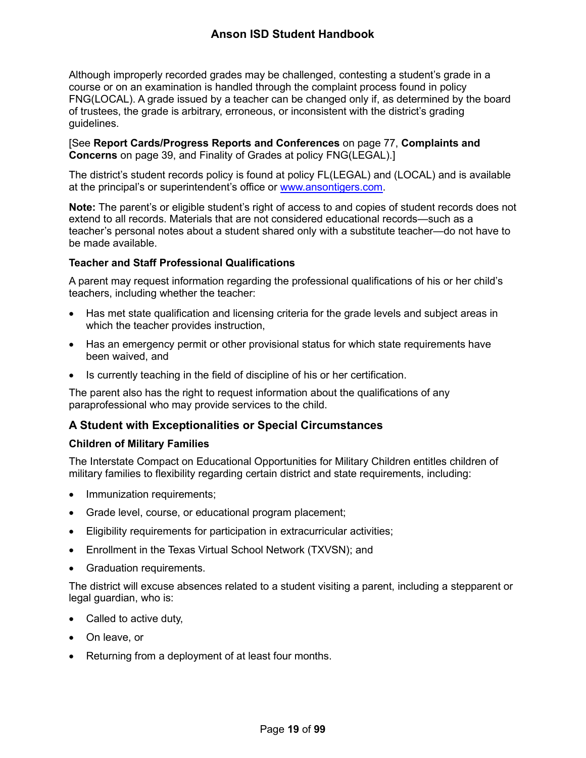Although improperly recorded grades may be challenged, contesting a student's grade in a course or on an examination is handled through the complaint process found in policy FNG(LOCAL). A grade issued by a teacher can be changed only if, as determined by the board of trustees, the grade is arbitrary, erroneous, or inconsistent with the district's grading guidelines.

[See **Report Cards/Progress Reports and Conferences** on page [77,](#page-77-4) **Complaints and Concerns** on page [39,](#page-39-2) and Finality of Grades at policy FNG(LEGAL).]

The district's student records policy is found at policy FL(LEGAL) and (LOCAL) and is available at the principal's or superintendent's office or [www.ansontigers.com.](http://www.ansontigers.com/)

**Note:** The parent's or eligible student's right of access to and copies of student records does not extend to all records. Materials that are not considered educational records—such as a teacher's personal notes about a student shared only with a substitute teacher—do not have to be made available.

#### <span id="page-19-0"></span>**Teacher and Staff Professional Qualifications**

A parent may request information regarding the professional qualifications of his or her child's teachers, including whether the teacher:

- Has met state qualification and licensing criteria for the grade levels and subject areas in which the teacher provides instruction,
- Has an emergency permit or other provisional status for which state requirements have been waived, and
- Is currently teaching in the field of discipline of his or her certification.

The parent also has the right to request information about the qualifications of any paraprofessional who may provide services to the child.

### <span id="page-19-1"></span>**A Student with Exceptionalities or Special Circumstances**

#### <span id="page-19-2"></span>**Children of Military Families**

The Interstate Compact on Educational Opportunities for Military Children entitles children of military families to flexibility regarding certain district and state requirements, including:

- Immunization requirements;
- Grade level, course, or educational program placement;
- Eligibility requirements for participation in extracurricular activities;
- Enrollment in the Texas Virtual School Network (TXVSN); and
- Graduation requirements.

The district will excuse absences related to a student visiting a parent, including a stepparent or legal guardian, who is:

- Called to active duty,
- On leave, or
- Returning from a deployment of at least four months.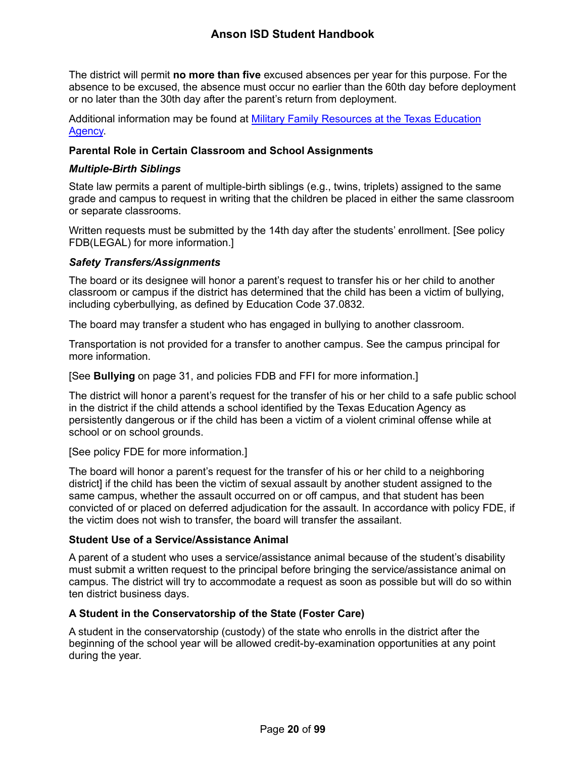The district will permit **no more than five** excused absences per year for this purpose. For the absence to be excused, the absence must occur no earlier than the 60th day before deployment or no later than the 30th day after the parent's return from deployment.

Additional information may be found at [Military Family Resources at the Texas Education](http://tea.texas.gov/index2.aspx?id=7995)  [Agency.](http://tea.texas.gov/index2.aspx?id=7995)

#### <span id="page-20-0"></span>**Parental Role in Certain Classroom and School Assignments**

#### *Multiple-Birth Siblings*

State law permits a parent of multiple-birth siblings (e.g., twins, triplets) assigned to the same grade and campus to request in writing that the children be placed in either the same classroom or separate classrooms.

Written requests must be submitted by the 14th day after the students' enrollment. [See policy FDB(LEGAL) for more information.]

#### <span id="page-20-3"></span>*Safety Transfers/Assignments*

The board or its designee will honor a parent's request to transfer his or her child to another classroom or campus if the district has determined that the child has been a victim of bullying, including cyberbullying, as defined by Education Code 37.0832.

The board may transfer a student who has engaged in bullying to another classroom.

Transportation is not provided for a transfer to another campus. See the campus principal for more information.

[See **Bullying** on page [31,](#page-31-2) and policies FDB and FFI for more information.]

The district will honor a parent's request for the transfer of his or her child to a safe public school in the district if the child attends a school identified by the Texas Education Agency as persistently dangerous or if the child has been a victim of a violent criminal offense while at school or on school grounds.

[See policy FDE for more information.]

The board will honor a parent's request for the transfer of his or her child to a neighboring district] if the child has been the victim of sexual assault by another student assigned to the same campus, whether the assault occurred on or off campus, and that student has been convicted of or placed on deferred adjudication for the assault. In accordance with policy FDE, if the victim does not wish to transfer, the board will transfer the assailant.

#### <span id="page-20-1"></span>**Student Use of a Service/Assistance Animal**

A parent of a student who uses a service/assistance animal because of the student's disability must submit a written request to the principal before bringing the service/assistance animal on campus. The district will try to accommodate a request as soon as possible but will do so within ten district business days.

#### <span id="page-20-2"></span>**A Student in the Conservatorship of the State (Foster Care)**

A student in the conservatorship (custody) of the state who enrolls in the district after the beginning of the school year will be allowed credit-by-examination opportunities at any point during the year.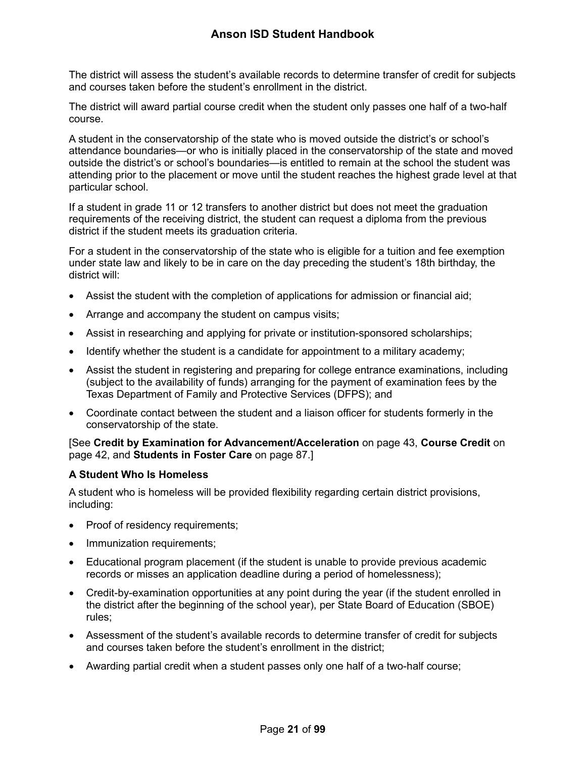The district will assess the student's available records to determine transfer of credit for subjects and courses taken before the student's enrollment in the district.

The district will award partial course credit when the student only passes one half of a two-half course.

A student in the conservatorship of the state who is moved outside the district's or school's attendance boundaries—or who is initially placed in the conservatorship of the state and moved outside the district's or school's boundaries—is entitled to remain at the school the student was attending prior to the placement or move until the student reaches the highest grade level at that particular school.

If a student in grade 11 or 12 transfers to another district but does not meet the graduation requirements of the receiving district, the student can request a diploma from the previous district if the student meets its graduation criteria.

For a student in the conservatorship of the state who is eligible for a tuition and fee exemption under state law and likely to be in care on the day preceding the student's 18th birthday, the district will:

- Assist the student with the completion of applications for admission or financial aid;
- Arrange and accompany the student on campus visits;
- Assist in researching and applying for private or institution-sponsored scholarships;
- Identify whether the student is a candidate for appointment to a military academy;
- Assist the student in registering and preparing for college entrance examinations, including (subject to the availability of funds) arranging for the payment of examination fees by the Texas Department of Family and Protective Services (DFPS); and
- Coordinate contact between the student and a liaison officer for students formerly in the conservatorship of the state.

[See **Credit by Examination for Advancement/Acceleration** on page [43,](#page-43-0) **Course Credit** on page [42,](#page-42-1) and **Students in Foster Care** on page [87.](#page-87-0)]

#### <span id="page-21-0"></span>**A Student Who Is Homeless**

A student who is homeless will be provided flexibility regarding certain district provisions, including:

- Proof of residency requirements;
- Immunization requirements;
- Educational program placement (if the student is unable to provide previous academic records or misses an application deadline during a period of homelessness);
- Credit-by-examination opportunities at any point during the year (if the student enrolled in the district after the beginning of the school year), per State Board of Education (SBOE) rules;
- Assessment of the student's available records to determine transfer of credit for subjects and courses taken before the student's enrollment in the district;
- Awarding partial credit when a student passes only one half of a two-half course;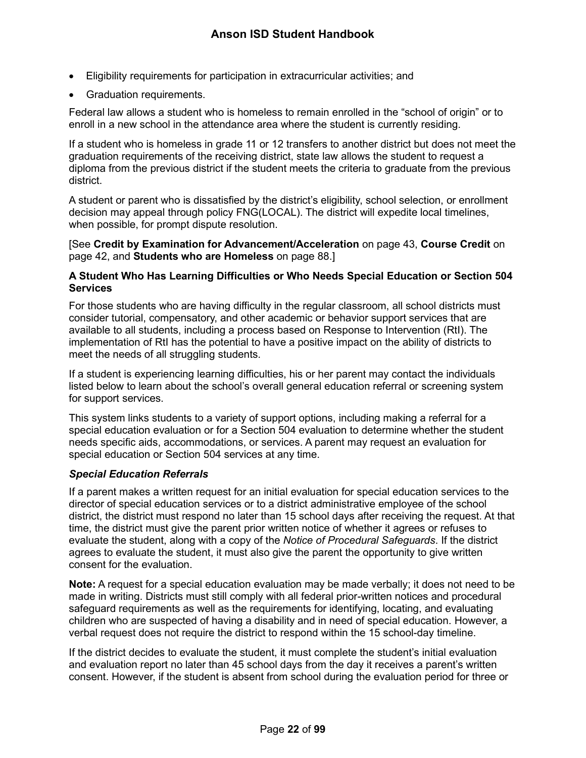- Eligibility requirements for participation in extracurricular activities; and
- Graduation requirements.

Federal law allows a student who is homeless to remain enrolled in the "school of origin" or to enroll in a new school in the attendance area where the student is currently residing.

If a student who is homeless in grade 11 or 12 transfers to another district but does not meet the graduation requirements of the receiving district, state law allows the student to request a diploma from the previous district if the student meets the criteria to graduate from the previous district.

A student or parent who is dissatisfied by the district's eligibility, school selection, or enrollment decision may appeal through policy FNG(LOCAL). The district will expedite local timelines, when possible, for prompt dispute resolution.

[See **Credit by Examination for Advancement/Acceleration** on page [43,](#page-43-0) **Course Credit** on page [42,](#page-42-1) and **Students who are Homeless** on page [88.](#page-88-0)]

#### <span id="page-22-0"></span>**A Student Who Has Learning Difficulties or Who Needs Special Education or Section 504 Services**

For those students who are having difficulty in the regular classroom, all school districts must consider tutorial, compensatory, and other academic or behavior support services that are available to all students, including a process based on Response to Intervention (RtI). The implementation of RtI has the potential to have a positive impact on the ability of districts to meet the needs of all struggling students.

If a student is experiencing learning difficulties, his or her parent may contact the individuals listed below to learn about the school's overall general education referral or screening system for support services.

This system links students to a variety of support options, including making a referral for a special education evaluation or for a Section 504 evaluation to determine whether the student needs specific aids, accommodations, or services. A parent may request an evaluation for special education or Section 504 services at any time.

#### *Special Education Referrals*

If a parent makes a written request for an initial evaluation for special education services to the director of special education services or to a district administrative employee of the school district, the district must respond no later than 15 school days after receiving the request. At that time, the district must give the parent prior written notice of whether it agrees or refuses to evaluate the student, along with a copy of the *Notice of Procedural Safeguards*. If the district agrees to evaluate the student, it must also give the parent the opportunity to give written consent for the evaluation.

**Note:** A request for a special education evaluation may be made verbally; it does not need to be made in writing. Districts must still comply with all federal prior-written notices and procedural safeguard requirements as well as the requirements for identifying, locating, and evaluating children who are suspected of having a disability and in need of special education. However, a verbal request does not require the district to respond within the 15 school-day timeline.

If the district decides to evaluate the student, it must complete the student's initial evaluation and evaluation report no later than 45 school days from the day it receives a parent's written consent. However, if the student is absent from school during the evaluation period for three or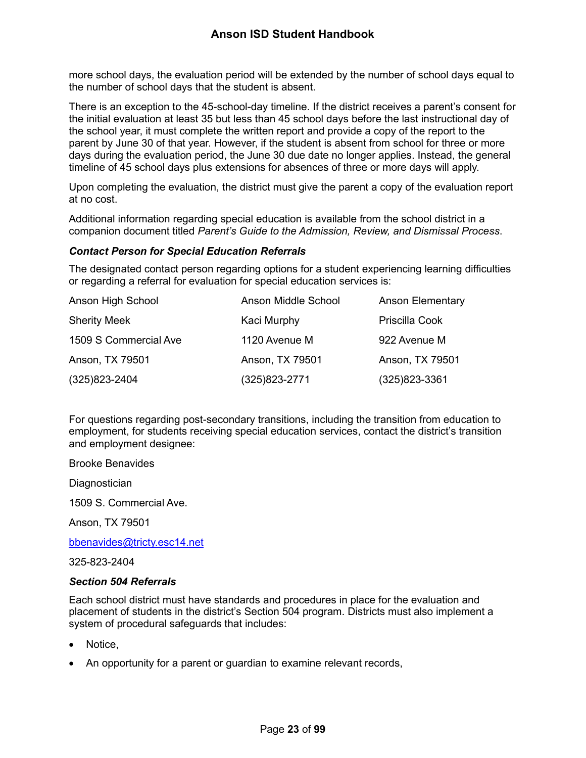more school days, the evaluation period will be extended by the number of school days equal to the number of school days that the student is absent.

There is an exception to the 45-school-day timeline. If the district receives a parent's consent for the initial evaluation at least 35 but less than 45 school days before the last instructional day of the school year, it must complete the written report and provide a copy of the report to the parent by June 30 of that year. However, if the student is absent from school for three or more days during the evaluation period, the June 30 due date no longer applies. Instead, the general timeline of 45 school days plus extensions for absences of three or more days will apply.

Upon completing the evaluation, the district must give the parent a copy of the evaluation report at no cost.

Additional information regarding special education is available from the school district in a companion document titled *Parent's Guide to the Admission, Review, and Dismissal Process*.

#### *Contact Person for Special Education Referrals*

The designated contact person regarding options for a student experiencing learning difficulties or regarding a referral for evaluation for special education services is:

| Anson High School     | Anson Middle School | <b>Anson Elementary</b> |
|-----------------------|---------------------|-------------------------|
| <b>Sherity Meek</b>   | Kaci Murphy         | Priscilla Cook          |
| 1509 S Commercial Ave | 1120 Avenue M       | 922 Avenue M            |
| Anson, TX 79501       | Anson, TX 79501     | Anson, TX 79501         |
| (325) 823-2404        | (325) 823-2771      | $(325)823-3361$         |

For questions regarding post-secondary transitions, including the transition from education to employment, for students receiving special education services, contact the district's transition and employment designee:

Brooke Benavides

**Diagnostician** 

1509 S. Commercial Ave.

Anson, TX 79501

[bbenavides@tricty.esc14.net](mailto:bbenavides@tricty.esc14.net)

325-823-2404

#### *Section 504 Referrals*

Each school district must have standards and procedures in place for the evaluation and placement of students in the district's Section 504 program. Districts must also implement a system of procedural safeguards that includes:

- Notice.
- An opportunity for a parent or guardian to examine relevant records,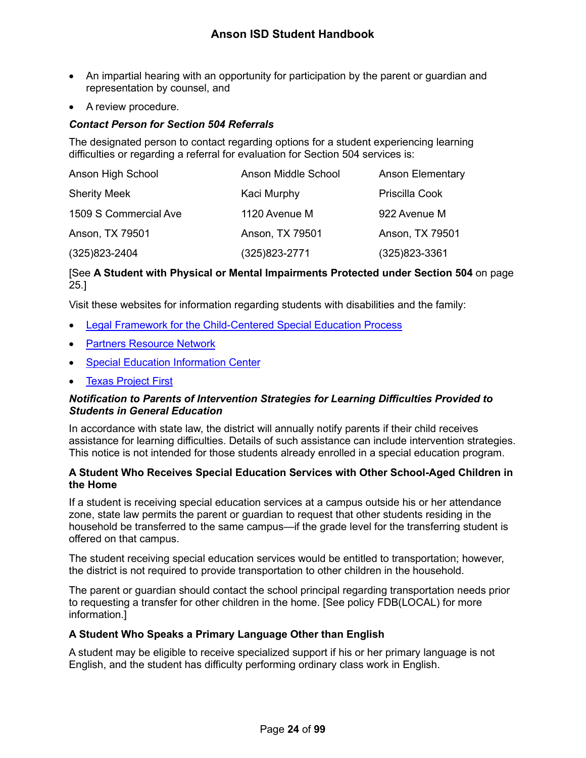- An impartial hearing with an opportunity for participation by the parent or guardian and representation by counsel, and
- A review procedure.

#### *Contact Person for Section 504 Referrals*

The designated person to contact regarding options for a student experiencing learning difficulties or regarding a referral for evaluation for Section 504 services is:

| Anson High School     | Anson Middle School | <b>Anson Elementary</b> |
|-----------------------|---------------------|-------------------------|
| <b>Sherity Meek</b>   | Kaci Murphy         | Priscilla Cook          |
| 1509 S Commercial Ave | 1120 Avenue M       | 922 Avenue M            |
| Anson, TX 79501       | Anson, TX 79501     | Anson, TX 79501         |
| $(325)823 - 2404$     | (325)823-2771       | $(325)823 - 3361$       |

#### [See **A Student with Physical or Mental Impairments Protected under Section 504** on page [25.](#page-25-0)]

Visit these websites for information regarding students with disabilities and the family:

- [Legal Framework for the Child-Centered Special Education Process](http://framework.esc18.net/display/Webforms/LandingPage.aspx)
- [Partners Resource Network](http://www.partnerstx.org/)
- **[Special Education Information Center](http://www.spedtex.org/)**
- [Texas Project First](http://www.texasprojectfirst.org/)

#### *Notification to Parents of Intervention Strategies for Learning Difficulties Provided to Students in General Education*

In accordance with state law, the district will annually notify parents if their child receives assistance for learning difficulties. Details of such assistance can include intervention strategies. This notice is not intended for those students already enrolled in a special education program.

#### <span id="page-24-0"></span>**A Student Who Receives Special Education Services with Other School-Aged Children in the Home**

If a student is receiving special education services at a campus outside his or her attendance zone, state law permits the parent or guardian to request that other students residing in the household be transferred to the same campus—if the grade level for the transferring student is offered on that campus.

The student receiving special education services would be entitled to transportation; however, the district is not required to provide transportation to other children in the household.

The parent or guardian should contact the school principal regarding transportation needs prior to requesting a transfer for other children in the home. [See policy FDB(LOCAL) for more information.]

#### <span id="page-24-1"></span>**A Student Who Speaks a Primary Language Other than English**

A student may be eligible to receive specialized support if his or her primary language is not English, and the student has difficulty performing ordinary class work in English.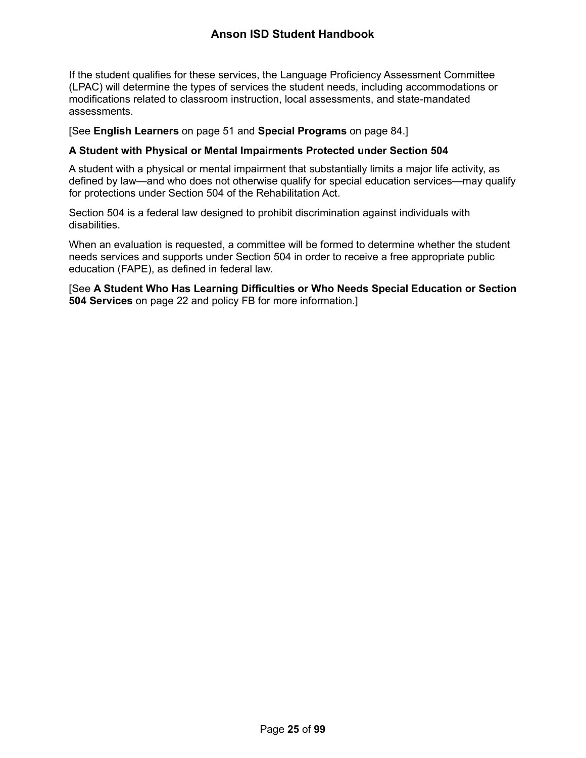If the student qualifies for these services, the Language Proficiency Assessment Committee (LPAC) will determine the types of services the student needs, including accommodations or modifications related to classroom instruction, local assessments, and state-mandated assessments.

#### [See **English Learners** on page [51](#page-51-4) and **Special Programs** on page [84.](#page-84-2)]

#### <span id="page-25-0"></span>**A Student with Physical or Mental Impairments Protected under Section 504**

A student with a physical or mental impairment that substantially limits a major life activity, as defined by law—and who does not otherwise qualify for special education services—may qualify for protections under Section 504 of the Rehabilitation Act.

Section 504 is a federal law designed to prohibit discrimination against individuals with disabilities.

When an evaluation is requested, a committee will be formed to determine whether the student needs services and supports under Section 504 in order to receive a free appropriate public education (FAPE), as defined in federal law.

[See **A Student Who Has Learning Difficulties or Who Needs Special Education or Section 504 Services** on page [22](#page-22-0) and policy FB for more information.]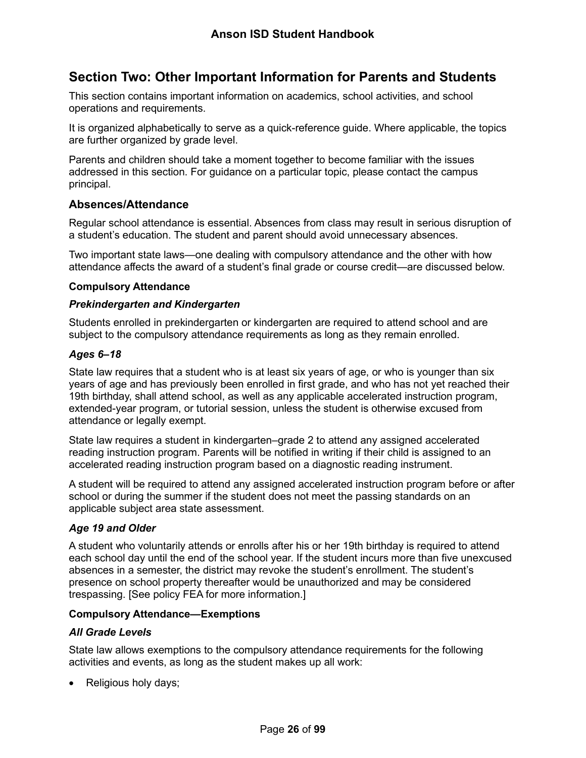# <span id="page-26-0"></span>**Section Two: Other Important Information for Parents and Students**

This section contains important information on academics, school activities, and school operations and requirements.

It is organized alphabetically to serve as a quick-reference guide. Where applicable, the topics are further organized by grade level.

Parents and children should take a moment together to become familiar with the issues addressed in this section. For guidance on a particular topic, please contact the campus principal.

#### <span id="page-26-1"></span>**Absences/Attendance**

Regular school attendance is essential. Absences from class may result in serious disruption of a student's education. The student and parent should avoid unnecessary absences.

Two important state laws—one dealing with compulsory attendance and the other with how attendance affects the award of a student's final grade or course credit—are discussed below.

#### <span id="page-26-2"></span>**Compulsory Attendance**

#### *Prekindergarten and Kindergarten*

Students enrolled in prekindergarten or kindergarten are required to attend school and are subject to the compulsory attendance requirements as long as they remain enrolled.

#### *Ages 6–18*

State law requires that a student who is at least six years of age, or who is younger than six years of age and has previously been enrolled in first grade, and who has not yet reached their 19th birthday, shall attend school, as well as any applicable accelerated instruction program, extended-year program, or tutorial session, unless the student is otherwise excused from attendance or legally exempt.

State law requires a student in kindergarten–grade 2 to attend any assigned accelerated reading instruction program. Parents will be notified in writing if their child is assigned to an accelerated reading instruction program based on a diagnostic reading instrument.

A student will be required to attend any assigned accelerated instruction program before or after school or during the summer if the student does not meet the passing standards on an applicable subject area state assessment.

#### *Age 19 and Older*

A student who voluntarily attends or enrolls after his or her 19th birthday is required to attend each school day until the end of the school year. If the student incurs more than five unexcused absences in a semester, the district may revoke the student's enrollment. The student's presence on school property thereafter would be unauthorized and may be considered trespassing. [See policy FEA for more information.]

#### <span id="page-26-3"></span>**Compulsory Attendance—Exemptions**

#### *All Grade Levels*

State law allows exemptions to the compulsory attendance requirements for the following activities and events, as long as the student makes up all work:

• Religious holy days;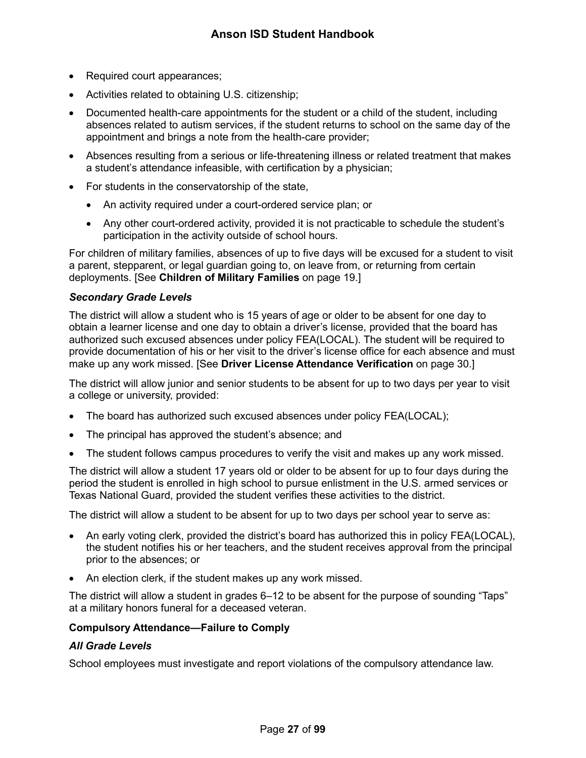- Required court appearances;
- Activities related to obtaining U.S. citizenship;
- Documented health-care appointments for the student or a child of the student, including absences related to autism services, if the student returns to school on the same day of the appointment and brings a note from the health-care provider;
- Absences resulting from a serious or life-threatening illness or related treatment that makes a student's attendance infeasible, with certification by a physician;
- For students in the conservatorship of the state,
	- An activity required under a court-ordered service plan; or
	- Any other court-ordered activity, provided it is not practicable to schedule the student's participation in the activity outside of school hours.

For children of military families, absences of up to five days will be excused for a student to visit a parent, stepparent, or legal guardian going to, on leave from, or returning from certain deployments. [See **Children of Military Families** on page [19.](#page-19-2)]

#### *Secondary Grade Levels*

The district will allow a student who is 15 years of age or older to be absent for one day to obtain a learner license and one day to obtain a driver's license, provided that the board has authorized such excused absences under policy FEA(LOCAL). The student will be required to provide documentation of his or her visit to the driver's license office for each absence and must make up any work missed. [See **Driver License Attendance Verification** on page [30.](#page-30-1)]

The district will allow junior and senior students to be absent for up to two days per year to visit a college or university, provided:

- The board has authorized such excused absences under policy FEA(LOCAL);
- The principal has approved the student's absence; and
- The student follows campus procedures to verify the visit and makes up any work missed.

The district will allow a student 17 years old or older to be absent for up to four days during the period the student is enrolled in high school to pursue enlistment in the U.S. armed services or Texas National Guard, provided the student verifies these activities to the district.

The district will allow a student to be absent for up to two days per school year to serve as:

- An early voting clerk, provided the district's board has authorized this in policy FEA(LOCAL), the student notifies his or her teachers, and the student receives approval from the principal prior to the absences; or
- An election clerk, if the student makes up any work missed.

The district will allow a student in grades 6–12 to be absent for the purpose of sounding "Taps" at a military honors funeral for a deceased veteran.

#### <span id="page-27-0"></span>**Compulsory Attendance—Failure to Comply**

#### *All Grade Levels*

School employees must investigate and report violations of the compulsory attendance law.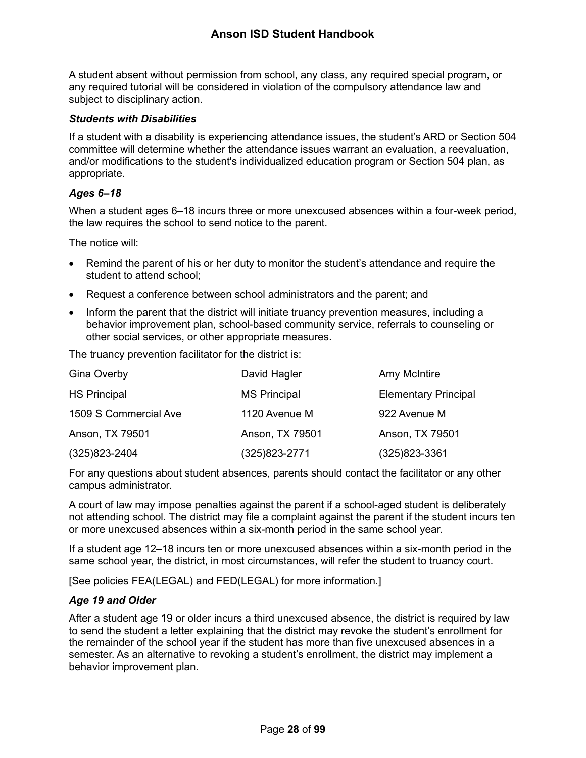A student absent without permission from school, any class, any required special program, or any required tutorial will be considered in violation of the compulsory attendance law and subject to disciplinary action.

#### *Students with Disabilities*

If a student with a disability is experiencing attendance issues, the student's ARD or Section 504 committee will determine whether the attendance issues warrant an evaluation, a reevaluation, and/or modifications to the student's individualized education program or Section 504 plan, as appropriate.

#### *Ages 6–18*

When a student ages 6–18 incurs three or more unexcused absences within a four-week period, the law requires the school to send notice to the parent.

The notice will:

- Remind the parent of his or her duty to monitor the student's attendance and require the student to attend school;
- Request a conference between school administrators and the parent; and
- Inform the parent that the district will initiate truancy prevention measures, including a behavior improvement plan, school-based community service, referrals to counseling or other social services, or other appropriate measures.

The truancy prevention facilitator for the district is:

| Gina Overby           | David Hagler        | Amy McIntire                |
|-----------------------|---------------------|-----------------------------|
| <b>HS Principal</b>   | <b>MS Principal</b> | <b>Elementary Principal</b> |
| 1509 S Commercial Ave | 1120 Avenue M       | 922 Avenue M                |
| Anson, TX 79501       | Anson, TX 79501     | Anson, TX 79501             |
| $(325)823 - 2404$     | (325)823-2771       | $(325)823 - 3361$           |

For any questions about student absences, parents should contact the facilitator or any other campus administrator.

A court of law may impose penalties against the parent if a school-aged student is deliberately not attending school. The district may file a complaint against the parent if the student incurs ten or more unexcused absences within a six-month period in the same school year.

If a student age 12–18 incurs ten or more unexcused absences within a six-month period in the same school year, the district, in most circumstances, will refer the student to truancy court.

[See policies FEA(LEGAL) and FED(LEGAL) for more information.]

#### *Age 19 and Older*

After a student age 19 or older incurs a third unexcused absence, the district is required by law to send the student a letter explaining that the district may revoke the student's enrollment for the remainder of the school year if the student has more than five unexcused absences in a semester. As an alternative to revoking a student's enrollment, the district may implement a behavior improvement plan.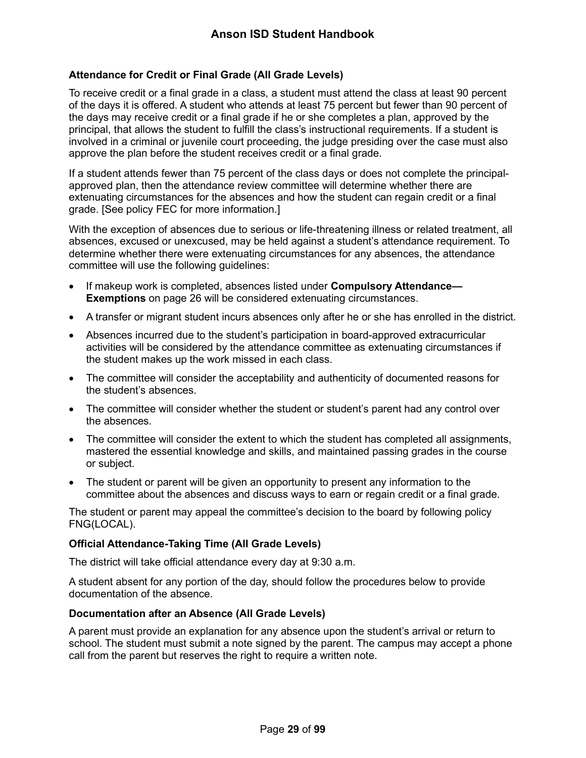#### <span id="page-29-0"></span>**Attendance for Credit or Final Grade (All Grade Levels)**

To receive credit or a final grade in a class, a student must attend the class at least 90 percent of the days it is offered. A student who attends at least 75 percent but fewer than 90 percent of the days may receive credit or a final grade if he or she completes a plan, approved by the principal, that allows the student to fulfill the class's instructional requirements. If a student is involved in a criminal or juvenile court proceeding, the judge presiding over the case must also approve the plan before the student receives credit or a final grade.

If a student attends fewer than 75 percent of the class days or does not complete the principalapproved plan, then the attendance review committee will determine whether there are extenuating circumstances for the absences and how the student can regain credit or a final grade. [See policy FEC for more information.]

With the exception of absences due to serious or life-threatening illness or related treatment, all absences, excused or unexcused, may be held against a student's attendance requirement. To determine whether there were extenuating circumstances for any absences, the attendance committee will use the following guidelines:

- If makeup work is completed, absences listed under **Compulsory Attendance— Exemptions** on page [26](#page-26-3) will be considered extenuating circumstances.
- A transfer or migrant student incurs absences only after he or she has enrolled in the district.
- Absences incurred due to the student's participation in board-approved extracurricular activities will be considered by the attendance committee as extenuating circumstances if the student makes up the work missed in each class.
- The committee will consider the acceptability and authenticity of documented reasons for the student's absences.
- The committee will consider whether the student or student's parent had any control over the absences.
- The committee will consider the extent to which the student has completed all assignments, mastered the essential knowledge and skills, and maintained passing grades in the course or subject.
- The student or parent will be given an opportunity to present any information to the committee about the absences and discuss ways to earn or regain credit or a final grade.

The student or parent may appeal the committee's decision to the board by following policy FNG(LOCAL).

#### <span id="page-29-1"></span>**Official Attendance-Taking Time (All Grade Levels)**

The district will take official attendance every day at 9:30 a.m.

A student absent for any portion of the day, should follow the procedures below to provide documentation of the absence.

#### <span id="page-29-2"></span>**Documentation after an Absence (All Grade Levels)**

A parent must provide an explanation for any absence upon the student's arrival or return to school. The student must submit a note signed by the parent. The campus may accept a phone call from the parent but reserves the right to require a written note.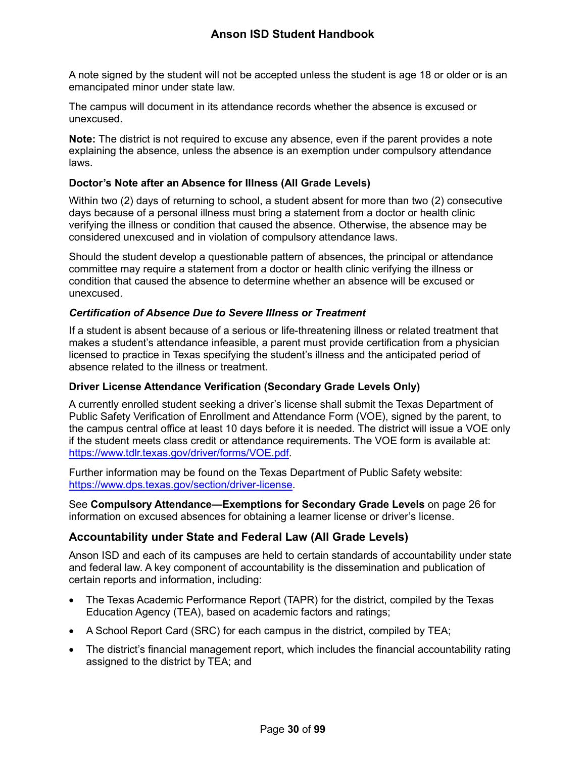A note signed by the student will not be accepted unless the student is age 18 or older or is an emancipated minor under state law.

The campus will document in its attendance records whether the absence is excused or unexcused.

**Note:** The district is not required to excuse any absence, even if the parent provides a note explaining the absence, unless the absence is an exemption under compulsory attendance laws.

#### <span id="page-30-0"></span>**Doctor's Note after an Absence for Illness (All Grade Levels)**

Within two (2) days of returning to school, a student absent for more than two (2) consecutive days because of a personal illness must bring a statement from a doctor or health clinic verifying the illness or condition that caused the absence. Otherwise, the absence may be considered unexcused and in violation of compulsory attendance laws.

Should the student develop a questionable pattern of absences, the principal or attendance committee may require a statement from a doctor or health clinic verifying the illness or condition that caused the absence to determine whether an absence will be excused or unexcused.

#### *Certification of Absence Due to Severe Illness or Treatment*

If a student is absent because of a serious or life-threatening illness or related treatment that makes a student's attendance infeasible, a parent must provide certification from a physician licensed to practice in Texas specifying the student's illness and the anticipated period of absence related to the illness or treatment.

#### <span id="page-30-1"></span>**Driver License Attendance Verification (Secondary Grade Levels Only)**

A currently enrolled student seeking a driver's license shall submit the Texas Department of Public Safety Verification of Enrollment and Attendance Form (VOE), signed by the parent, to the campus central office at least 10 days before it is needed. The district will issue a VOE only if the student meets class credit or attendance requirements. The VOE form is available at: [https://www.tdlr.texas.gov/driver/forms/VOE.pdf.](https://www.tdlr.texas.gov/driver/forms/VOE.pdf)

Further information may be found on the Texas Department of Public Safety website: [https://www.dps.texas.gov/section/driver-license.](https://www.dps.texas.gov/section/driver-license)

See **Compulsory Attendance—Exemptions for Secondary Grade Levels** on page [26](#page-26-3) for information on excused absences for obtaining a learner license or driver's license.

#### <span id="page-30-2"></span>**Accountability under State and Federal Law (All Grade Levels)**

Anson ISD and each of its campuses are held to certain standards of accountability under state and federal law. A key component of accountability is the dissemination and publication of certain reports and information, including:

- The Texas Academic Performance Report (TAPR) for the district, compiled by the Texas Education Agency (TEA), based on academic factors and ratings;
- A School Report Card (SRC) for each campus in the district, compiled by TEA;
- The district's financial management report, which includes the financial accountability rating assigned to the district by TEA; and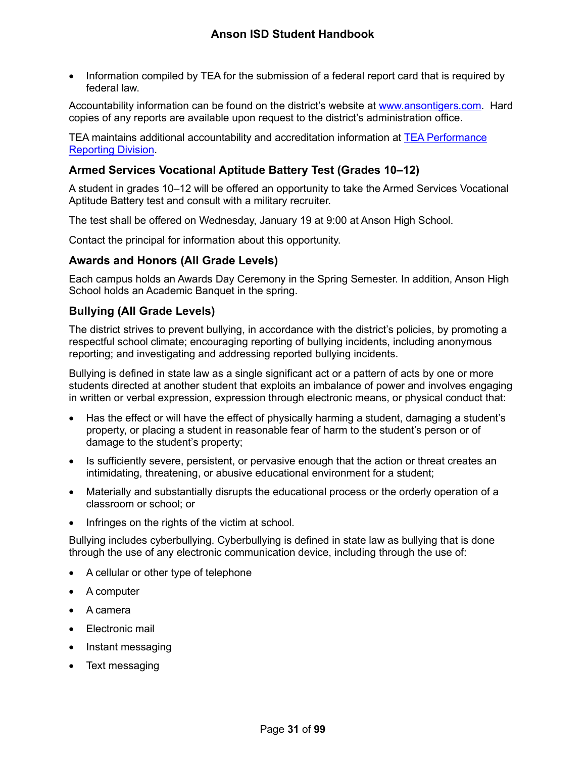• Information compiled by TEA for the submission of a federal report card that is required by federal law.

Accountability information can be found on the district's website at [www.ansontigers.com.](http://www.ansontigers.com/) Hard copies of any reports are available upon request to the district's administration office.

TEA maintains additional accountability and accreditation information at [TEA Performance](http://www.tea.texas.gov/perfreport/)  [Reporting Division.](http://www.tea.texas.gov/perfreport/)

### <span id="page-31-0"></span>**Armed Services Vocational Aptitude Battery Test (Grades 10–12)**

A student in grades 10–12 will be offered an opportunity to take the Armed Services Vocational Aptitude Battery test and consult with a military recruiter.

The test shall be offered on Wednesday, January 19 at 9:00 at Anson High School.

Contact the principal for information about this opportunity.

#### <span id="page-31-1"></span>**Awards and Honors (All Grade Levels)**

Each campus holds an Awards Day Ceremony in the Spring Semester. In addition, Anson High School holds an Academic Banquet in the spring.

#### <span id="page-31-2"></span>**Bullying (All Grade Levels)**

The district strives to prevent bullying, in accordance with the district's policies, by promoting a respectful school climate; encouraging reporting of bullying incidents, including anonymous reporting; and investigating and addressing reported bullying incidents.

Bullying is defined in state law as a single significant act or a pattern of acts by one or more students directed at another student that exploits an imbalance of power and involves engaging in written or verbal expression, expression through electronic means, or physical conduct that:

- Has the effect or will have the effect of physically harming a student, damaging a student's property, or placing a student in reasonable fear of harm to the student's person or of damage to the student's property;
- Is sufficiently severe, persistent, or pervasive enough that the action or threat creates an intimidating, threatening, or abusive educational environment for a student;
- Materially and substantially disrupts the educational process or the orderly operation of a classroom or school; or
- Infringes on the rights of the victim at school.

Bullying includes cyberbullying. Cyberbullying is defined in state law as bullying that is done through the use of any electronic communication device, including through the use of:

- A cellular or other type of telephone
- A computer
- A camera
- Electronic mail
- Instant messaging
- Text messaging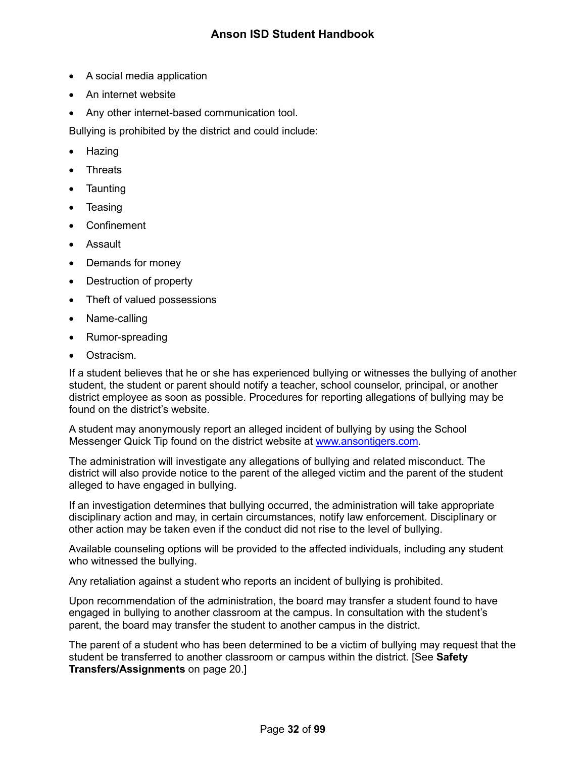- A social media application
- An internet website
- Any other internet-based communication tool.

Bullying is prohibited by the district and could include:

- Hazing
- **Threats**
- **Taunting**
- **Teasing**
- Confinement
- Assault
- Demands for money
- Destruction of property
- Theft of valued possessions
- Name-calling
- Rumor-spreading
- Ostracism.

If a student believes that he or she has experienced bullying or witnesses the bullying of another student, the student or parent should notify a teacher, school counselor, principal, or another district employee as soon as possible. Procedures for reporting allegations of bullying may be found on the district's website.

A student may anonymously report an alleged incident of bullying by using the School Messenger Quick Tip found on the district website at [www.ansontigers.com.](http://www.ansontigers.com/)

The administration will investigate any allegations of bullying and related misconduct. The district will also provide notice to the parent of the alleged victim and the parent of the student alleged to have engaged in bullying.

If an investigation determines that bullying occurred, the administration will take appropriate disciplinary action and may, in certain circumstances, notify law enforcement. Disciplinary or other action may be taken even if the conduct did not rise to the level of bullying.

Available counseling options will be provided to the affected individuals, including any student who witnessed the bullying.

Any retaliation against a student who reports an incident of bullying is prohibited.

Upon recommendation of the administration, the board may transfer a student found to have engaged in bullying to another classroom at the campus. In consultation with the student's parent, the board may transfer the student to another campus in the district.

The parent of a student who has been determined to be a victim of bullying may request that the student be transferred to another classroom or campus within the district. [See **Safety Transfers/Assignments** on page [20.](#page-20-3)]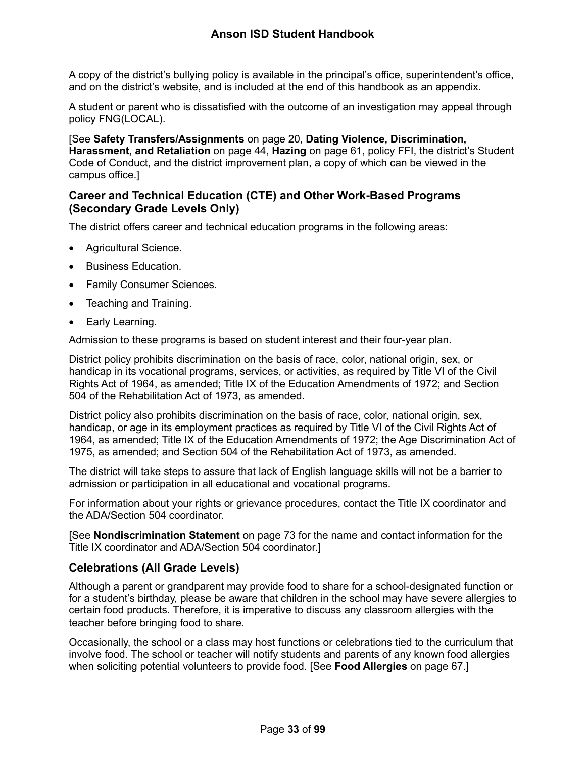A copy of the district's bullying policy is available in the principal's office, superintendent's office, and on the district's website, and is included at the end of this handbook as an appendix.

A student or parent who is dissatisfied with the outcome of an investigation may appeal through policy FNG(LOCAL).

[See **Safety Transfers/Assignments** on page [20,](#page-20-3) **Dating Violence, Discrimination, Harassment, and Retaliation** on page [44,](#page-44-0) **Hazing** on page [61,](#page-61-1) policy FFI, the district's Student Code of Conduct, and the district improvement plan, a copy of which can be viewed in the campus office.]

#### <span id="page-33-0"></span>**Career and Technical Education (CTE) and Other Work-Based Programs (Secondary Grade Levels Only)**

The district offers career and technical education programs in the following areas:

- Agricultural Science.
- Business Education.
- Family Consumer Sciences.
- Teaching and Training.
- Early Learning.

Admission to these programs is based on student interest and their four-year plan.

District policy prohibits discrimination on the basis of race, color, national origin, sex, or handicap in its vocational programs, services, or activities, as required by Title VI of the Civil Rights Act of 1964, as amended; Title IX of the Education Amendments of 1972; and Section 504 of the Rehabilitation Act of 1973, as amended.

District policy also prohibits discrimination on the basis of race, color, national origin, sex, handicap, or age in its employment practices as required by Title VI of the Civil Rights Act of 1964, as amended; Title IX of the Education Amendments of 1972; the Age Discrimination Act of 1975, as amended; and Section 504 of the Rehabilitation Act of 1973, as amended.

The district will take steps to assure that lack of English language skills will not be a barrier to admission or participation in all educational and vocational programs.

For information about your rights or grievance procedures, contact the Title IX coordinator and the ADA/Section 504 coordinator.

[See **Nondiscrimination Statement** on page [73](#page-73-2) for the name and contact information for the Title IX coordinator and ADA/Section 504 coordinator.]

#### <span id="page-33-1"></span>**Celebrations (All Grade Levels)**

Although a parent or grandparent may provide food to share for a school-designated function or for a student's birthday, please be aware that children in the school may have severe allergies to certain food products. Therefore, it is imperative to discuss any classroom allergies with the teacher before bringing food to share.

Occasionally, the school or a class may host functions or celebrations tied to the curriculum that involve food. The school or teacher will notify students and parents of any known food allergies when soliciting potential volunteers to provide food. [See **Food Allergies** on page [67.](#page-67-1)]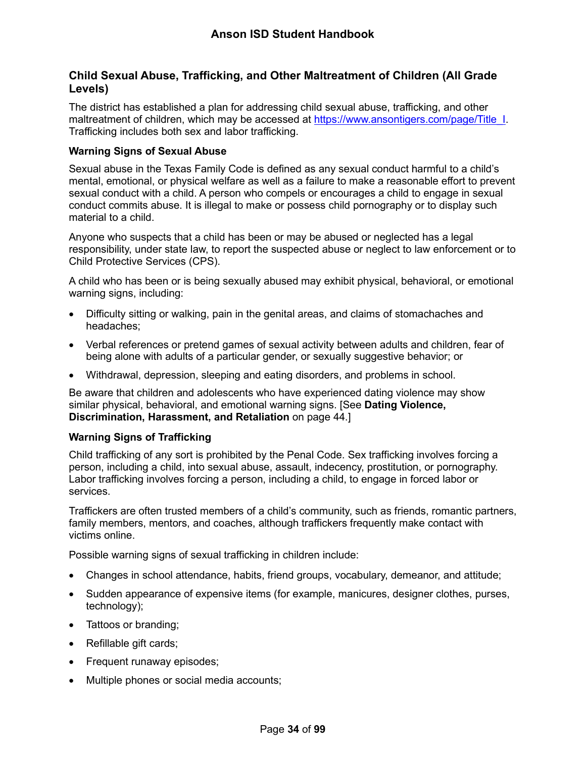#### <span id="page-34-0"></span>**Child Sexual Abuse, Trafficking, and Other Maltreatment of Children (All Grade Levels)**

The district has established a plan for addressing child sexual abuse, trafficking, and other maltreatment of children, which may be accessed at [https://www.ansontigers.com/page/Title\\_I.](https://www.ansontigers.com/page/Title_I) Trafficking includes both sex and labor trafficking.

#### <span id="page-34-1"></span>**Warning Signs of Sexual Abuse**

Sexual abuse in the Texas Family Code is defined as any sexual conduct harmful to a child's mental, emotional, or physical welfare as well as a failure to make a reasonable effort to prevent sexual conduct with a child. A person who compels or encourages a child to engage in sexual conduct commits abuse. It is illegal to make or possess child pornography or to display such material to a child.

Anyone who suspects that a child has been or may be abused or neglected has a legal responsibility, under state law, to report the suspected abuse or neglect to law enforcement or to Child Protective Services (CPS).

A child who has been or is being sexually abused may exhibit physical, behavioral, or emotional warning signs, including:

- Difficulty sitting or walking, pain in the genital areas, and claims of stomachaches and headaches;
- Verbal references or pretend games of sexual activity between adults and children, fear of being alone with adults of a particular gender, or sexually suggestive behavior; or
- Withdrawal, depression, sleeping and eating disorders, and problems in school.

Be aware that children and adolescents who have experienced dating violence may show similar physical, behavioral, and emotional warning signs. [See **Dating Violence, Discrimination, Harassment, and Retaliation** on page [44.](#page-44-0)]

#### <span id="page-34-2"></span>**Warning Signs of Trafficking**

Child trafficking of any sort is prohibited by the Penal Code. Sex trafficking involves forcing a person, including a child, into sexual abuse, assault, indecency, prostitution, or pornography. Labor trafficking involves forcing a person, including a child, to engage in forced labor or services.

Traffickers are often trusted members of a child's community, such as friends, romantic partners, family members, mentors, and coaches, although traffickers frequently make contact with victims online.

Possible warning signs of sexual trafficking in children include:

- Changes in school attendance, habits, friend groups, vocabulary, demeanor, and attitude;
- Sudden appearance of expensive items (for example, manicures, designer clothes, purses, technology);
- Tattoos or branding;
- Refillable gift cards;
- Frequent runaway episodes;
- Multiple phones or social media accounts;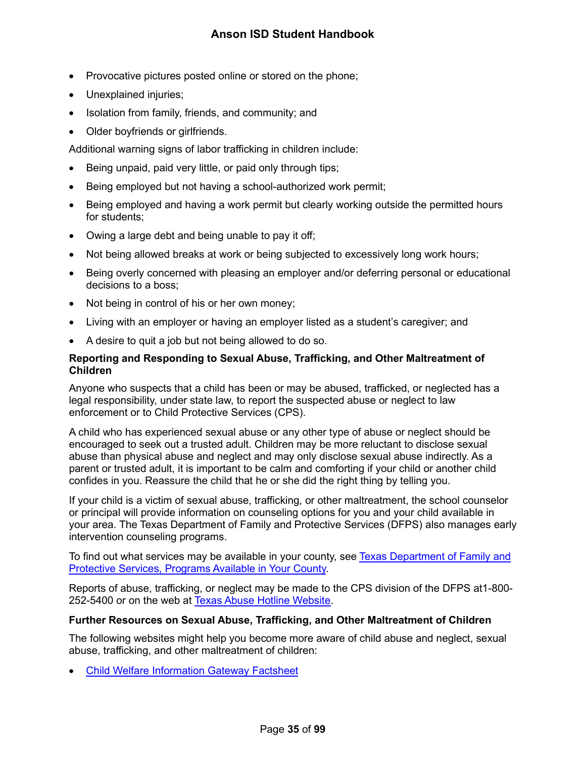- Provocative pictures posted online or stored on the phone;
- Unexplained injuries;
- Isolation from family, friends, and community; and
- Older boyfriends or girlfriends.

Additional warning signs of labor trafficking in children include:

- Being unpaid, paid very little, or paid only through tips;
- Being employed but not having a school-authorized work permit;
- Being employed and having a work permit but clearly working outside the permitted hours for students;
- Owing a large debt and being unable to pay it off;
- Not being allowed breaks at work or being subjected to excessively long work hours;
- Being overly concerned with pleasing an employer and/or deferring personal or educational decisions to a boss;
- Not being in control of his or her own money;
- Living with an employer or having an employer listed as a student's caregiver; and
- A desire to quit a job but not being allowed to do so.

#### <span id="page-35-0"></span>**Reporting and Responding to Sexual Abuse, Trafficking, and Other Maltreatment of Children**

Anyone who suspects that a child has been or may be abused, trafficked, or neglected has a legal responsibility, under state law, to report the suspected abuse or neglect to law enforcement or to Child Protective Services (CPS).

A child who has experienced sexual abuse or any other type of abuse or neglect should be encouraged to seek out a trusted adult. Children may be more reluctant to disclose sexual abuse than physical abuse and neglect and may only disclose sexual abuse indirectly. As a parent or trusted adult, it is important to be calm and comforting if your child or another child confides in you. Reassure the child that he or she did the right thing by telling you.

If your child is a victim of sexual abuse, trafficking, or other maltreatment, the school counselor or principal will provide information on counseling options for you and your child available in your area. The Texas Department of Family and Protective Services (DFPS) also manages early intervention counseling programs.

To find out what services may be available in your county, see [Texas Department of Family and](http://www.dfps.state.tx.us/Prevention_and_Early_Intervention/Programs_Available_In_Your_County/default.asp)  [Protective Services, Programs Available in Your County.](http://www.dfps.state.tx.us/Prevention_and_Early_Intervention/Programs_Available_In_Your_County/default.asp)

Reports of abuse, trafficking, or neglect may be made to the CPS division of the DFPS at1-800- 252-5400 or on the web at [Texas Abuse Hotline Website.](http://www.txabusehotline.org/)

#### <span id="page-35-1"></span>**Further Resources on Sexual Abuse, Trafficking, and Other Maltreatment of Children**

The following websites might help you become more aware of child abuse and neglect, sexual abuse, trafficking, and other maltreatment of children:

• [Child Welfare Information Gateway Factsheet](https://www.childwelfare.gov/pubs/factsheets/whatiscan.pdf)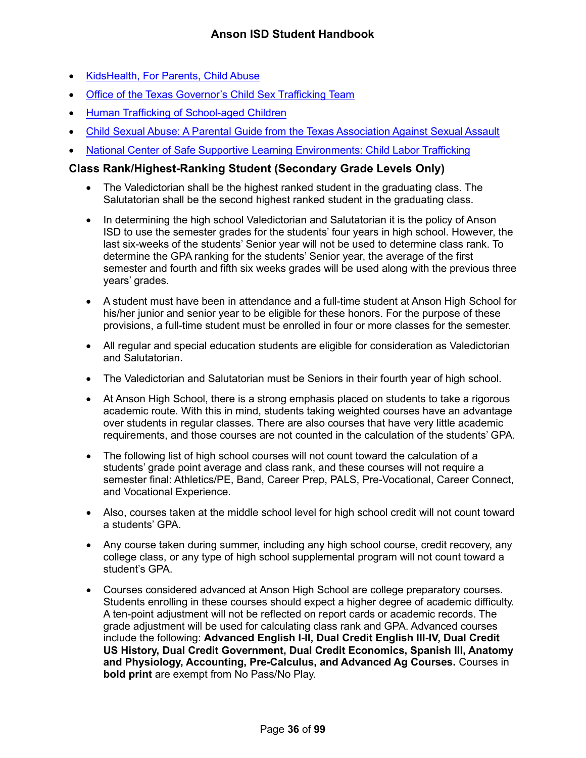- [KidsHealth, For Parents, Child Abuse](http://kidshealth.org/en/parents/child-abuse.html)
- [Office of the Texas Governor's Child Sex Trafficking Team](https://gov.texas.gov/organization/cjd/childsextrafficking)
- [Human Trafficking of School-aged Children](https://tea.texas.gov/About_TEA/Other_Services/Human_Trafficking_of_School-aged_Children/)
- [Child Sexual Abuse: A Parental Guide from the Texas Association Against Sexual Assault](http://taasa.org/product/child-sexual-abuse-parental-guide/)
- [National Center of Safe Supportive Learning Environments: Child Labor Trafficking](https://safesupportivelearning.ed.gov/human-trafficking-americas-schools/child-labor-trafficking)

# <span id="page-36-0"></span>**Class Rank/Highest-Ranking Student (Secondary Grade Levels Only)**

- The Valedictorian shall be the highest ranked student in the graduating class. The Salutatorian shall be the second highest ranked student in the graduating class.
- In determining the high school Valedictorian and Salutatorian it is the policy of Anson ISD to use the semester grades for the students' four years in high school. However, the last six-weeks of the students' Senior year will not be used to determine class rank. To determine the GPA ranking for the students' Senior year, the average of the first semester and fourth and fifth six weeks grades will be used along with the previous three years' grades.
- A student must have been in attendance and a full-time student at Anson High School for his/her junior and senior year to be eligible for these honors. For the purpose of these provisions, a full-time student must be enrolled in four or more classes for the semester.
- All regular and special education students are eligible for consideration as Valedictorian and Salutatorian.
- The Valedictorian and Salutatorian must be Seniors in their fourth year of high school.
- At Anson High School, there is a strong emphasis placed on students to take a rigorous academic route. With this in mind, students taking weighted courses have an advantage over students in regular classes. There are also courses that have very little academic requirements, and those courses are not counted in the calculation of the students' GPA.
- The following list of high school courses will not count toward the calculation of a students' grade point average and class rank, and these courses will not require a semester final: Athletics/PE, Band, Career Prep, PALS, Pre-Vocational, Career Connect, and Vocational Experience.
- Also, courses taken at the middle school level for high school credit will not count toward a students' GPA.
- Any course taken during summer, including any high school course, credit recovery, any college class, or any type of high school supplemental program will not count toward a student's GPA.
- Courses considered advanced at Anson High School are college preparatory courses. Students enrolling in these courses should expect a higher degree of academic difficulty. A ten-point adjustment will not be reflected on report cards or academic records. The grade adjustment will be used for calculating class rank and GPA. Advanced courses include the following: **Advanced English I-II, Dual Credit English III-IV, Dual Credit US History, Dual Credit Government, Dual Credit Economics, Spanish III, Anatomy and Physiology, Accounting, Pre-Calculus, and Advanced Ag Courses.** Courses in **bold print** are exempt from No Pass/No Play.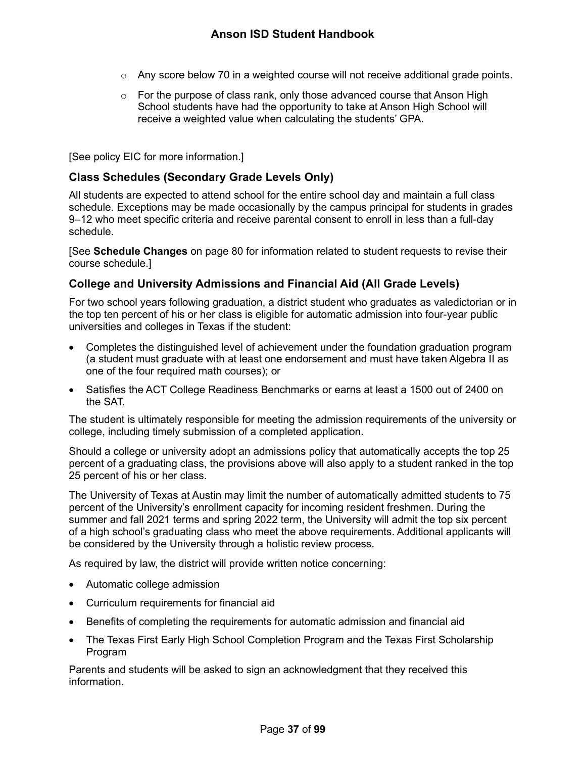- $\circ$  Any score below 70 in a weighted course will not receive additional grade points.
- $\circ$  For the purpose of class rank, only those advanced course that Anson High School students have had the opportunity to take at Anson High School will receive a weighted value when calculating the students' GPA.

[See policy EIC for more information.]

# **Class Schedules (Secondary Grade Levels Only)**

All students are expected to attend school for the entire school day and maintain a full class schedule. Exceptions may be made occasionally by the campus principal for students in grades 9–12 who meet specific criteria and receive parental consent to enroll in less than a full-day schedule.

[See **Schedule Changes** on page [80](#page-80-0) for information related to student requests to revise their course schedule.]

## **College and University Admissions and Financial Aid (All Grade Levels)**

For two school years following graduation, a district student who graduates as valedictorian or in the top ten percent of his or her class is eligible for automatic admission into four-year public universities and colleges in Texas if the student:

- Completes the distinguished level of achievement under the foundation graduation program (a student must graduate with at least one endorsement and must have taken Algebra II as one of the four required math courses); or
- Satisfies the ACT College Readiness Benchmarks or earns at least a 1500 out of 2400 on the SAT.

The student is ultimately responsible for meeting the admission requirements of the university or college, including timely submission of a completed application.

Should a college or university adopt an admissions policy that automatically accepts the top 25 percent of a graduating class, the provisions above will also apply to a student ranked in the top 25 percent of his or her class.

The University of Texas at Austin may limit the number of automatically admitted students to 75 percent of the University's enrollment capacity for incoming resident freshmen. During the summer and fall 2021 terms and spring 2022 term, the University will admit the top six percent of a high school's graduating class who meet the above requirements. Additional applicants will be considered by the University through a holistic review process.

As required by law, the district will provide written notice concerning:

- Automatic college admission
- Curriculum requirements for financial aid
- Benefits of completing the requirements for automatic admission and financial aid
- The Texas First Early High School Completion Program and the Texas First Scholarship Program

Parents and students will be asked to sign an acknowledgment that they received this information.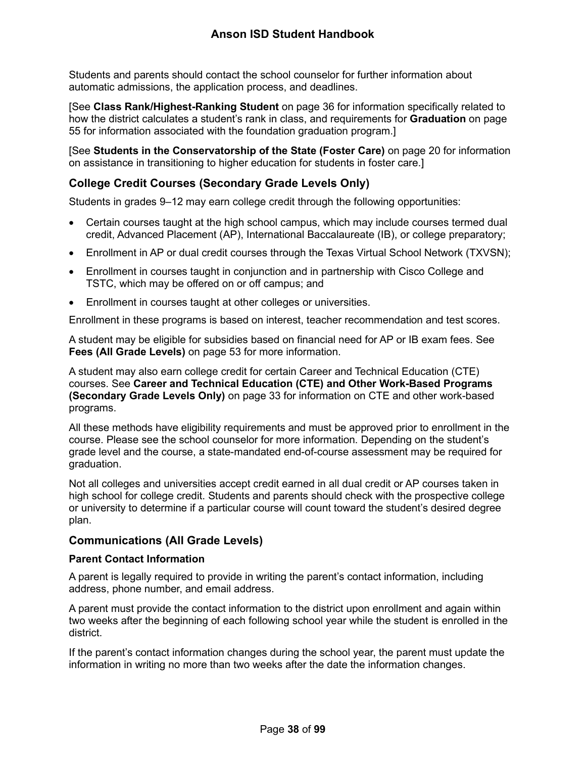Students and parents should contact the school counselor for further information about automatic admissions, the application process, and deadlines.

[See **Class Rank/Highest-Ranking Student** on page [36](#page-36-0) for information specifically related to how the district calculates a student's rank in class, and requirements for **Graduation** on page [55](#page-55-0) for information associated with the foundation graduation program.]

[See **Students in the Conservatorship of the State (Foster Care)** on page [20](#page-20-0) for information on assistance in transitioning to higher education for students in foster care.]

# **College Credit Courses (Secondary Grade Levels Only)**

Students in grades 9–12 may earn college credit through the following opportunities:

- Certain courses taught at the high school campus, which may include courses termed dual credit, Advanced Placement (AP), International Baccalaureate (IB), or college preparatory;
- Enrollment in AP or dual credit courses through the Texas Virtual School Network (TXVSN);
- Enrollment in courses taught in conjunction and in partnership with Cisco College and TSTC, which may be offered on or off campus; and
- Enrollment in courses taught at other colleges or universities.

Enrollment in these programs is based on interest, teacher recommendation and test scores.

A student may be eligible for subsidies based on financial need for AP or IB exam fees. See **Fees (All Grade Levels)** on page [53](#page-53-0) for more information.

A student may also earn college credit for certain Career and Technical Education (CTE) courses. See **Career and Technical Education (CTE) and Other Work-Based Programs (Secondary Grade Levels Only)** on page [33](#page-33-0) for information on CTE and other work-based programs.

All these methods have eligibility requirements and must be approved prior to enrollment in the course. Please see the school counselor for more information. Depending on the student's grade level and the course, a state-mandated end-of-course assessment may be required for graduation.

Not all colleges and universities accept credit earned in all dual credit or AP courses taken in high school for college credit. Students and parents should check with the prospective college or university to determine if a particular course will count toward the student's desired degree plan.

# **Communications (All Grade Levels)**

## **Parent Contact Information**

A parent is legally required to provide in writing the parent's contact information, including address, phone number, and email address.

A parent must provide the contact information to the district upon enrollment and again within two weeks after the beginning of each following school year while the student is enrolled in the district.

If the parent's contact information changes during the school year, the parent must update the information in writing no more than two weeks after the date the information changes.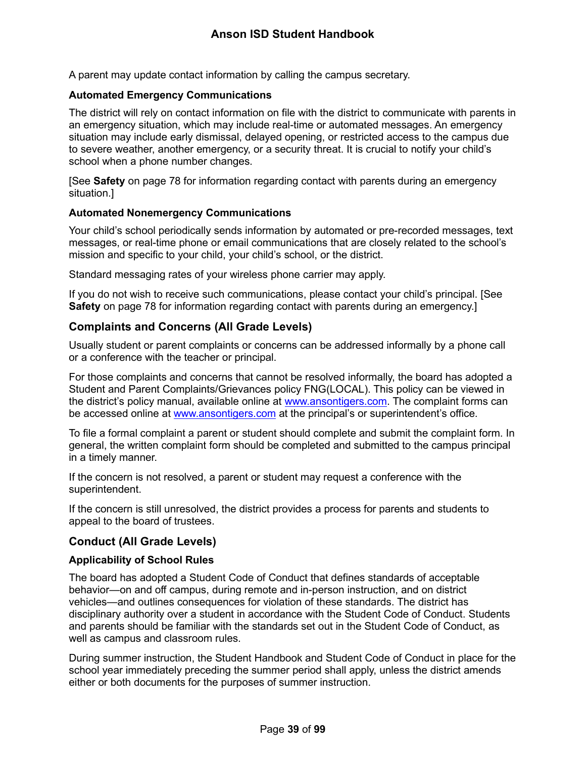A parent may update contact information by calling the campus secretary.

## **Automated Emergency Communications**

The district will rely on contact information on file with the district to communicate with parents in an emergency situation, which may include real-time or automated messages. An emergency situation may include early dismissal, delayed opening, or restricted access to the campus due to severe weather, another emergency, or a security threat. It is crucial to notify your child's school when a phone number changes.

[See **Safety** on page [78](#page-78-0) for information regarding contact with parents during an emergency situation.]

## **Automated Nonemergency Communications**

Your child's school periodically sends information by automated or pre-recorded messages, text messages, or real-time phone or email communications that are closely related to the school's mission and specific to your child, your child's school, or the district.

Standard messaging rates of your wireless phone carrier may apply.

If you do not wish to receive such communications, please contact your child's principal. [See **Safety** on page [78](#page-78-0) for information regarding contact with parents during an emergency.]

# **Complaints and Concerns (All Grade Levels)**

Usually student or parent complaints or concerns can be addressed informally by a phone call or a conference with the teacher or principal.

For those complaints and concerns that cannot be resolved informally, the board has adopted a Student and Parent Complaints/Grievances policy FNG(LOCAL). This policy can be viewed in the district's policy manual, available online at [www.ansontigers.com.](http://www.ansontigers.com/) The complaint forms can be accessed online at [www.ansontigers.com](http://www.ansontigers.com/) at the principal's or superintendent's office.

To file a formal complaint a parent or student should complete and submit the complaint form. In general, the written complaint form should be completed and submitted to the campus principal in a timely manner.

If the concern is not resolved, a parent or student may request a conference with the superintendent.

If the concern is still unresolved, the district provides a process for parents and students to appeal to the board of trustees.

# **Conduct (All Grade Levels)**

## **Applicability of School Rules**

The board has adopted a Student Code of Conduct that defines standards of acceptable behavior—on and off campus, during remote and in-person instruction, and on district vehicles—and outlines consequences for violation of these standards. The district has disciplinary authority over a student in accordance with the Student Code of Conduct. Students and parents should be familiar with the standards set out in the Student Code of Conduct, as well as campus and classroom rules.

During summer instruction, the Student Handbook and Student Code of Conduct in place for the school year immediately preceding the summer period shall apply, unless the district amends either or both documents for the purposes of summer instruction.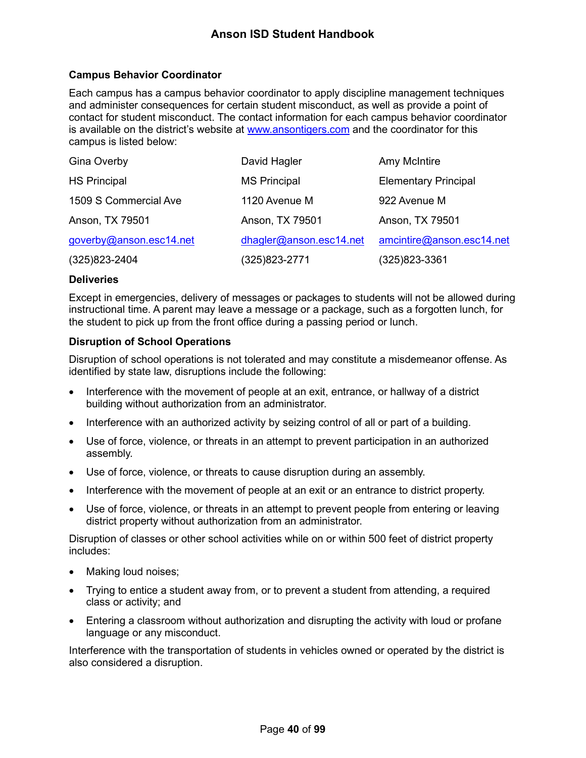## **Campus Behavior Coordinator**

Each campus has a campus behavior coordinator to apply discipline management techniques and administer consequences for certain student misconduct, as well as provide a point of contact for student misconduct. The contact information for each campus behavior coordinator is available on the district's website at [www.ansontigers.com](http://www.ansontigers.com/) and the coordinator for this campus is listed below:

| Gina Overby             | David Hagler            | <b>Amy McIntire</b>         |
|-------------------------|-------------------------|-----------------------------|
| <b>HS Principal</b>     | <b>MS Principal</b>     | <b>Elementary Principal</b> |
| 1509 S Commercial Ave   | 1120 Avenue M           | 922 Avenue M                |
| Anson, TX 79501         | Anson, TX 79501         | Anson, TX 79501             |
| goverby@anson.esc14.net | dhagler@anson.esc14.net | amcintire@anson.esc14.net   |
| $(325)823 - 2404$       | (325)823-2771           | (325)823-3361               |

### **Deliveries**

Except in emergencies, delivery of messages or packages to students will not be allowed during instructional time. A parent may leave a message or a package, such as a forgotten lunch, for the student to pick up from the front office during a passing period or lunch.

## **Disruption of School Operations**

Disruption of school operations is not tolerated and may constitute a misdemeanor offense. As identified by state law, disruptions include the following:

- Interference with the movement of people at an exit, entrance, or hallway of a district building without authorization from an administrator.
- Interference with an authorized activity by seizing control of all or part of a building.
- Use of force, violence, or threats in an attempt to prevent participation in an authorized assembly.
- Use of force, violence, or threats to cause disruption during an assembly.
- Interference with the movement of people at an exit or an entrance to district property.
- Use of force, violence, or threats in an attempt to prevent people from entering or leaving district property without authorization from an administrator.

Disruption of classes or other school activities while on or within 500 feet of district property includes:

- Making loud noises;
- Trying to entice a student away from, or to prevent a student from attending, a required class or activity; and
- Entering a classroom without authorization and disrupting the activity with loud or profane language or any misconduct.

Interference with the transportation of students in vehicles owned or operated by the district is also considered a disruption.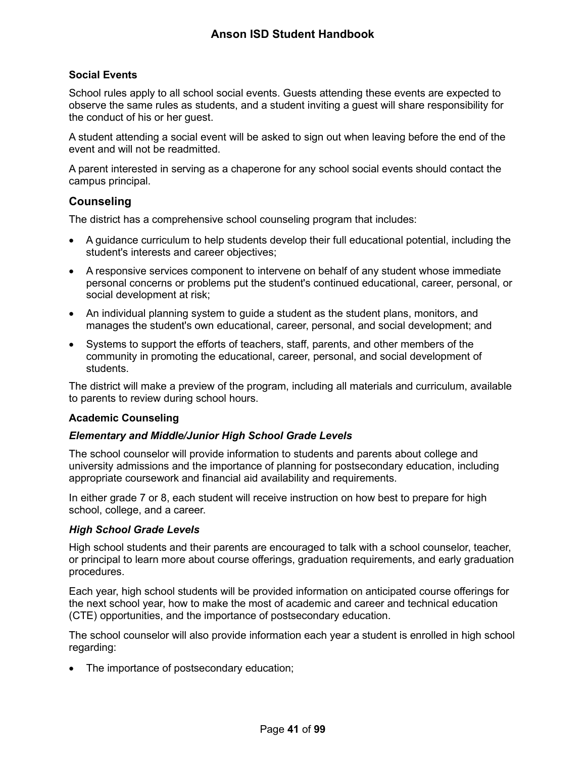## **Social Events**

School rules apply to all school social events. Guests attending these events are expected to observe the same rules as students, and a student inviting a guest will share responsibility for the conduct of his or her guest.

A student attending a social event will be asked to sign out when leaving before the end of the event and will not be readmitted.

A parent interested in serving as a chaperone for any school social events should contact the campus principal.

## <span id="page-41-0"></span>**Counseling**

The district has a comprehensive school counseling program that includes:

- A guidance curriculum to help students develop their full educational potential, including the student's interests and career objectives;
- A responsive services component to intervene on behalf of any student whose immediate personal concerns or problems put the student's continued educational, career, personal, or social development at risk;
- An individual planning system to guide a student as the student plans, monitors, and manages the student's own educational, career, personal, and social development; and
- Systems to support the efforts of teachers, staff, parents, and other members of the community in promoting the educational, career, personal, and social development of students.

The district will make a preview of the program, including all materials and curriculum, available to parents to review during school hours.

## **Academic Counseling**

### *Elementary and Middle/Junior High School Grade Levels*

The school counselor will provide information to students and parents about college and university admissions and the importance of planning for postsecondary education, including appropriate coursework and financial aid availability and requirements.

In either grade 7 or 8, each student will receive instruction on how best to prepare for high school, college, and a career.

### *High School Grade Levels*

High school students and their parents are encouraged to talk with a school counselor, teacher, or principal to learn more about course offerings, graduation requirements, and early graduation procedures.

Each year, high school students will be provided information on anticipated course offerings for the next school year, how to make the most of academic and career and technical education (CTE) opportunities, and the importance of postsecondary education.

The school counselor will also provide information each year a student is enrolled in high school regarding:

• The importance of postsecondary education;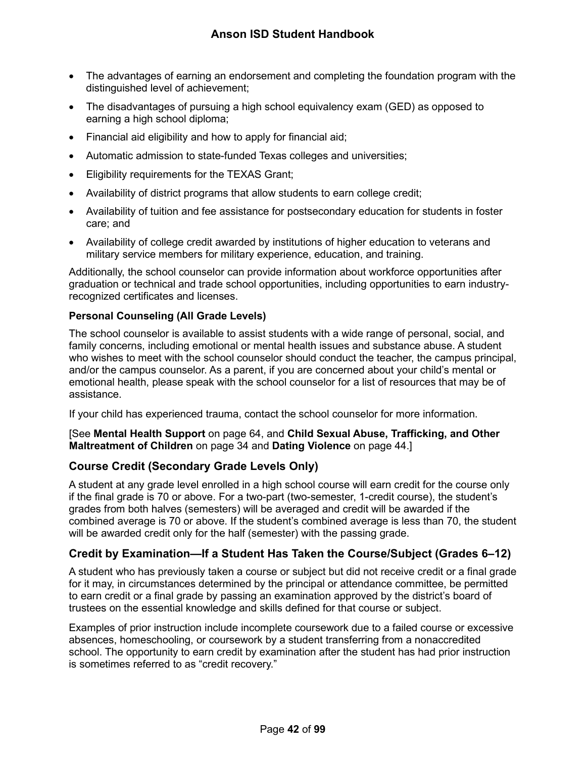- The advantages of earning an endorsement and completing the foundation program with the distinguished level of achievement;
- The disadvantages of pursuing a high school equivalency exam (GED) as opposed to earning a high school diploma;
- Financial aid eligibility and how to apply for financial aid;
- Automatic admission to state-funded Texas colleges and universities;
- Eligibility requirements for the TEXAS Grant;
- Availability of district programs that allow students to earn college credit;
- Availability of tuition and fee assistance for postsecondary education for students in foster care; and
- Availability of college credit awarded by institutions of higher education to veterans and military service members for military experience, education, and training.

Additionally, the school counselor can provide information about workforce opportunities after graduation or technical and trade school opportunities, including opportunities to earn industryrecognized certificates and licenses.

## **Personal Counseling (All Grade Levels)**

The school counselor is available to assist students with a wide range of personal, social, and family concerns, including emotional or mental health issues and substance abuse. A student who wishes to meet with the school counselor should conduct the teacher, the campus principal, and/or the campus counselor. As a parent, if you are concerned about your child's mental or emotional health, please speak with the school counselor for a list of resources that may be of assistance.

If your child has experienced trauma, contact the school counselor for more information.

[See **Mental Health Support** on page [64,](#page-64-0) and **Child Sexual Abuse, Trafficking, and Other Maltreatment of Children** on page [34](#page-34-0) and **Dating Violence** on page [44.](#page-44-0)]

# **Course Credit (Secondary Grade Levels Only)**

A student at any grade level enrolled in a high school course will earn credit for the course only if the final grade is 70 or above. For a two-part (two-semester, 1-credit course), the student's grades from both halves (semesters) will be averaged and credit will be awarded if the combined average is 70 or above. If the student's combined average is less than 70, the student will be awarded credit only for the half (semester) with the passing grade.

# **Credit by Examination—If a Student Has Taken the Course/Subject (Grades 6–12)**

A student who has previously taken a course or subject but did not receive credit or a final grade for it may, in circumstances determined by the principal or attendance committee, be permitted to earn credit or a final grade by passing an examination approved by the district's board of trustees on the essential knowledge and skills defined for that course or subject.

Examples of prior instruction include incomplete coursework due to a failed course or excessive absences, homeschooling, or coursework by a student transferring from a nonaccredited school. The opportunity to earn credit by examination after the student has had prior instruction is sometimes referred to as "credit recovery."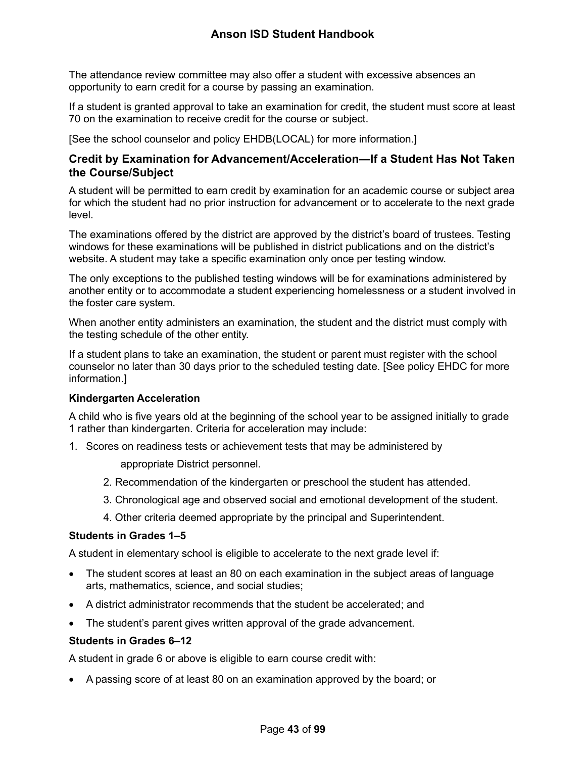# **Anson ISD Student Handbook**

The attendance review committee may also offer a student with excessive absences an opportunity to earn credit for a course by passing an examination.

If a student is granted approval to take an examination for credit, the student must score at least 70 on the examination to receive credit for the course or subject.

[See the school counselor and policy EHDB(LOCAL) for more information.]

# **Credit by Examination for Advancement/Acceleration—If a Student Has Not Taken the Course/Subject**

A student will be permitted to earn credit by examination for an academic course or subject area for which the student had no prior instruction for advancement or to accelerate to the next grade level.

The examinations offered by the district are approved by the district's board of trustees. Testing windows for these examinations will be published in district publications and on the district's website. A student may take a specific examination only once per testing window.

The only exceptions to the published testing windows will be for examinations administered by another entity or to accommodate a student experiencing homelessness or a student involved in the foster care system.

When another entity administers an examination, the student and the district must comply with the testing schedule of the other entity.

If a student plans to take an examination, the student or parent must register with the school counselor no later than 30 days prior to the scheduled testing date. [See policy EHDC for more information.]

## **Kindergarten Acceleration**

A child who is five years old at the beginning of the school year to be assigned initially to grade 1 rather than kindergarten. Criteria for acceleration may include:

1. Scores on readiness tests or achievement tests that may be administered by

appropriate District personnel.

- 2. Recommendation of the kindergarten or preschool the student has attended.
- 3. Chronological age and observed social and emotional development of the student.
- 4. Other criteria deemed appropriate by the principal and Superintendent.

### **Students in Grades 1–5**

A student in elementary school is eligible to accelerate to the next grade level if:

- The student scores at least an 80 on each examination in the subject areas of language arts, mathematics, science, and social studies;
- A district administrator recommends that the student be accelerated; and
- The student's parent gives written approval of the grade advancement.

### **Students in Grades 6–12**

A student in grade 6 or above is eligible to earn course credit with:

• A passing score of at least 80 on an examination approved by the board; or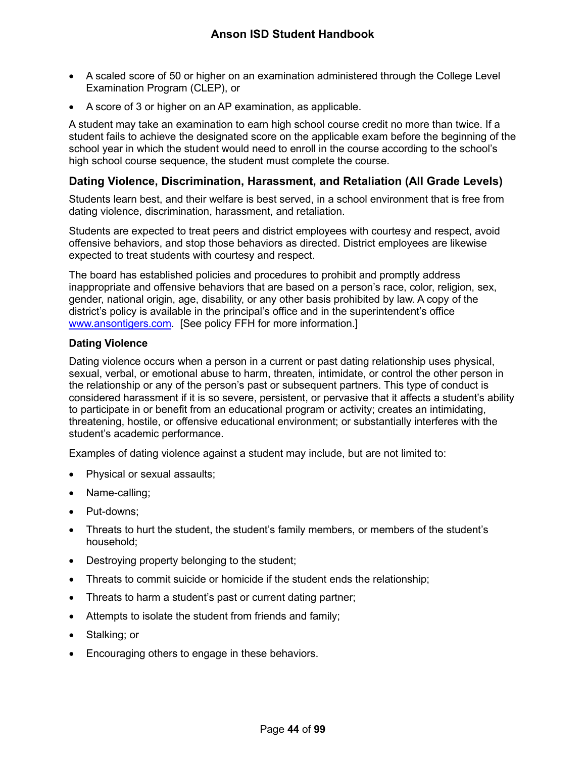- A scaled score of 50 or higher on an examination administered through the College Level Examination Program (CLEP), or
- A score of 3 or higher on an AP examination, as applicable.

A student may take an examination to earn high school course credit no more than twice. If a student fails to achieve the designated score on the applicable exam before the beginning of the school year in which the student would need to enroll in the course according to the school's high school course sequence, the student must complete the course.

## <span id="page-44-1"></span>**Dating Violence, Discrimination, Harassment, and Retaliation (All Grade Levels)**

Students learn best, and their welfare is best served, in a school environment that is free from dating violence, discrimination, harassment, and retaliation.

Students are expected to treat peers and district employees with courtesy and respect, avoid offensive behaviors, and stop those behaviors as directed. District employees are likewise expected to treat students with courtesy and respect.

The board has established policies and procedures to prohibit and promptly address inappropriate and offensive behaviors that are based on a person's race, color, religion, sex, gender, national origin, age, disability, or any other basis prohibited by law. A copy of the district's policy is available in the principal's office and in the superintendent's office [www.ansontigers.com.](http://www.ansontigers.com/) [See policy FFH for more information.]

### <span id="page-44-0"></span>**Dating Violence**

Dating violence occurs when a person in a current or past dating relationship uses physical, sexual, verbal, or emotional abuse to harm, threaten, intimidate, or control the other person in the relationship or any of the person's past or subsequent partners. This type of conduct is considered harassment if it is so severe, persistent, or pervasive that it affects a student's ability to participate in or benefit from an educational program or activity; creates an intimidating, threatening, hostile, or offensive educational environment; or substantially interferes with the student's academic performance.

Examples of dating violence against a student may include, but are not limited to:

- Physical or sexual assaults;
- Name-calling;
- Put-downs;
- Threats to hurt the student, the student's family members, or members of the student's household;
- Destroying property belonging to the student;
- Threats to commit suicide or homicide if the student ends the relationship;
- Threats to harm a student's past or current dating partner;
- Attempts to isolate the student from friends and family;
- Stalking; or
- Encouraging others to engage in these behaviors.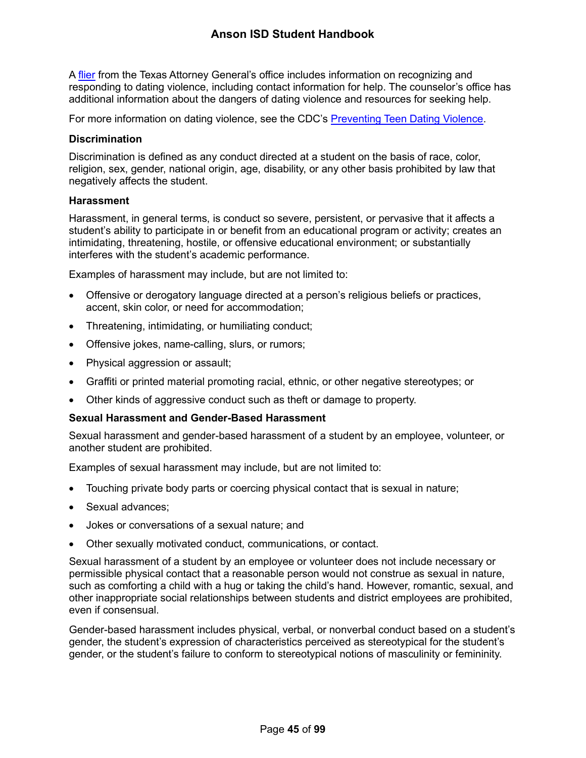A [flier](https://www.texasattorneygeneral.gov/sites/default/files/files/child-support/papa/session%2010/recognizing-relationship-violence-en.pdf) from the Texas Attorney General's office includes information on recognizing and responding to dating violence, including contact information for help. The counselor's office has additional information about the dangers of dating violence and resources for seeking help.

For more information on dating violence, see the CDC's [Preventing Teen Dating](https://www.cdc.gov/violenceprevention/intimatepartnerviolence/teendatingviolence/fastfact.html) Violence.

### **Discrimination**

Discrimination is defined as any conduct directed at a student on the basis of race, color, religion, sex, gender, national origin, age, disability, or any other basis prohibited by law that negatively affects the student.

### **Harassment**

Harassment, in general terms, is conduct so severe, persistent, or pervasive that it affects a student's ability to participate in or benefit from an educational program or activity; creates an intimidating, threatening, hostile, or offensive educational environment; or substantially interferes with the student's academic performance.

Examples of harassment may include, but are not limited to:

- Offensive or derogatory language directed at a person's religious beliefs or practices, accent, skin color, or need for accommodation;
- Threatening, intimidating, or humiliating conduct;
- Offensive jokes, name-calling, slurs, or rumors;
- Physical aggression or assault;
- Graffiti or printed material promoting racial, ethnic, or other negative stereotypes; or
- Other kinds of aggressive conduct such as theft or damage to property.

## **Sexual Harassment and Gender-Based Harassment**

Sexual harassment and gender-based harassment of a student by an employee, volunteer, or another student are prohibited.

Examples of sexual harassment may include, but are not limited to:

- Touching private body parts or coercing physical contact that is sexual in nature;
- Sexual advances:
- Jokes or conversations of a sexual nature; and
- Other sexually motivated conduct, communications, or contact.

Sexual harassment of a student by an employee or volunteer does not include necessary or permissible physical contact that a reasonable person would not construe as sexual in nature, such as comforting a child with a hug or taking the child's hand. However, romantic, sexual, and other inappropriate social relationships between students and district employees are prohibited, even if consensual.

Gender-based harassment includes physical, verbal, or nonverbal conduct based on a student's gender, the student's expression of characteristics perceived as stereotypical for the student's gender, or the student's failure to conform to stereotypical notions of masculinity or femininity.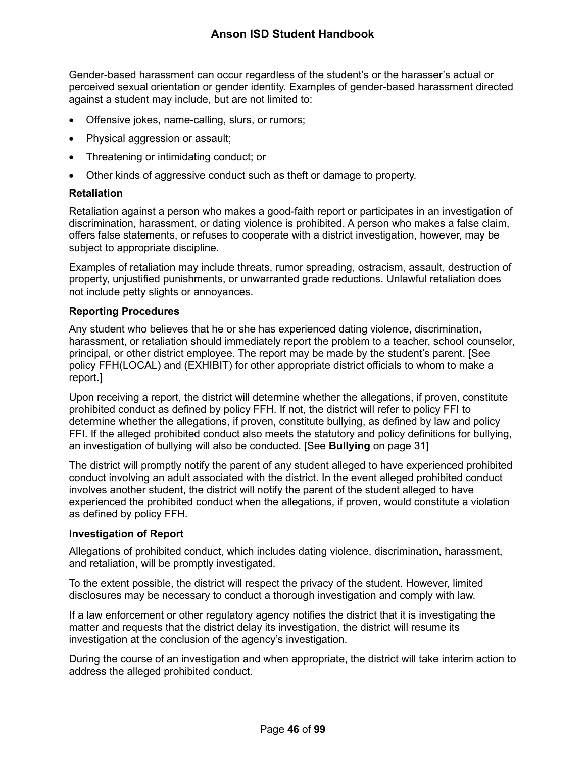Gender-based harassment can occur regardless of the student's or the harasser's actual or perceived sexual orientation or gender identity. Examples of gender-based harassment directed against a student may include, but are not limited to:

- Offensive jokes, name-calling, slurs, or rumors;
- Physical aggression or assault:
- Threatening or intimidating conduct; or
- Other kinds of aggressive conduct such as theft or damage to property.

### **Retaliation**

Retaliation against a person who makes a good-faith report or participates in an investigation of discrimination, harassment, or dating violence is prohibited. A person who makes a false claim, offers false statements, or refuses to cooperate with a district investigation, however, may be subject to appropriate discipline.

Examples of retaliation may include threats, rumor spreading, ostracism, assault, destruction of property, unjustified punishments, or unwarranted grade reductions. Unlawful retaliation does not include petty slights or annoyances.

### **Reporting Procedures**

Any student who believes that he or she has experienced dating violence, discrimination, harassment, or retaliation should immediately report the problem to a teacher, school counselor, principal, or other district employee. The report may be made by the student's parent. [See policy FFH(LOCAL) and (EXHIBIT) for other appropriate district officials to whom to make a report.]

Upon receiving a report, the district will determine whether the allegations, if proven, constitute prohibited conduct as defined by policy FFH. If not, the district will refer to policy FFI to determine whether the allegations, if proven, constitute bullying, as defined by law and policy FFI. If the alleged prohibited conduct also meets the statutory and policy definitions for bullying, an investigation of bullying will also be conducted. [See **Bullying** on page [31\]](#page-31-0)

The district will promptly notify the parent of any student alleged to have experienced prohibited conduct involving an adult associated with the district. In the event alleged prohibited conduct involves another student, the district will notify the parent of the student alleged to have experienced the prohibited conduct when the allegations, if proven, would constitute a violation as defined by policy FFH.

### **Investigation of Report**

Allegations of prohibited conduct, which includes dating violence, discrimination, harassment, and retaliation, will be promptly investigated.

To the extent possible, the district will respect the privacy of the student. However, limited disclosures may be necessary to conduct a thorough investigation and comply with law.

If a law enforcement or other regulatory agency notifies the district that it is investigating the matter and requests that the district delay its investigation, the district will resume its investigation at the conclusion of the agency's investigation.

During the course of an investigation and when appropriate, the district will take interim action to address the alleged prohibited conduct.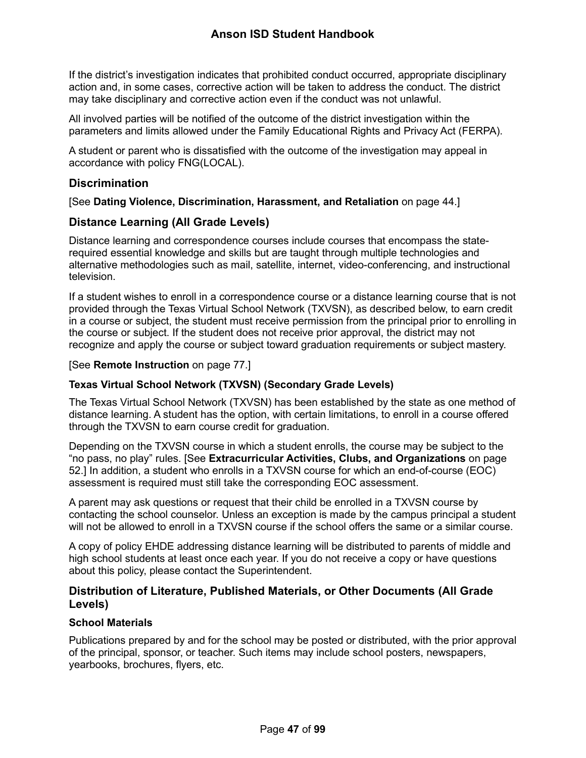If the district's investigation indicates that prohibited conduct occurred, appropriate disciplinary action and, in some cases, corrective action will be taken to address the conduct. The district may take disciplinary and corrective action even if the conduct was not unlawful.

All involved parties will be notified of the outcome of the district investigation within the parameters and limits allowed under the Family Educational Rights and Privacy Act (FERPA).

A student or parent who is dissatisfied with the outcome of the investigation may appeal in accordance with policy FNG(LOCAL).

# **Discrimination**

# [See **Dating Violence, Discrimination, Harassment, and Retaliation** on page [44.](#page-44-1)]

# **Distance Learning (All Grade Levels)**

Distance learning and correspondence courses include courses that encompass the staterequired essential knowledge and skills but are taught through multiple technologies and alternative methodologies such as mail, satellite, internet, video-conferencing, and instructional television.

If a student wishes to enroll in a correspondence course or a distance learning course that is not provided through the Texas Virtual School Network (TXVSN), as described below, to earn credit in a course or subject, the student must receive permission from the principal prior to enrolling in the course or subject. If the student does not receive prior approval, the district may not recognize and apply the course or subject toward graduation requirements or subject mastery.

## [See **Remote Instruction** on page [77.](#page-77-0)]

## **Texas Virtual School Network (TXVSN) (Secondary Grade Levels)**

The Texas Virtual School Network (TXVSN) has been established by the state as one method of distance learning. A student has the option, with certain limitations, to enroll in a course offered through the TXVSN to earn course credit for graduation.

Depending on the TXVSN course in which a student enrolls, the course may be subject to the "no pass, no play" rules. [See **Extracurricular Activities, Clubs, and Organizations** on page [52.](#page-52-0)] In addition, a student who enrolls in a TXVSN course for which an end-of-course (EOC) assessment is required must still take the corresponding EOC assessment.

A parent may ask questions or request that their child be enrolled in a TXVSN course by contacting the school counselor. Unless an exception is made by the campus principal a student will not be allowed to enroll in a TXVSN course if the school offers the same or a similar course.

A copy of policy EHDE addressing distance learning will be distributed to parents of middle and high school students at least once each year. If you do not receive a copy or have questions about this policy, please contact the Superintendent.

# **Distribution of Literature, Published Materials, or Other Documents (All Grade Levels)**

# **School Materials**

Publications prepared by and for the school may be posted or distributed, with the prior approval of the principal, sponsor, or teacher. Such items may include school posters, newspapers, yearbooks, brochures, flyers, etc.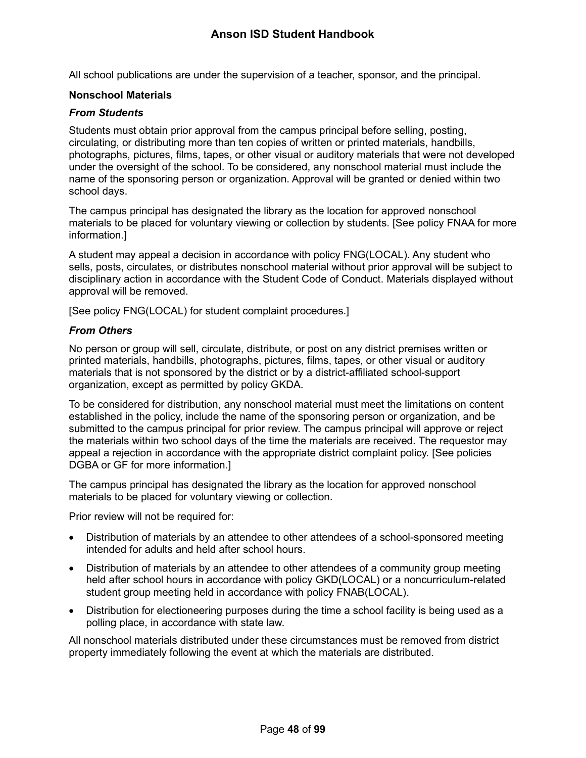All school publications are under the supervision of a teacher, sponsor, and the principal.

### **Nonschool Materials**

### *From Students*

Students must obtain prior approval from the campus principal before selling, posting, circulating, or distributing more than ten copies of written or printed materials, handbills, photographs, pictures, films, tapes, or other visual or auditory materials that were not developed under the oversight of the school. To be considered, any nonschool material must include the name of the sponsoring person or organization. Approval will be granted or denied within two school days.

The campus principal has designated the library as the location for approved nonschool materials to be placed for voluntary viewing or collection by students. [See policy FNAA for more information.]

A student may appeal a decision in accordance with policy FNG(LOCAL). Any student who sells, posts, circulates, or distributes nonschool material without prior approval will be subject to disciplinary action in accordance with the Student Code of Conduct. Materials displayed without approval will be removed.

[See policy FNG(LOCAL) for student complaint procedures.]

### *From Others*

No person or group will sell, circulate, distribute, or post on any district premises written or printed materials, handbills, photographs, pictures, films, tapes, or other visual or auditory materials that is not sponsored by the district or by a district-affiliated school-support organization, except as permitted by policy GKDA.

To be considered for distribution, any nonschool material must meet the limitations on content established in the policy, include the name of the sponsoring person or organization, and be submitted to the campus principal for prior review. The campus principal will approve or reject the materials within two school days of the time the materials are received. The requestor may appeal a rejection in accordance with the appropriate district complaint policy. [See policies DGBA or GF for more information.]

The campus principal has designated the library as the location for approved nonschool materials to be placed for voluntary viewing or collection.

Prior review will not be required for:

- Distribution of materials by an attendee to other attendees of a school-sponsored meeting intended for adults and held after school hours.
- Distribution of materials by an attendee to other attendees of a community group meeting held after school hours in accordance with policy GKD(LOCAL) or a noncurriculum-related student group meeting held in accordance with policy FNAB(LOCAL).
- Distribution for electioneering purposes during the time a school facility is being used as a polling place, in accordance with state law.

All nonschool materials distributed under these circumstances must be removed from district property immediately following the event at which the materials are distributed.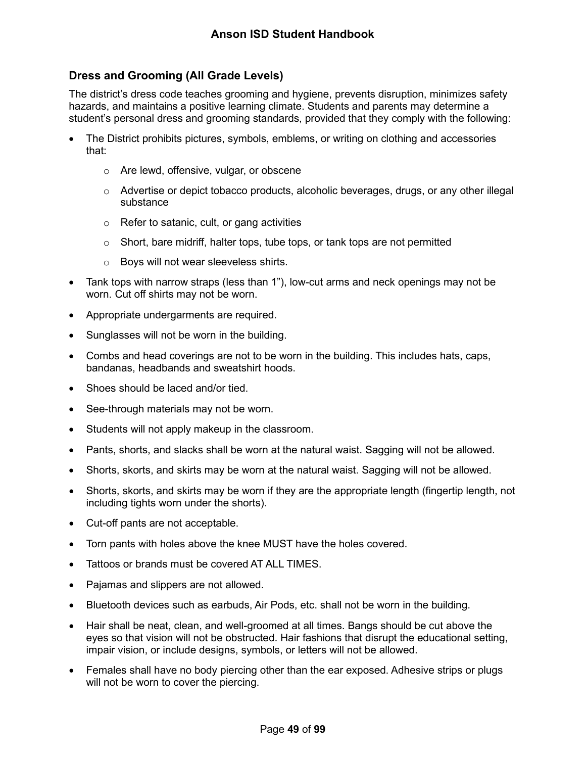# **Dress and Grooming (All Grade Levels)**

The district's dress code teaches grooming and hygiene, prevents disruption, minimizes safety hazards, and maintains a positive learning climate. Students and parents may determine a student's personal dress and grooming standards, provided that they comply with the following:

- The District prohibits pictures, symbols, emblems, or writing on clothing and accessories that:
	- o Are lewd, offensive, vulgar, or obscene
	- $\circ$  Advertise or depict tobacco products, alcoholic beverages, drugs, or any other illegal substance
	- o Refer to satanic, cult, or gang activities
	- $\circ$  Short, bare midriff, halter tops, tube tops, or tank tops are not permitted
	- o Boys will not wear sleeveless shirts.
- Tank tops with narrow straps (less than 1"), low-cut arms and neck openings may not be worn. Cut off shirts may not be worn.
- Appropriate undergarments are required.
- Sunglasses will not be worn in the building.
- Combs and head coverings are not to be worn in the building. This includes hats, caps, bandanas, headbands and sweatshirt hoods.
- Shoes should be laced and/or tied.
- See-through materials may not be worn.
- Students will not apply makeup in the classroom.
- Pants, shorts, and slacks shall be worn at the natural waist. Sagging will not be allowed.
- Shorts, skorts, and skirts may be worn at the natural waist. Sagging will not be allowed.
- Shorts, skorts, and skirts may be worn if they are the appropriate length (fingertip length, not including tights worn under the shorts).
- Cut-off pants are not acceptable.
- Torn pants with holes above the knee MUST have the holes covered.
- Tattoos or brands must be covered AT ALL TIMES.
- Pajamas and slippers are not allowed.
- Bluetooth devices such as earbuds, Air Pods, etc. shall not be worn in the building.
- Hair shall be neat, clean, and well-groomed at all times. Bangs should be cut above the eyes so that vision will not be obstructed. Hair fashions that disrupt the educational setting, impair vision, or include designs, symbols, or letters will not be allowed.
- Females shall have no body piercing other than the ear exposed. Adhesive strips or plugs will not be worn to cover the piercing.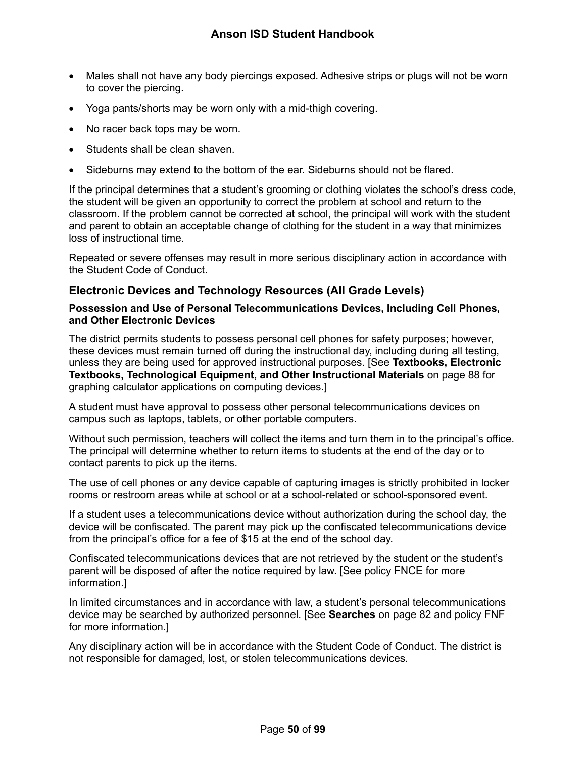- Males shall not have any body piercings exposed. Adhesive strips or plugs will not be worn to cover the piercing.
- Yoga pants/shorts may be worn only with a mid-thigh covering.
- No racer back tops may be worn.
- Students shall be clean shaven.
- Sideburns may extend to the bottom of the ear. Sideburns should not be flared.

If the principal determines that a student's grooming or clothing violates the school's dress code, the student will be given an opportunity to correct the problem at school and return to the classroom. If the problem cannot be corrected at school, the principal will work with the student and parent to obtain an acceptable change of clothing for the student in a way that minimizes loss of instructional time.

Repeated or severe offenses may result in more serious disciplinary action in accordance with the Student Code of Conduct.

## **Electronic Devices and Technology Resources (All Grade Levels)**

### **Possession and Use of Personal Telecommunications Devices, Including Cell Phones, and Other Electronic Devices**

The district permits students to possess personal cell phones for safety purposes; however, these devices must remain turned off during the instructional day, including during all testing, unless they are being used for approved instructional purposes. [See **Textbooks, Electronic Textbooks, Technological Equipment, and Other Instructional Materials** on page [88](#page-88-0) for graphing calculator applications on computing devices.]

A student must have approval to possess other personal telecommunications devices on campus such as laptops, tablets, or other portable computers.

Without such permission, teachers will collect the items and turn them in to the principal's office. The principal will determine whether to return items to students at the end of the day or to contact parents to pick up the items.

The use of cell phones or any device capable of capturing images is strictly prohibited in locker rooms or restroom areas while at school or at a school-related or school-sponsored event.

If a student uses a telecommunications device without authorization during the school day, the device will be confiscated. The parent may pick up the confiscated telecommunications device from the principal's office for a fee of \$15 at the end of the school day.

Confiscated telecommunications devices that are not retrieved by the student or the student's parent will be disposed of after the notice required by law. [See policy FNCE for more information.]

In limited circumstances and in accordance with law, a student's personal telecommunications device may be searched by authorized personnel. [See **Searches** on page [82](#page-82-0) and policy FNF for more information.]

Any disciplinary action will be in accordance with the Student Code of Conduct. The district is not responsible for damaged, lost, or stolen telecommunications devices.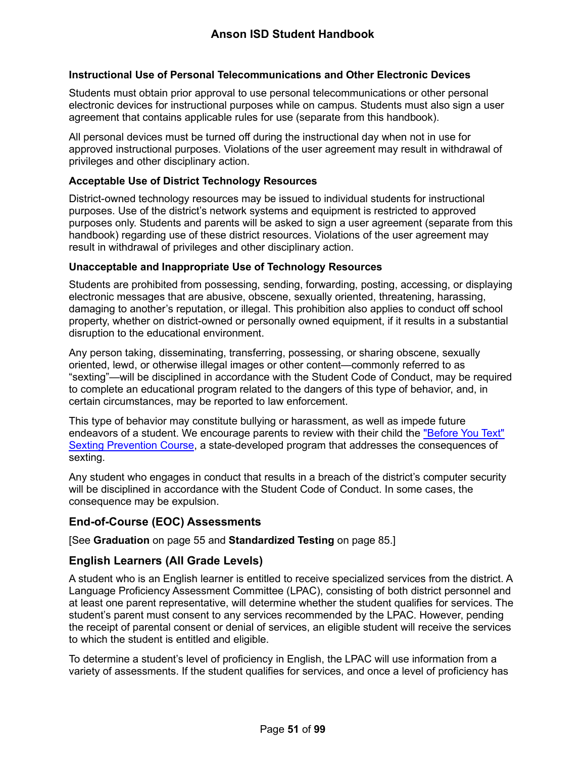### **Instructional Use of Personal Telecommunications and Other Electronic Devices**

Students must obtain prior approval to use personal telecommunications or other personal electronic devices for instructional purposes while on campus. Students must also sign a user agreement that contains applicable rules for use (separate from this handbook).

All personal devices must be turned off during the instructional day when not in use for approved instructional purposes. Violations of the user agreement may result in withdrawal of privileges and other disciplinary action.

### **Acceptable Use of District Technology Resources**

District-owned technology resources may be issued to individual students for instructional purposes. Use of the district's network systems and equipment is restricted to approved purposes only. Students and parents will be asked to sign a user agreement (separate from this handbook) regarding use of these district resources. Violations of the user agreement may result in withdrawal of privileges and other disciplinary action.

### **Unacceptable and Inappropriate Use of Technology Resources**

Students are prohibited from possessing, sending, forwarding, posting, accessing, or displaying electronic messages that are abusive, obscene, sexually oriented, threatening, harassing, damaging to another's reputation, or illegal. This prohibition also applies to conduct off school property, whether on district-owned or personally owned equipment, if it results in a substantial disruption to the educational environment.

Any person taking, disseminating, transferring, possessing, or sharing obscene, sexually oriented, lewd, or otherwise illegal images or other content—commonly referred to as "sexting"—will be disciplined in accordance with the Student Code of Conduct, may be required to complete an educational program related to the dangers of this type of behavior, and, in certain circumstances, may be reported to law enforcement.

This type of behavior may constitute bullying or harassment, as well as impede future endeavors of a student. We encourage parents to review with their child the ["Before You Text"](https://txssc.txstate.edu/tools/courses/before-you-text/)  [Sexting Prevention Course,](https://txssc.txstate.edu/tools/courses/before-you-text/) a state-developed program that addresses the consequences of sexting.

Any student who engages in conduct that results in a breach of the district's computer security will be disciplined in accordance with the Student Code of Conduct. In some cases, the consequence may be expulsion.

## **End-of-Course (EOC) Assessments**

[See **Graduation** on page [55](#page-55-0) and **Standardized Testing** on page [85.](#page-85-0)]

# **English Learners (All Grade Levels)**

A student who is an English learner is entitled to receive specialized services from the district. A Language Proficiency Assessment Committee (LPAC), consisting of both district personnel and at least one parent representative, will determine whether the student qualifies for services. The student's parent must consent to any services recommended by the LPAC. However, pending the receipt of parental consent or denial of services, an eligible student will receive the services to which the student is entitled and eligible.

To determine a student's level of proficiency in English, the LPAC will use information from a variety of assessments. If the student qualifies for services, and once a level of proficiency has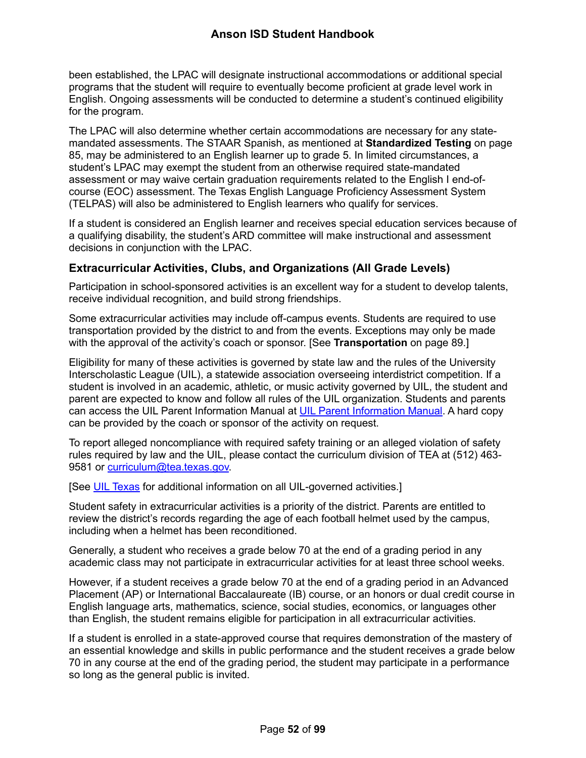been established, the LPAC will designate instructional accommodations or additional special programs that the student will require to eventually become proficient at grade level work in English. Ongoing assessments will be conducted to determine a student's continued eligibility for the program.

The LPAC will also determine whether certain accommodations are necessary for any statemandated assessments. The STAAR Spanish, as mentioned at **Standardized Testing** on page [85,](#page-85-0) may be administered to an English learner up to grade 5. In limited circumstances, a student's LPAC may exempt the student from an otherwise required state-mandated assessment or may waive certain graduation requirements related to the English I end-ofcourse (EOC) assessment. The Texas English Language Proficiency Assessment System (TELPAS) will also be administered to English learners who qualify for services.

If a student is considered an English learner and receives special education services because of a qualifying disability, the student's ARD committee will make instructional and assessment decisions in conjunction with the LPAC.

# <span id="page-52-0"></span>**Extracurricular Activities, Clubs, and Organizations (All Grade Levels)**

Participation in school-sponsored activities is an excellent way for a student to develop talents, receive individual recognition, and build strong friendships.

Some extracurricular activities may include off-campus events. Students are required to use transportation provided by the district to and from the events. Exceptions may only be made with the approval of the activity's coach or sponsor. [See **Transportation** on page [89.](#page-89-0)]

Eligibility for many of these activities is governed by state law and the rules of the University Interscholastic League (UIL), a statewide association overseeing interdistrict competition. If a student is involved in an academic, athletic, or music activity governed by UIL, the student and parent are expected to know and follow all rules of the UIL organization. Students and parents can access the UIL Parent Information Manual at [UIL Parent Information Manual.](https://www.uiltexas.org/athletics/manuals) A hard copy can be provided by the coach or sponsor of the activity on request.

To report alleged noncompliance with required safety training or an alleged violation of safety rules required by law and the UIL, please contact the curriculum division of TEA at (512) 463 9581 or [curriculum@tea.texas.gov.](mailto:curriculum@tea.state.tx.us)

[See [UIL Texas](http://www.uiltexas.org/) for additional information on all UIL-governed activities.]

Student safety in extracurricular activities is a priority of the district. Parents are entitled to review the district's records regarding the age of each football helmet used by the campus, including when a helmet has been reconditioned.

Generally, a student who receives a grade below 70 at the end of a grading period in any academic class may not participate in extracurricular activities for at least three school weeks.

However, if a student receives a grade below 70 at the end of a grading period in an Advanced Placement (AP) or International Baccalaureate (IB) course, or an honors or dual credit course in English language arts, mathematics, science, social studies, economics, or languages other than English, the student remains eligible for participation in all extracurricular activities.

If a student is enrolled in a state-approved course that requires demonstration of the mastery of an essential knowledge and skills in public performance and the student receives a grade below 70 in any course at the end of the grading period, the student may participate in a performance so long as the general public is invited.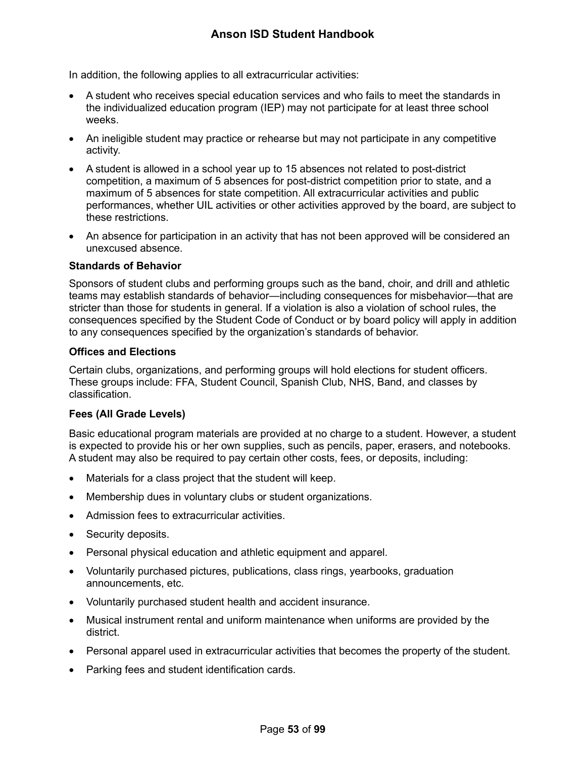In addition, the following applies to all extracurricular activities:

- A student who receives special education services and who fails to meet the standards in the individualized education program (IEP) may not participate for at least three school weeks.
- An ineligible student may practice or rehearse but may not participate in any competitive activity.
- A student is allowed in a school year up to 15 absences not related to post-district competition, a maximum of 5 absences for post-district competition prior to state, and a maximum of 5 absences for state competition. All extracurricular activities and public performances, whether UIL activities or other activities approved by the board, are subject to these restrictions.
- An absence for participation in an activity that has not been approved will be considered an unexcused absence.

### **Standards of Behavior**

Sponsors of student clubs and performing groups such as the band, choir, and drill and athletic teams may establish standards of behavior—including consequences for misbehavior—that are stricter than those for students in general. If a violation is also a violation of school rules, the consequences specified by the Student Code of Conduct or by board policy will apply in addition to any consequences specified by the organization's standards of behavior.

### **Offices and Elections**

<span id="page-53-0"></span>Certain clubs, organizations, and performing groups will hold elections for student officers. These groups include: FFA, Student Council, Spanish Club, NHS, Band, and classes by classification.

## **Fees (All Grade Levels)**

Basic educational program materials are provided at no charge to a student. However, a student is expected to provide his or her own supplies, such as pencils, paper, erasers, and notebooks. A student may also be required to pay certain other costs, fees, or deposits, including:

- Materials for a class project that the student will keep.
- Membership dues in voluntary clubs or student organizations.
- Admission fees to extracurricular activities.
- Security deposits.
- Personal physical education and athletic equipment and apparel.
- Voluntarily purchased pictures, publications, class rings, yearbooks, graduation announcements, etc.
- Voluntarily purchased student health and accident insurance.
- Musical instrument rental and uniform maintenance when uniforms are provided by the district.
- Personal apparel used in extracurricular activities that becomes the property of the student.
- Parking fees and student identification cards.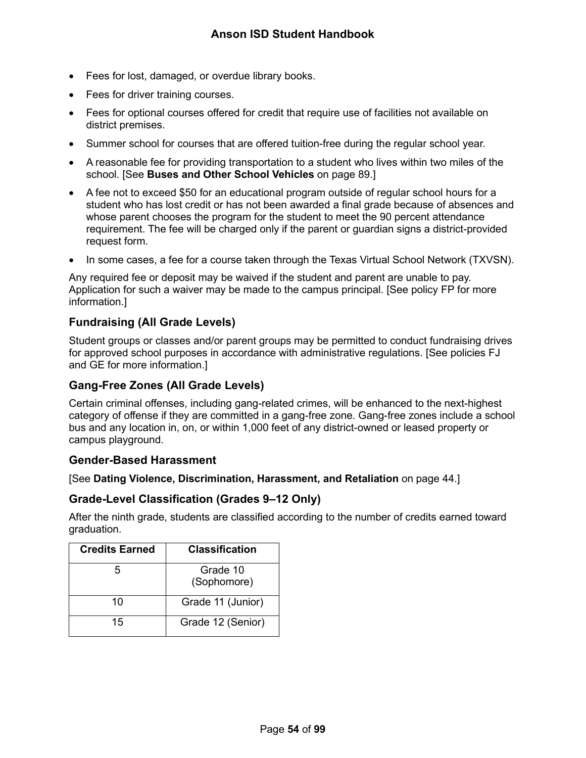- Fees for lost, damaged, or overdue library books.
- Fees for driver training courses.
- Fees for optional courses offered for credit that require use of facilities not available on district premises.
- Summer school for courses that are offered tuition-free during the regular school year.
- A reasonable fee for providing transportation to a student who lives within two miles of the school. [See **Buses and Other School Vehicles** on page [89.](#page-89-1)]
- A fee not to exceed \$50 for an educational program outside of regular school hours for a student who has lost credit or has not been awarded a final grade because of absences and whose parent chooses the program for the student to meet the 90 percent attendance requirement. The fee will be charged only if the parent or guardian signs a district-provided request form.
- In some cases, a fee for a course taken through the Texas Virtual School Network (TXVSN).

Any required fee or deposit may be waived if the student and parent are unable to pay. Application for such a waiver may be made to the campus principal. [See policy FP for more information.]

# **Fundraising (All Grade Levels)**

Student groups or classes and/or parent groups may be permitted to conduct fundraising drives for approved school purposes in accordance with administrative regulations. [See policies FJ and GE for more information.]

# **Gang-Free Zones (All Grade Levels)**

Certain criminal offenses, including gang-related crimes, will be enhanced to the next-highest category of offense if they are committed in a gang-free zone. Gang-free zones include a school bus and any location in, on, or within 1,000 feet of any district-owned or leased property or campus playground.

## **Gender-Based Harassment**

[See **Dating Violence, Discrimination, Harassment, and Retaliation** on page [44.](#page-44-1)]

## **Grade-Level Classification (Grades 9–12 Only)**

After the ninth grade, students are classified according to the number of credits earned toward graduation.

| <b>Credits Earned</b> | <b>Classification</b>   |
|-----------------------|-------------------------|
|                       | Grade 10<br>(Sophomore) |
| 10                    | Grade 11 (Junior)       |
| 15                    | Grade 12 (Senior)       |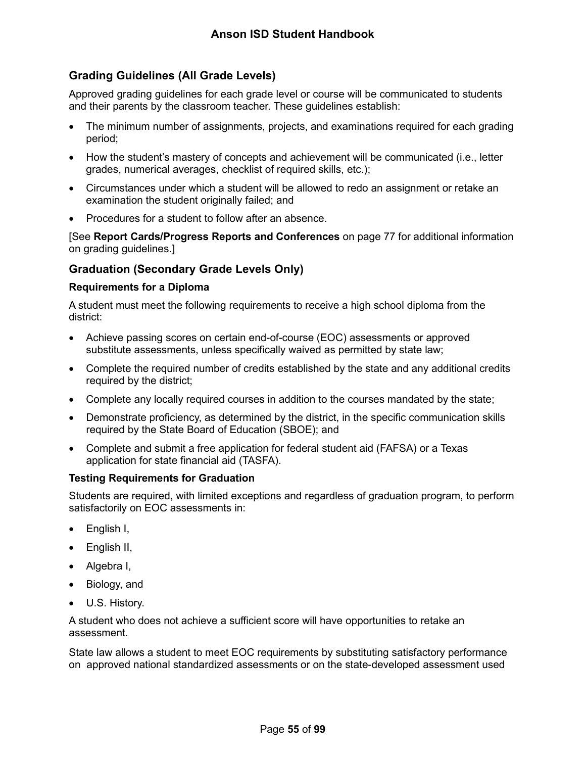# **Grading Guidelines (All Grade Levels)**

Approved grading guidelines for each grade level or course will be communicated to students and their parents by the classroom teacher. These guidelines establish:

- The minimum number of assignments, projects, and examinations required for each grading period;
- How the student's mastery of concepts and achievement will be communicated (i.e., letter grades, numerical averages, checklist of required skills, etc.);
- Circumstances under which a student will be allowed to redo an assignment or retake an examination the student originally failed; and
- Procedures for a student to follow after an absence.

[See **Report Cards/Progress Reports and Conferences** on page [77](#page-77-1) for additional information on grading guidelines.]

## <span id="page-55-0"></span>**Graduation (Secondary Grade Levels Only)**

### **Requirements for a Diploma**

A student must meet the following requirements to receive a high school diploma from the district:

- Achieve passing scores on certain end-of-course (EOC) assessments or approved substitute assessments, unless specifically waived as permitted by state law;
- Complete the required number of credits established by the state and any additional credits required by the district;
- Complete any locally required courses in addition to the courses mandated by the state;
- Demonstrate proficiency, as determined by the district, in the specific communication skills required by the State Board of Education (SBOE); and
- Complete and submit a free application for federal student aid (FAFSA) or a Texas application for state financial aid (TASFA).

## **Testing Requirements for Graduation**

Students are required, with limited exceptions and regardless of graduation program, to perform satisfactorily on EOC assessments in:

- English I,
- English II,
- Algebra I,
- Biology, and
- U.S. History.

A student who does not achieve a sufficient score will have opportunities to retake an assessment.

State law allows a student to meet EOC requirements by substituting satisfactory performance on approved national standardized assessments or on the state-developed assessment used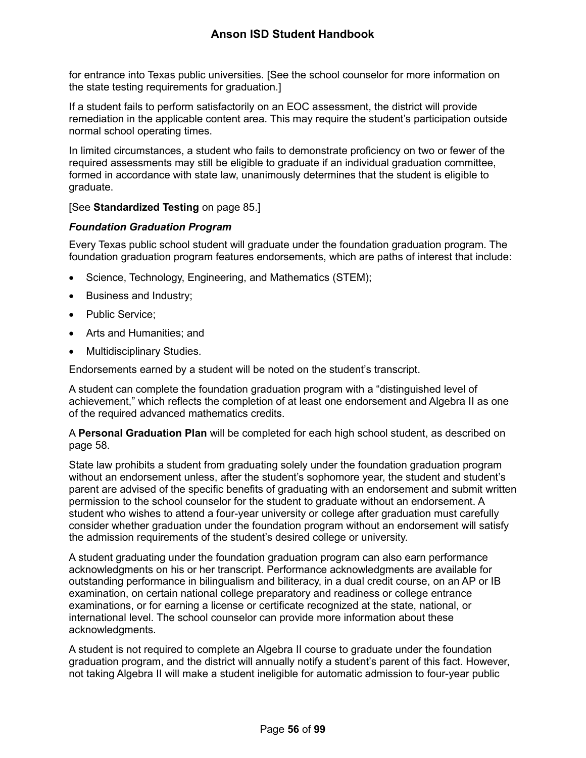# **Anson ISD Student Handbook**

for entrance into Texas public universities. [See the school counselor for more information on the state testing requirements for graduation.]

If a student fails to perform satisfactorily on an EOC assessment, the district will provide remediation in the applicable content area. This may require the student's participation outside normal school operating times.

In limited circumstances, a student who fails to demonstrate proficiency on two or fewer of the required assessments may still be eligible to graduate if an individual graduation committee, formed in accordance with state law, unanimously determines that the student is eligible to graduate.

### [See **Standardized Testing** on page [85.](#page-85-0)]

### *Foundation Graduation Program*

Every Texas public school student will graduate under the foundation graduation program. The foundation graduation program features endorsements, which are paths of interest that include:

- Science, Technology, Engineering, and Mathematics (STEM);
- Business and Industry;
- Public Service;
- Arts and Humanities; and
- Multidisciplinary Studies.

Endorsements earned by a student will be noted on the student's transcript.

A student can complete the foundation graduation program with a "distinguished level of achievement," which reflects the completion of at least one endorsement and Algebra II as one of the required advanced mathematics credits.

A **Personal Graduation Plan** will be completed for each high school student, as described on page [58.](#page-58-0)

State law prohibits a student from graduating solely under the foundation graduation program without an endorsement unless, after the student's sophomore year, the student and student's parent are advised of the specific benefits of graduating with an endorsement and submit written permission to the school counselor for the student to graduate without an endorsement. A student who wishes to attend a four-year university or college after graduation must carefully consider whether graduation under the foundation program without an endorsement will satisfy the admission requirements of the student's desired college or university.

A student graduating under the foundation graduation program can also earn performance acknowledgments on his or her transcript. Performance acknowledgments are available for outstanding performance in bilingualism and biliteracy, in a dual credit course, on an AP or IB examination, on certain national college preparatory and readiness or college entrance examinations, or for earning a license or certificate recognized at the state, national, or international level. The school counselor can provide more information about these acknowledgments.

A student is not required to complete an Algebra II course to graduate under the foundation graduation program, and the district will annually notify a student's parent of this fact. However, not taking Algebra II will make a student ineligible for automatic admission to four-year public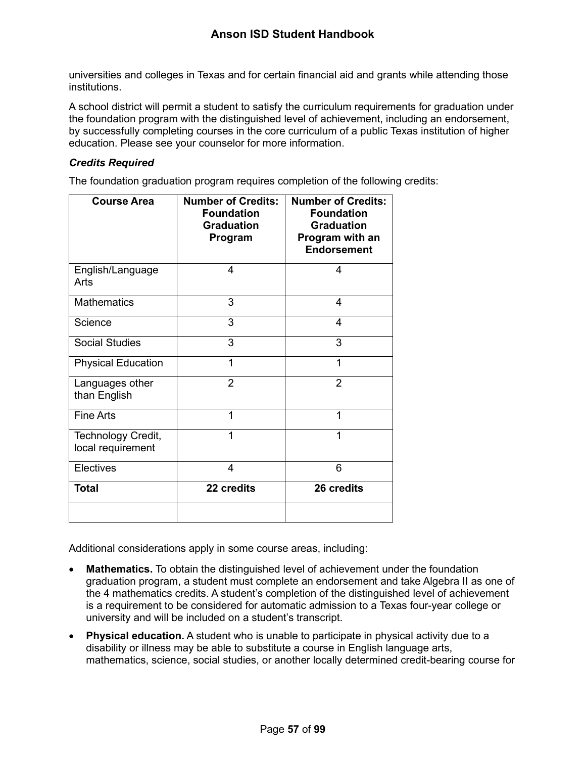universities and colleges in Texas and for certain financial aid and grants while attending those institutions.

A school district will permit a student to satisfy the curriculum requirements for graduation under the foundation program with the distinguished level of achievement, including an endorsement, by successfully completing courses in the core curriculum of a public Texas institution of higher education. Please see your counselor for more information.

## *Credits Required*

The foundation graduation program requires completion of the following credits:

| <b>Course Area</b>                      | <b>Number of Credits:</b><br><b>Foundation</b><br><b>Graduation</b><br>Program | <b>Number of Credits:</b><br><b>Foundation</b><br><b>Graduation</b><br>Program with an<br><b>Endorsement</b> |
|-----------------------------------------|--------------------------------------------------------------------------------|--------------------------------------------------------------------------------------------------------------|
| English/Language<br>Arts                | 4                                                                              | 4                                                                                                            |
| <b>Mathematics</b>                      | 3                                                                              | 4                                                                                                            |
| Science                                 | 3                                                                              | 4                                                                                                            |
| <b>Social Studies</b>                   | 3                                                                              | 3                                                                                                            |
| <b>Physical Education</b>               | 1                                                                              | 1                                                                                                            |
| Languages other<br>than English         | $\overline{2}$                                                                 | $\overline{2}$                                                                                               |
| <b>Fine Arts</b>                        | 1                                                                              | 1                                                                                                            |
| Technology Credit,<br>local requirement | 1                                                                              | 1                                                                                                            |
| Electives                               | 4                                                                              | 6                                                                                                            |
| <b>Total</b>                            | 22 credits                                                                     | 26 credits                                                                                                   |
|                                         |                                                                                |                                                                                                              |

Additional considerations apply in some course areas, including:

- **Mathematics.** To obtain the distinguished level of achievement under the foundation graduation program, a student must complete an endorsement and take Algebra II as one of the 4 mathematics credits. A student's completion of the distinguished level of achievement is a requirement to be considered for automatic admission to a Texas four-year college or university and will be included on a student's transcript.
- **Physical education.** A student who is unable to participate in physical activity due to a disability or illness may be able to substitute a course in English language arts, mathematics, science, social studies, or another locally determined credit-bearing course for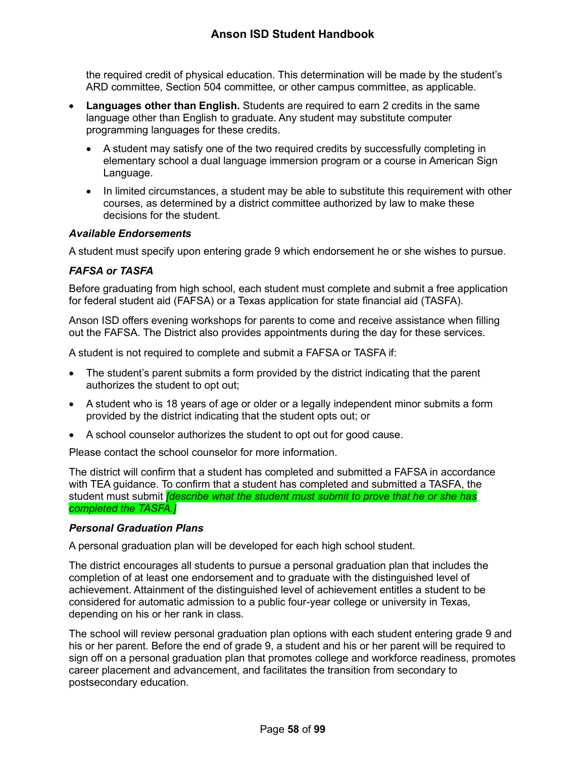the required credit of physical education. This determination will be made by the student's ARD committee, Section 504 committee, or other campus committee, as applicable.

- **Languages other than English.** Students are required to earn 2 credits in the same language other than English to graduate. Any student may substitute computer programming languages for these credits.
	- A student may satisfy one of the two required credits by successfully completing in elementary school a dual language immersion program or a course in American Sign Language.
	- In limited circumstances, a student may be able to substitute this requirement with other courses, as determined by a district committee authorized by law to make these decisions for the student.

## *Available Endorsements*

A student must specify upon entering grade 9 which endorsement he or she wishes to pursue.

# *FAFSA or TASFA*

Before graduating from high school, each student must complete and submit a free application for federal student aid (FAFSA) or a Texas application for state financial aid (TASFA).

Anson ISD offers evening workshops for parents to come and receive assistance when filling out the FAFSA. The District also provides appointments during the day for these services.

A student is not required to complete and submit a FAFSA or TASFA if:

- The student's parent submits a form provided by the district indicating that the parent authorizes the student to opt out;
- A student who is 18 years of age or older or a legally independent minor submits a form provided by the district indicating that the student opts out; or
- A school counselor authorizes the student to opt out for good cause.

Please contact the school counselor for more information.

The district will confirm that a student has completed and submitted a FAFSA in accordance with TEA guidance. To confirm that a student has completed and submitted a TASFA, the student must submit *[describe what the student must submit to prove that he or she has completed the TASFA.]*

## <span id="page-58-0"></span>*Personal Graduation Plans*

A personal graduation plan will be developed for each high school student.

The district encourages all students to pursue a personal graduation plan that includes the completion of at least one endorsement and to graduate with the distinguished level of achievement. Attainment of the distinguished level of achievement entitles a student to be considered for automatic admission to a public four-year college or university in Texas, depending on his or her rank in class.

The school will review personal graduation plan options with each student entering grade 9 and his or her parent. Before the end of grade 9, a student and his or her parent will be required to sign off on a personal graduation plan that promotes college and workforce readiness, promotes career placement and advancement, and facilitates the transition from secondary to postsecondary education.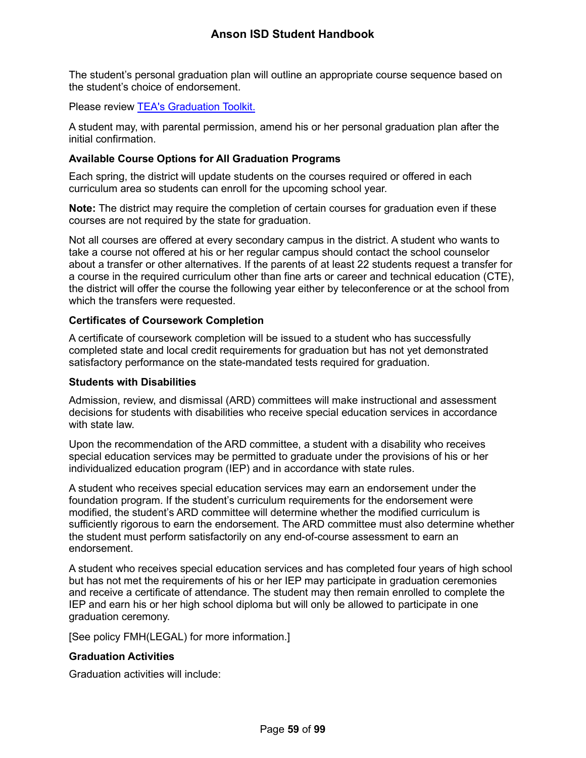The student's personal graduation plan will outline an appropriate course sequence based on the student's choice of endorsement.

Please review [TEA's Graduation Toolkit.](https://tea.texas.gov/about-tea/news-and-multimedia/brochures/tea-brochures)

A student may, with parental permission, amend his or her personal graduation plan after the initial confirmation.

### **Available Course Options for All Graduation Programs**

Each spring, the district will update students on the courses required or offered in each curriculum area so students can enroll for the upcoming school year.

**Note:** The district may require the completion of certain courses for graduation even if these courses are not required by the state for graduation.

Not all courses are offered at every secondary campus in the district. A student who wants to take a course not offered at his or her regular campus should contact the school counselor about a transfer or other alternatives. If the parents of at least 22 students request a transfer for a course in the required curriculum other than fine arts or career and technical education (CTE), the district will offer the course the following year either by teleconference or at the school from which the transfers were requested.

### **Certificates of Coursework Completion**

A certificate of coursework completion will be issued to a student who has successfully completed state and local credit requirements for graduation but has not yet demonstrated satisfactory performance on the state-mandated tests required for graduation.

### **Students with Disabilities**

Admission, review, and dismissal (ARD) committees will make instructional and assessment decisions for students with disabilities who receive special education services in accordance with state law.

Upon the recommendation of the ARD committee, a student with a disability who receives special education services may be permitted to graduate under the provisions of his or her individualized education program (IEP) and in accordance with state rules.

A student who receives special education services may earn an endorsement under the foundation program. If the student's curriculum requirements for the endorsement were modified, the student's ARD committee will determine whether the modified curriculum is sufficiently rigorous to earn the endorsement. The ARD committee must also determine whether the student must perform satisfactorily on any end-of-course assessment to earn an endorsement.

A student who receives special education services and has completed four years of high school but has not met the requirements of his or her IEP may participate in graduation ceremonies and receive a certificate of attendance. The student may then remain enrolled to complete the IEP and earn his or her high school diploma but will only be allowed to participate in one graduation ceremony.

[See policy FMH(LEGAL) for more information.]

## **Graduation Activities**

Graduation activities will include: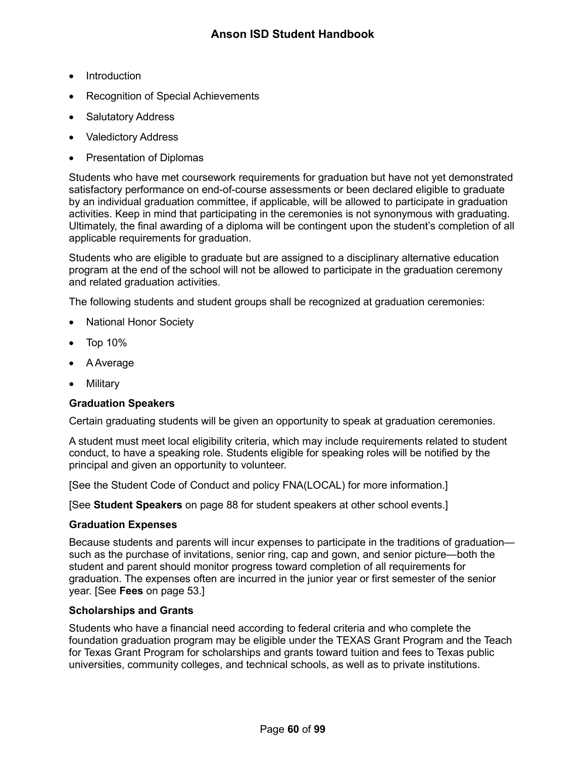- **Introduction**
- Recognition of Special Achievements
- Salutatory Address
- Valedictory Address
- Presentation of Diplomas

Students who have met coursework requirements for graduation but have not yet demonstrated satisfactory performance on end-of-course assessments or been declared eligible to graduate by an individual graduation committee, if applicable, will be allowed to participate in graduation activities. Keep in mind that participating in the ceremonies is not synonymous with graduating. Ultimately, the final awarding of a diploma will be contingent upon the student's completion of all applicable requirements for graduation.

Students who are eligible to graduate but are assigned to a disciplinary alternative education program at the end of the school will not be allowed to participate in the graduation ceremony and related graduation activities.

The following students and student groups shall be recognized at graduation ceremonies:

- National Honor Society
- Top 10%
- A Average
- Military

## **Graduation Speakers**

Certain graduating students will be given an opportunity to speak at graduation ceremonies.

A student must meet local eligibility criteria, which may include requirements related to student conduct, to have a speaking role. Students eligible for speaking roles will be notified by the principal and given an opportunity to volunteer.

[See the Student Code of Conduct and policy FNA(LOCAL) for more information.]

[See **Student Speakers** on page [88](#page-88-1) for student speakers at other school events.]

## **Graduation Expenses**

Because students and parents will incur expenses to participate in the traditions of graduation such as the purchase of invitations, senior ring, cap and gown, and senior picture—both the student and parent should monitor progress toward completion of all requirements for graduation. The expenses often are incurred in the junior year or first semester of the senior year. [See **Fees** on page [53.](#page-53-0)]

### **Scholarships and Grants**

Students who have a financial need according to federal criteria and who complete the foundation graduation program may be eligible under the TEXAS Grant Program and the Teach for Texas Grant Program for scholarships and grants toward tuition and fees to Texas public universities, community colleges, and technical schools, as well as to private institutions.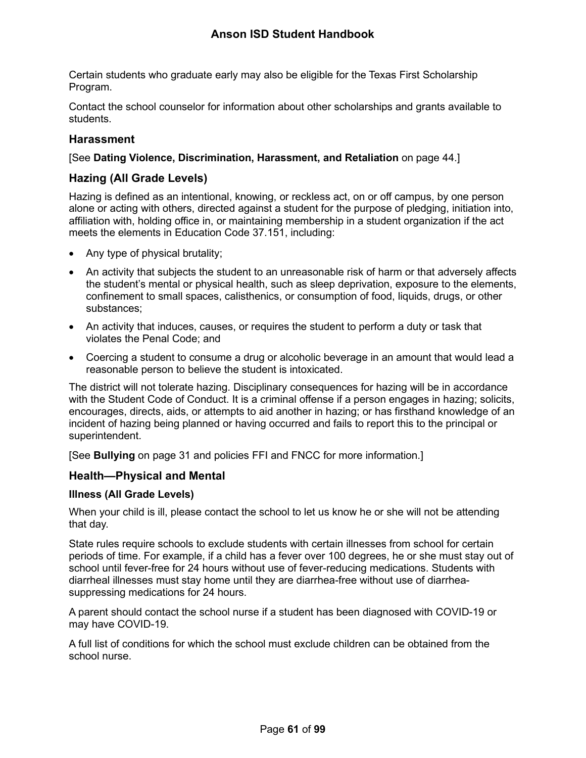# **Anson ISD Student Handbook**

Certain students who graduate early may also be eligible for the Texas First Scholarship Program.

Contact the school counselor for information about other scholarships and grants available to students.

## **Harassment**

### [See **Dating Violence, Discrimination, Harassment, and Retaliation** on page [44.](#page-44-1)]

## **Hazing (All Grade Levels)**

Hazing is defined as an intentional, knowing, or reckless act, on or off campus, by one person alone or acting with others, directed against a student for the purpose of pledging, initiation into, affiliation with, holding office in, or maintaining membership in a student organization if the act meets the elements in Education Code 37.151, including:

- Any type of physical brutality;
- An activity that subjects the student to an unreasonable risk of harm or that adversely affects the student's mental or physical health, such as sleep deprivation, exposure to the elements, confinement to small spaces, calisthenics, or consumption of food, liquids, drugs, or other substances;
- An activity that induces, causes, or requires the student to perform a duty or task that violates the Penal Code; and
- Coercing a student to consume a drug or alcoholic beverage in an amount that would lead a reasonable person to believe the student is intoxicated.

The district will not tolerate hazing. Disciplinary consequences for hazing will be in accordance with the Student Code of Conduct. It is a criminal offense if a person engages in hazing; solicits, encourages, directs, aids, or attempts to aid another in hazing; or has firsthand knowledge of an incident of hazing being planned or having occurred and fails to report this to the principal or superintendent.

[See **Bullying** on page [31](#page-31-0) and policies FFI and FNCC for more information.]

## **Health—Physical and Mental**

### **Illness (All Grade Levels)**

When your child is ill, please contact the school to let us know he or she will not be attending that day.

State rules require schools to exclude students with certain illnesses from school for certain periods of time. For example, if a child has a fever over 100 degrees, he or she must stay out of school until fever-free for 24 hours without use of fever-reducing medications. Students with diarrheal illnesses must stay home until they are diarrhea-free without use of diarrheasuppressing medications for 24 hours.

A parent should contact the school nurse if a student has been diagnosed with COVID-19 or may have COVID-19.

A full list of conditions for which the school must exclude children can be obtained from the school nurse.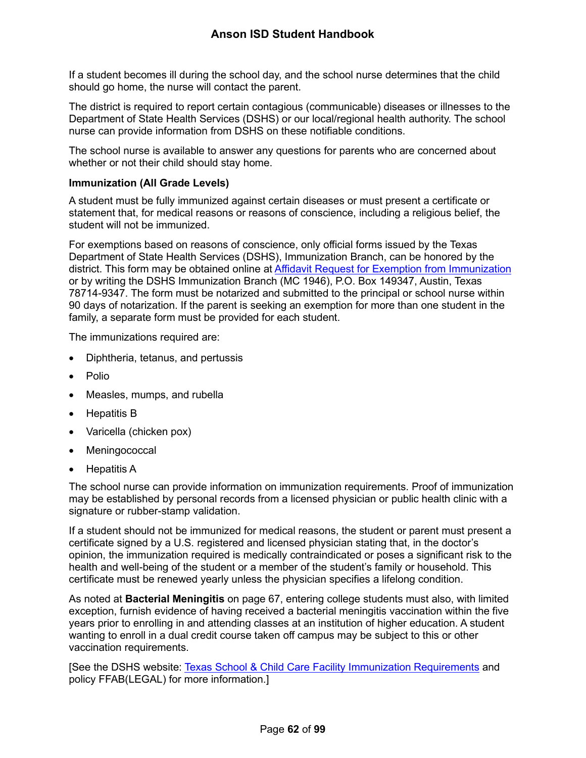If a student becomes ill during the school day, and the school nurse determines that the child should go home, the nurse will contact the parent.

The district is required to report certain contagious (communicable) diseases or illnesses to the Department of State Health Services (DSHS) or our local/regional health authority. The school nurse can provide information from DSHS on these notifiable conditions.

The school nurse is available to answer any questions for parents who are concerned about whether or not their child should stay home.

### <span id="page-62-0"></span>**Immunization (All Grade Levels)**

A student must be fully immunized against certain diseases or must present a certificate or statement that, for medical reasons or reasons of conscience, including a religious belief, the student will not be immunized.

For exemptions based on reasons of conscience, only official forms issued by the Texas Department of State Health Services (DSHS), Immunization Branch, can be honored by the district. This form may be obtained online at [Affidavit Request for Exemption from Immunization](https://corequest.dshs.texas.gov/) or by writing the DSHS Immunization Branch (MC 1946), P.O. Box 149347, Austin, Texas 78714-9347. The form must be notarized and submitted to the principal or school nurse within 90 days of notarization. If the parent is seeking an exemption for more than one student in the family, a separate form must be provided for each student.

The immunizations required are:

- Diphtheria, tetanus, and pertussis
- Polio
- Measles, mumps, and rubella
- Hepatitis B
- Varicella (chicken pox)
- **Meningococcal**
- Hepatitis A

The school nurse can provide information on immunization requirements. Proof of immunization may be established by personal records from a licensed physician or public health clinic with a signature or rubber-stamp validation.

If a student should not be immunized for medical reasons, the student or parent must present a certificate signed by a U.S. registered and licensed physician stating that, in the doctor's opinion, the immunization required is medically contraindicated or poses a significant risk to the health and well-being of the student or a member of the student's family or household. This certificate must be renewed yearly unless the physician specifies a lifelong condition.

As noted at **Bacterial Meningitis** on page [67,](#page-67-0) entering college students must also, with limited exception, furnish evidence of having received a bacterial meningitis vaccination within the five years prior to enrolling in and attending classes at an institution of higher education. A student wanting to enroll in a dual credit course taken off campus may be subject to this or other vaccination requirements.

[See the DSHS website: [Texas School & Child Care Facility Immunization Requirements](http://www.dshs.state.tx.us/immunize/school/default.shtm) and policy FFAB(LEGAL) for more information.]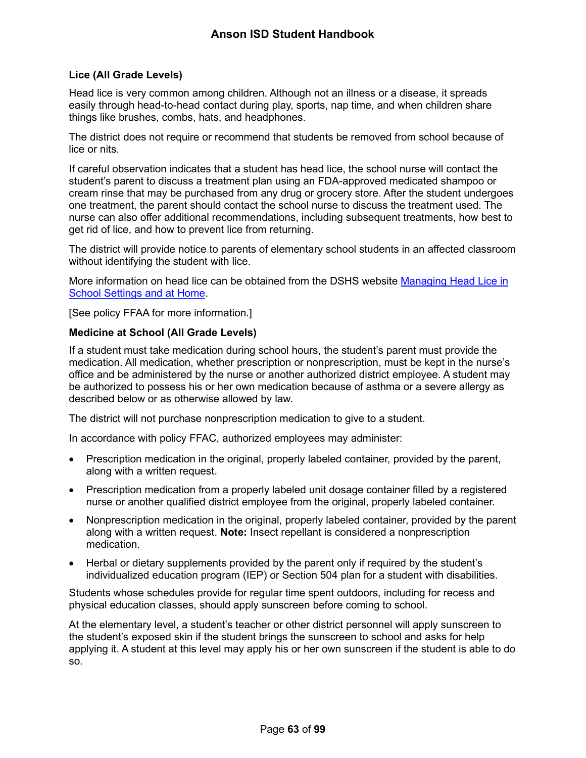## **Lice (All Grade Levels)**

Head lice is very common among children. Although not an illness or a disease, it spreads easily through head-to-head contact during play, sports, nap time, and when children share things like brushes, combs, hats, and headphones.

The district does not require or recommend that students be removed from school because of lice or nits.

If careful observation indicates that a student has head lice, the school nurse will contact the student's parent to discuss a treatment plan using an FDA-approved medicated shampoo or cream rinse that may be purchased from any drug or grocery store. After the student undergoes one treatment, the parent should contact the school nurse to discuss the treatment used. The nurse can also offer additional recommendations, including subsequent treatments, how best to get rid of lice, and how to prevent lice from returning.

The district will provide notice to parents of elementary school students in an affected classroom without identifying the student with lice.

More information on head lice can be obtained from the DSHS website [Managing Head Lice in](http://www.dshs.state.tx.us/schoolhealth/lice.shtm)  [School Settings and at Home.](http://www.dshs.state.tx.us/schoolhealth/lice.shtm)

[See policy FFAA for more information.]

## **Medicine at School (All Grade Levels)**

If a student must take medication during school hours, the student's parent must provide the medication. All medication, whether prescription or nonprescription, must be kept in the nurse's office and be administered by the nurse or another authorized district employee. A student may be authorized to possess his or her own medication because of asthma or a severe allergy as described below or as otherwise allowed by law.

The district will not purchase nonprescription medication to give to a student.

In accordance with policy FFAC, authorized employees may administer:

- Prescription medication in the original, properly labeled container, provided by the parent, along with a written request.
- Prescription medication from a properly labeled unit dosage container filled by a registered nurse or another qualified district employee from the original, properly labeled container.
- Nonprescription medication in the original, properly labeled container, provided by the parent along with a written request. **Note:** Insect repellant is considered a nonprescription medication.
- Herbal or dietary supplements provided by the parent only if required by the student's individualized education program (IEP) or Section 504 plan for a student with disabilities.

Students whose schedules provide for regular time spent outdoors, including for recess and physical education classes, should apply sunscreen before coming to school.

At the elementary level, a student's teacher or other district personnel will apply sunscreen to the student's exposed skin if the student brings the sunscreen to school and asks for help applying it. A student at this level may apply his or her own sunscreen if the student is able to do so.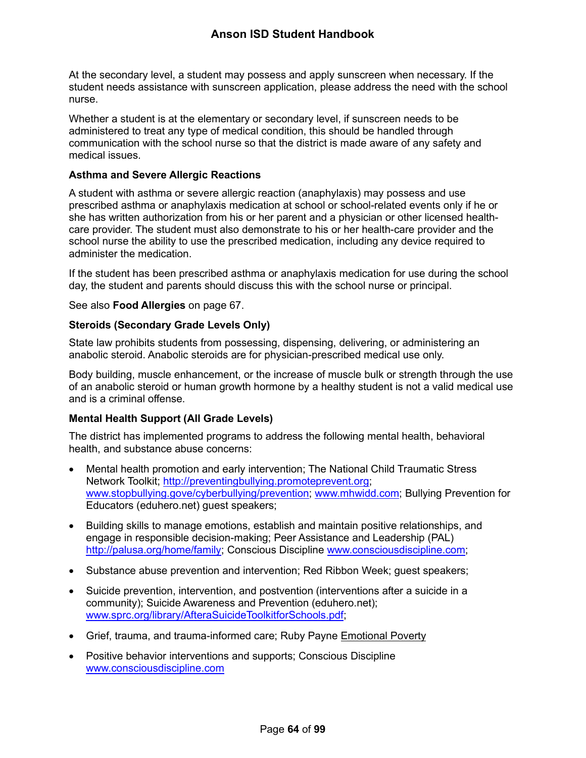# **Anson ISD Student Handbook**

At the secondary level, a student may possess and apply sunscreen when necessary. If the student needs assistance with sunscreen application, please address the need with the school nurse.

Whether a student is at the elementary or secondary level, if sunscreen needs to be administered to treat any type of medical condition, this should be handled through communication with the school nurse so that the district is made aware of any safety and medical issues.

### **Asthma and Severe Allergic Reactions**

A student with asthma or severe allergic reaction (anaphylaxis) may possess and use prescribed asthma or anaphylaxis medication at school or school-related events only if he or she has written authorization from his or her parent and a physician or other licensed healthcare provider. The student must also demonstrate to his or her health-care provider and the school nurse the ability to use the prescribed medication, including any device required to administer the medication.

If the student has been prescribed asthma or anaphylaxis medication for use during the school day, the student and parents should discuss this with the school nurse or principal.

See also **Food Allergies** on page [67.](#page-67-1)

### **Steroids (Secondary Grade Levels Only)**

State law prohibits students from possessing, dispensing, delivering, or administering an anabolic steroid. Anabolic steroids are for physician-prescribed medical use only.

Body building, muscle enhancement, or the increase of muscle bulk or strength through the use of an anabolic steroid or human growth hormone by a healthy student is not a valid medical use and is a criminal offense.

## <span id="page-64-0"></span>**Mental Health Support (All Grade Levels)**

The district has implemented programs to address the following mental health, behavioral health, and substance abuse concerns:

- Mental health promotion and early intervention; The National Child Traumatic Stress Network Toolkit; [http://preventingbullying.promoteprevent.org;](http://preventingbullying.promoteprevent.org/) [www.stopbullying.gove/cyberbullying/prevention;](http://www.stopbullying.gove/cyberbullying/prevention) [www.mhwidd.com;](http://www.mhwidd.com/) Bullying Prevention for Educators (eduhero.net) guest speakers;
- Building skills to manage emotions, establish and maintain positive relationships, and engage in responsible decision-making; Peer Assistance and Leadership (PAL) [http://palusa.org/home/family;](http://palusa.org/home/family) Conscious Discipline [www.consciousdiscipline.com;](http://www.consciousdiscipline.com/)
- Substance abuse prevention and intervention; Red Ribbon Week; guest speakers;
- Suicide prevention, intervention, and postvention (interventions after a suicide in a community); Suicide Awareness and Prevention (eduhero.net); [www.sprc.org/library/AfteraSuicideToolkitforSchools.pdf;](http://www.sprc.org/library/AfteraSuicideToolkitforSchools.pdf)
- Grief, trauma, and trauma-informed care; Ruby Payne Emotional Poverty
- Positive behavior interventions and supports; Conscious Discipline [www.consciousdiscipline.com](http://www.consciousdiscipline.com/)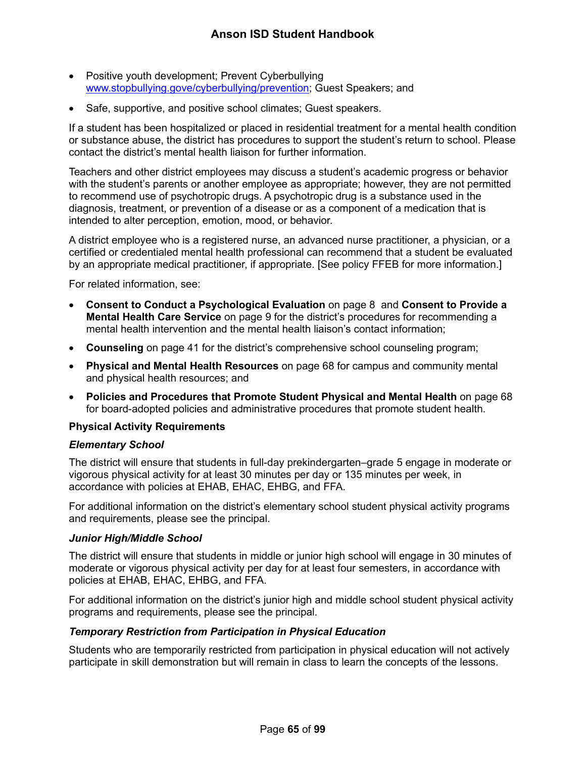- Positive youth development; Prevent Cyberbullying [www.stopbullying.gove/cyberbullying/prevention;](http://www.stopbullying.gove/cyberbullying/prevention) Guest Speakers; and
- Safe, supportive, and positive school climates; Guest speakers.

If a student has been hospitalized or placed in residential treatment for a mental health condition or substance abuse, the district has procedures to support the student's return to school. Please contact the district's mental health liaison for further information.

Teachers and other district employees may discuss a student's academic progress or behavior with the student's parents or another employee as appropriate; however, they are not permitted to recommend use of psychotropic drugs. A psychotropic drug is a substance used in the diagnosis, treatment, or prevention of a disease or as a component of a medication that is intended to alter perception, emotion, mood, or behavior.

A district employee who is a registered nurse, an advanced nurse practitioner, a physician, or a certified or credentialed mental health professional can recommend that a student be evaluated by an appropriate medical practitioner, if appropriate. [See policy FFEB for more information.]

For related information, see:

- **Consent to Conduct a Psychological Evaluation** on page [8](#page-8-0) and **Consent to Provide a Mental Health Care Service** on page [9](#page-9-0) for the district's procedures for recommending a mental health intervention and the mental health liaison's contact information;
- **Counseling** on page [41](#page-41-0) for the district's comprehensive school counseling program;
- **Physical and Mental Health Resources** on page [68](#page-68-0) for campus and community mental and physical health resources; and
- **Policies and Procedures that Promote Student Physical and Mental Health** on page [68](#page-68-1) for board-adopted policies and administrative procedures that promote student health.

### **Physical Activity Requirements**

### *Elementary School*

The district will ensure that students in full-day prekindergarten–grade 5 engage in moderate or vigorous physical activity for at least 30 minutes per day or 135 minutes per week, in accordance with policies at EHAB, EHAC, EHBG, and FFA.

For additional information on the district's elementary school student physical activity programs and requirements, please see the principal.

### *Junior High/Middle School*

The district will ensure that students in middle or junior high school will engage in 30 minutes of moderate or vigorous physical activity per day for at least four semesters, in accordance with policies at EHAB, EHAC, EHBG, and FFA.

For additional information on the district's junior high and middle school student physical activity programs and requirements, please see the principal.

### *Temporary Restriction from Participation in Physical Education*

Students who are temporarily restricted from participation in physical education will not actively participate in skill demonstration but will remain in class to learn the concepts of the lessons.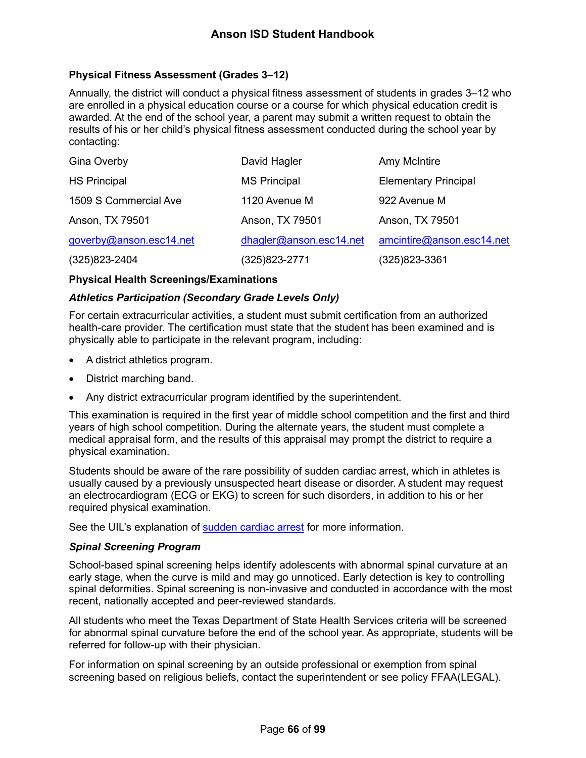# **Physical Fitness Assessment (Grades 3–12)**

Annually, the district will conduct a physical fitness assessment of students in grades 3–12 who are enrolled in a physical education course or a course for which physical education credit is awarded. At the end of the school year, a parent may submit a written request to obtain the results of his or her child's physical fitness assessment conducted during the school year by contacting:

| Gina Overby             | David Hagler            | Amy McIntire                |
|-------------------------|-------------------------|-----------------------------|
| <b>HS Principal</b>     | <b>MS Principal</b>     | <b>Elementary Principal</b> |
| 1509 S Commercial Ave   | 1120 Avenue M           | 922 Avenue M                |
| Anson, TX 79501         | Anson, TX 79501         | Anson, TX 79501             |
| goverby@anson.esc14.net | dhagler@anson.esc14.net | amcintire@anson.esc14.net   |
| $(325)823 - 2404$       | (325)823-2771           | (325)823-3361               |

### **Physical Health Screenings/Examinations**

## *Athletics Participation (Secondary Grade Levels Only)*

For certain extracurricular activities, a student must submit certification from an authorized health-care provider. The certification must state that the student has been examined and is physically able to participate in the relevant program, including:

- A district athletics program.
- District marching band.
- Any district extracurricular program identified by the superintendent.

This examination is required in the first year of middle school competition and the first and third years of high school competition. During the alternate years, the student must complete a medical appraisal form, and the results of this appraisal may prompt the district to require a physical examination.

Students should be aware of the rare possibility of sudden cardiac arrest, which in athletes is usually caused by a previously unsuspected heart disease or disorder. A student may request an electrocardiogram (ECG or EKG) to screen for such disorders, in addition to his or her required physical examination.

See the UIL's explanation of [sudden cardiac arrest](https://www.uiltexas.org/health/info/sudden-cardiac-death) for more information.

## *Spinal Screening Program*

School-based spinal screening helps identify adolescents with abnormal spinal curvature at an early stage, when the curve is mild and may go unnoticed. Early detection is key to controlling spinal deformities. Spinal screening is non-invasive and conducted in accordance with the most recent, nationally accepted and peer-reviewed standards.

All students who meet the Texas Department of State Health Services criteria will be screened for abnormal spinal curvature before the end of the school year. As appropriate, students will be referred for follow-up with their physician.

For information on spinal screening by an outside professional or exemption from spinal screening based on religious beliefs, contact the superintendent or see policy FFAA(LEGAL).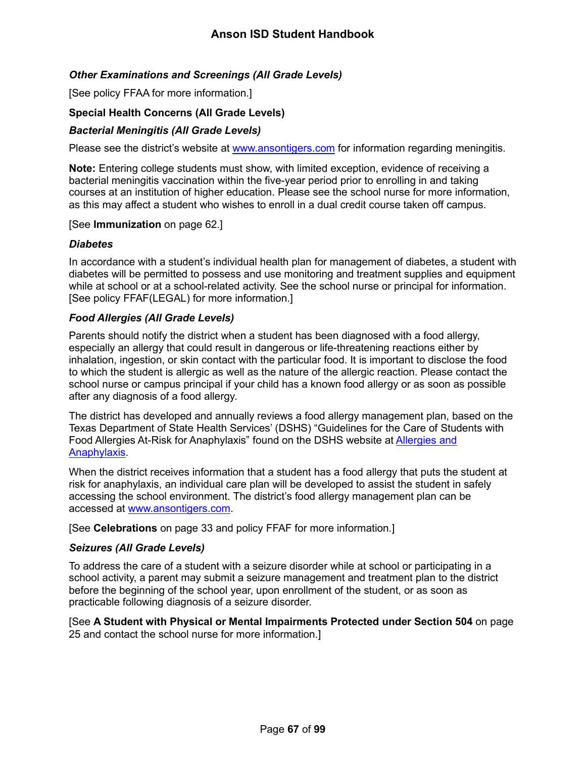## *Other Examinations and Screenings (All Grade Levels)*

[See policy FFAA for more information.]

### **Special Health Concerns (All Grade Levels)**

### <span id="page-67-0"></span>*Bacterial Meningitis (All Grade Levels)*

Please see the district's website at [www.ansontigers.com](http://www.ansontigers.com/) for information regarding meningitis.

**Note:** Entering college students must show, with limited exception, evidence of receiving a bacterial meningitis vaccination within the five-year period prior to enrolling in and taking courses at an institution of higher education. Please see the school nurse for more information, as this may affect a student who wishes to enroll in a dual credit course taken off campus.

#### [See **Immunization** on page [62.](#page-62-0)]

### *Diabetes*

In accordance with a student's individual health plan for management of diabetes, a student with diabetes will be permitted to possess and use monitoring and treatment supplies and equipment while at school or at a school-related activity. See the school nurse or principal for information. [See policy FFAF(LEGAL) for more information.]

### <span id="page-67-1"></span>*Food Allergies (All Grade Levels)*

Parents should notify the district when a student has been diagnosed with a food allergy, especially an allergy that could result in dangerous or life-threatening reactions either by inhalation, ingestion, or skin contact with the particular food. It is important to disclose the food to which the student is allergic as well as the nature of the allergic reaction. Please contact the school nurse or campus principal if your child has a known food allergy or as soon as possible after any diagnosis of a food allergy.

The district has developed and annually reviews a food allergy management plan, based on the Texas Department of State Health Services' (DSHS) "Guidelines for the Care of Students with Food Allergies At-Risk for Anaphylaxis" found on the DSHS website at [Allergies and](https://www.dshs.texas.gov/schoolhealth/allergiesandanaphylaxis/)  [Anaphylaxis.](https://www.dshs.texas.gov/schoolhealth/allergiesandanaphylaxis/)

When the district receives information that a student has a food allergy that puts the student at risk for anaphylaxis, an individual care plan will be developed to assist the student in safely accessing the school environment. The district's food allergy management plan can be accessed at [www.ansontigers.com.](http://www.ansontigers.com/)

#### [See **Celebrations** on page [33](#page-33-1) and policy FFAF for more information.]

### *Seizures (All Grade Levels)*

To address the care of a student with a seizure disorder while at school or participating in a school activity, a parent may submit a seizure management and treatment plan to the district before the beginning of the school year, upon enrollment of the student, or as soon as practicable following diagnosis of a seizure disorder.

[See **A Student with Physical or Mental Impairments Protected under Section 504** on page [25](#page-25-0) and contact the school nurse for more information.]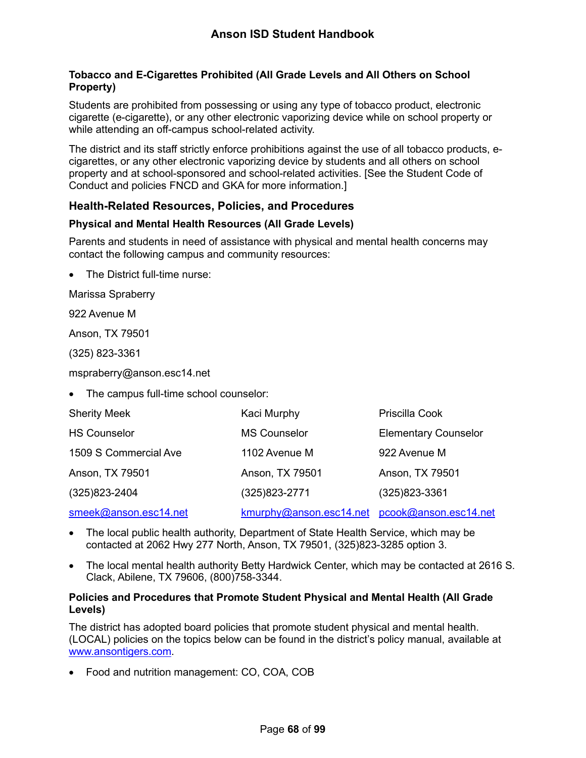### **Tobacco and E-Cigarettes Prohibited (All Grade Levels and All Others on School Property)**

Students are prohibited from possessing or using any type of tobacco product, electronic cigarette (e-cigarette), or any other electronic vaporizing device while on school property or while attending an off-campus school-related activity.

The district and its staff strictly enforce prohibitions against the use of all tobacco products, ecigarettes, or any other electronic vaporizing device by students and all others on school property and at school-sponsored and school-related activities. [See the Student Code of Conduct and policies FNCD and GKA for more information.]

## **Health-Related Resources, Policies, and Procedures**

### <span id="page-68-0"></span>**Physical and Mental Health Resources (All Grade Levels)**

Parents and students in need of assistance with physical and mental health concerns may contact the following campus and community resources:

<span id="page-68-1"></span>The District full-time nurse:

Marissa Spraberry

922 Avenue M

Anson, TX 79501

(325) 823-3361

mspraberry@anson.esc14.net

• The campus full-time school counselor:

| <b>Sherity Meek</b>   | Kaci Murphy                                   | Priscilla Cook              |
|-----------------------|-----------------------------------------------|-----------------------------|
| <b>HS Counselor</b>   | <b>MS Counselor</b>                           | <b>Elementary Counselor</b> |
| 1509 S Commercial Ave | 1102 Avenue M                                 | 922 Avenue M                |
| Anson, TX 79501       | Anson, TX 79501                               | Anson, TX 79501             |
| $(325)823 - 2404$     | (325) 823-2771                                | (325) 823-3361              |
| smeek@anson.esc14.net | kmurphy@anson.esc14.net pcook@anson.esc14.net |                             |

- The local public health authority, Department of State Health Service, which may be contacted at 2062 Hwy 277 North, Anson, TX 79501, (325)823-3285 option 3.
- The local mental health authority Betty Hardwick Center, which may be contacted at 2616 S. Clack, Abilene, TX 79606, (800)758-3344.

### **Policies and Procedures that Promote Student Physical and Mental Health (All Grade Levels)**

The district has adopted board policies that promote student physical and mental health. (LOCAL) policies on the topics below can be found in the district's policy manual, available at [www.ansontigers.com.](http://www.ansontigers.com/)

• Food and nutrition management: CO, COA, COB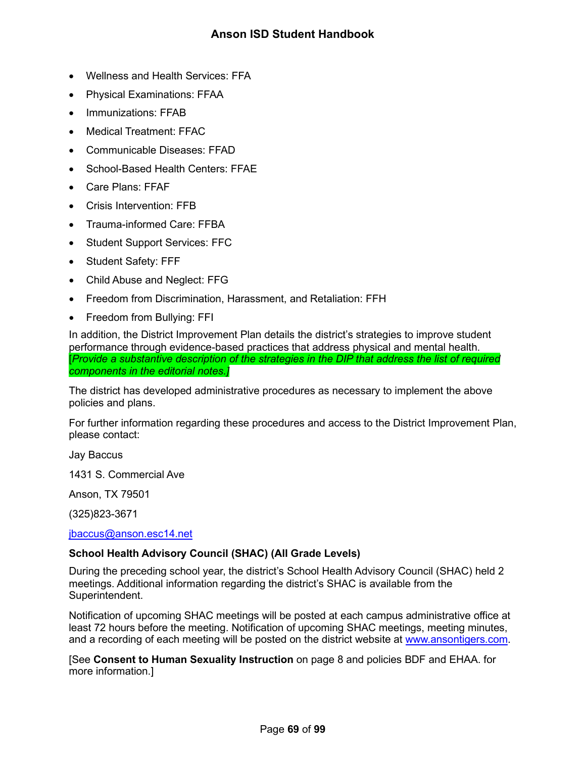- Wellness and Health Services: FFA
- Physical Examinations: FFAA
- Immunizations: FFAB
- Medical Treatment: FFAC
- Communicable Diseases: FFAD
- School-Based Health Centers: FFAE
- Care Plans: FFAF
- Crisis Intervention: FFB
- Trauma-informed Care: FFBA
- Student Support Services: FFC
- Student Safety: FFF
- Child Abuse and Neglect: FFG
- Freedom from Discrimination, Harassment, and Retaliation: FFH
- Freedom from Bullying: FFI

In addition, the District Improvement Plan details the district's strategies to improve student performance through evidence-based practices that address physical and mental health. [*Provide a substantive description of the strategies in the DIP that address the list of required components in the editorial notes.]*

The district has developed administrative procedures as necessary to implement the above policies and plans.

For further information regarding these procedures and access to the District Improvement Plan, please contact:

Jay Baccus

1431 S. Commercial Ave

Anson, TX 79501

(325)823-3671

[jbaccus@anson.esc14.net](mailto:jbaccus@anson.esc14.net)

## **School Health Advisory Council (SHAC) (All Grade Levels)**

During the preceding school year, the district's School Health Advisory Council (SHAC) held 2 meetings. Additional information regarding the district's SHAC is available from the Superintendent.

Notification of upcoming SHAC meetings will be posted at each campus administrative office at least 72 hours before the meeting. Notification of upcoming SHAC meetings, meeting minutes, and a recording of each meeting will be posted on the district website at [www.ansontigers.com.](http://www.ansontigers.com/)

[See **Consent to Human Sexuality Instruction** on page [8](#page-8-1) and policies BDF and EHAA. for more information.]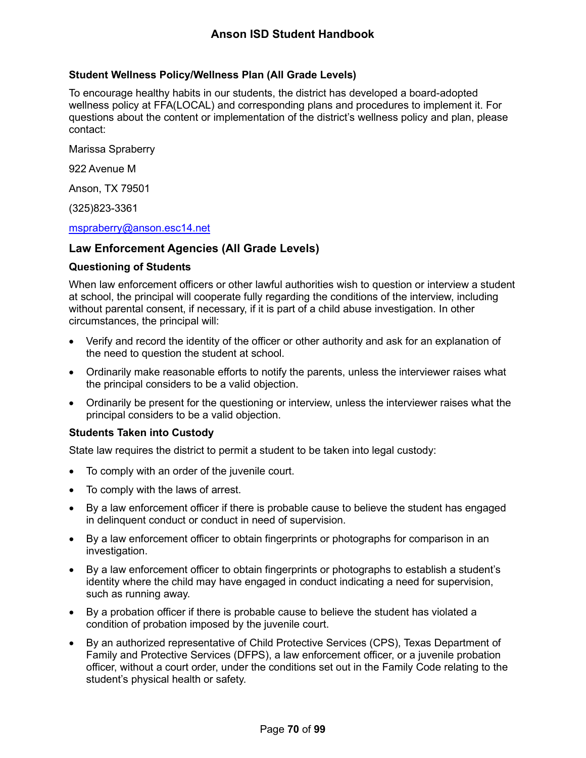## **Student Wellness Policy/Wellness Plan (All Grade Levels)**

To encourage healthy habits in our students, the district has developed a board-adopted wellness policy at FFA(LOCAL) and corresponding plans and procedures to implement it. For questions about the content or implementation of the district's wellness policy and plan, please contact:

Marissa Spraberry

922 Avenue M

Anson, TX 79501

(325)823-3361

### [mspraberry@anson.esc14.net](mailto:mspraberry@anson.esc14.net)

## **Law Enforcement Agencies (All Grade Levels)**

### **Questioning of Students**

When law enforcement officers or other lawful authorities wish to question or interview a student at school, the principal will cooperate fully regarding the conditions of the interview, including without parental consent, if necessary, if it is part of a child abuse investigation. In other circumstances, the principal will:

- Verify and record the identity of the officer or other authority and ask for an explanation of the need to question the student at school.
- Ordinarily make reasonable efforts to notify the parents, unless the interviewer raises what the principal considers to be a valid objection.
- Ordinarily be present for the questioning or interview, unless the interviewer raises what the principal considers to be a valid objection.

## **Students Taken into Custody**

State law requires the district to permit a student to be taken into legal custody:

- To comply with an order of the juvenile court.
- To comply with the laws of arrest.
- By a law enforcement officer if there is probable cause to believe the student has engaged in delinquent conduct or conduct in need of supervision.
- By a law enforcement officer to obtain fingerprints or photographs for comparison in an investigation.
- By a law enforcement officer to obtain fingerprints or photographs to establish a student's identity where the child may have engaged in conduct indicating a need for supervision, such as running away.
- By a probation officer if there is probable cause to believe the student has violated a condition of probation imposed by the juvenile court.
- By an authorized representative of Child Protective Services (CPS), Texas Department of Family and Protective Services (DFPS), a law enforcement officer, or a juvenile probation officer, without a court order, under the conditions set out in the Family Code relating to the student's physical health or safety.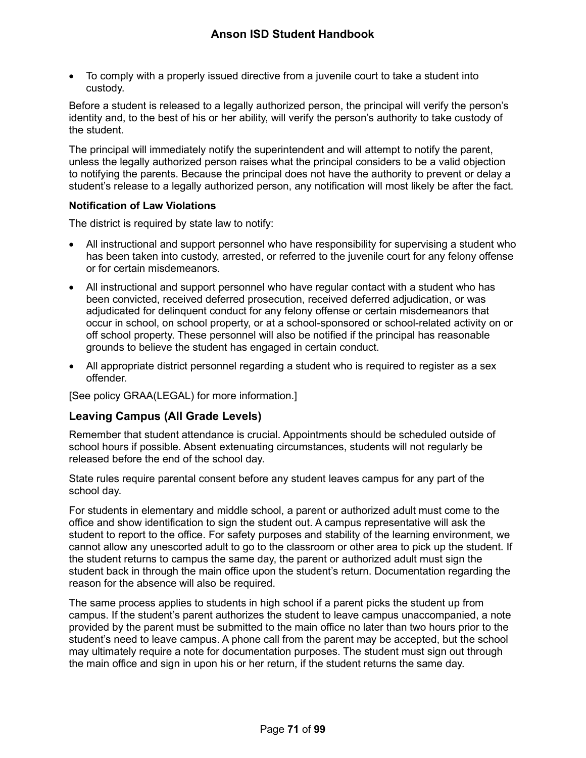• To comply with a properly issued directive from a juvenile court to take a student into custody.

Before a student is released to a legally authorized person, the principal will verify the person's identity and, to the best of his or her ability, will verify the person's authority to take custody of the student.

The principal will immediately notify the superintendent and will attempt to notify the parent, unless the legally authorized person raises what the principal considers to be a valid objection to notifying the parents. Because the principal does not have the authority to prevent or delay a student's release to a legally authorized person, any notification will most likely be after the fact.

### **Notification of Law Violations**

The district is required by state law to notify:

- All instructional and support personnel who have responsibility for supervising a student who has been taken into custody, arrested, or referred to the juvenile court for any felony offense or for certain misdemeanors.
- All instructional and support personnel who have regular contact with a student who has been convicted, received deferred prosecution, received deferred adjudication, or was adjudicated for delinquent conduct for any felony offense or certain misdemeanors that occur in school, on school property, or at a school-sponsored or school-related activity on or off school property. These personnel will also be notified if the principal has reasonable grounds to believe the student has engaged in certain conduct.
- All appropriate district personnel regarding a student who is required to register as a sex offender.

[See policy GRAA(LEGAL) for more information.]

## **Leaving Campus (All Grade Levels)**

Remember that student attendance is crucial. Appointments should be scheduled outside of school hours if possible. Absent extenuating circumstances, students will not regularly be released before the end of the school day.

State rules require parental consent before any student leaves campus for any part of the school day.

For students in elementary and middle school, a parent or authorized adult must come to the office and show identification to sign the student out. A campus representative will ask the student to report to the office. For safety purposes and stability of the learning environment, we cannot allow any unescorted adult to go to the classroom or other area to pick up the student. If the student returns to campus the same day, the parent or authorized adult must sign the student back in through the main office upon the student's return. Documentation regarding the reason for the absence will also be required.

The same process applies to students in high school if a parent picks the student up from campus. If the student's parent authorizes the student to leave campus unaccompanied, a note provided by the parent must be submitted to the main office no later than two hours prior to the student's need to leave campus. A phone call from the parent may be accepted, but the school may ultimately require a note for documentation purposes. The student must sign out through the main office and sign in upon his or her return, if the student returns the same day.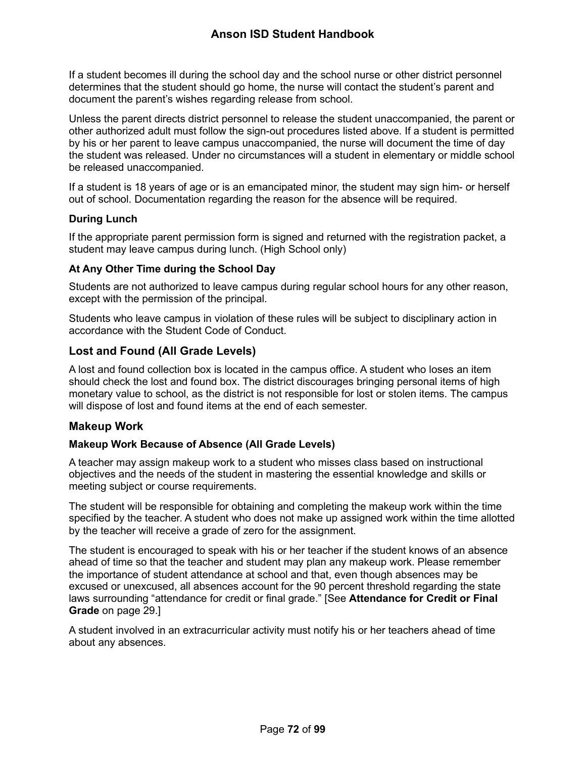If a student becomes ill during the school day and the school nurse or other district personnel determines that the student should go home, the nurse will contact the student's parent and document the parent's wishes regarding release from school.

Unless the parent directs district personnel to release the student unaccompanied, the parent or other authorized adult must follow the sign-out procedures listed above. If a student is permitted by his or her parent to leave campus unaccompanied, the nurse will document the time of day the student was released. Under no circumstances will a student in elementary or middle school be released unaccompanied.

If a student is 18 years of age or is an emancipated minor, the student may sign him- or herself out of school. Documentation regarding the reason for the absence will be required.

## **During Lunch**

If the appropriate parent permission form is signed and returned with the registration packet, a student may leave campus during lunch. (High School only)

## **At Any Other Time during the School Day**

Students are not authorized to leave campus during regular school hours for any other reason, except with the permission of the principal.

Students who leave campus in violation of these rules will be subject to disciplinary action in accordance with the Student Code of Conduct.

## **Lost and Found (All Grade Levels)**

A lost and found collection box is located in the campus office. A student who loses an item should check the lost and found box. The district discourages bringing personal items of high monetary value to school, as the district is not responsible for lost or stolen items. The campus will dispose of lost and found items at the end of each semester.

## **Makeup Work**

## **Makeup Work Because of Absence (All Grade Levels)**

A teacher may assign makeup work to a student who misses class based on instructional objectives and the needs of the student in mastering the essential knowledge and skills or meeting subject or course requirements.

The student will be responsible for obtaining and completing the makeup work within the time specified by the teacher. A student who does not make up assigned work within the time allotted by the teacher will receive a grade of zero for the assignment.

The student is encouraged to speak with his or her teacher if the student knows of an absence ahead of time so that the teacher and student may plan any makeup work. Please remember the importance of student attendance at school and that, even though absences may be excused or unexcused, all absences account for the 90 percent threshold regarding the state laws surrounding "attendance for credit or final grade." [See **Attendance for Credit or Final Grade** on page [29.](#page-29-0)]

A student involved in an extracurricular activity must notify his or her teachers ahead of time about any absences.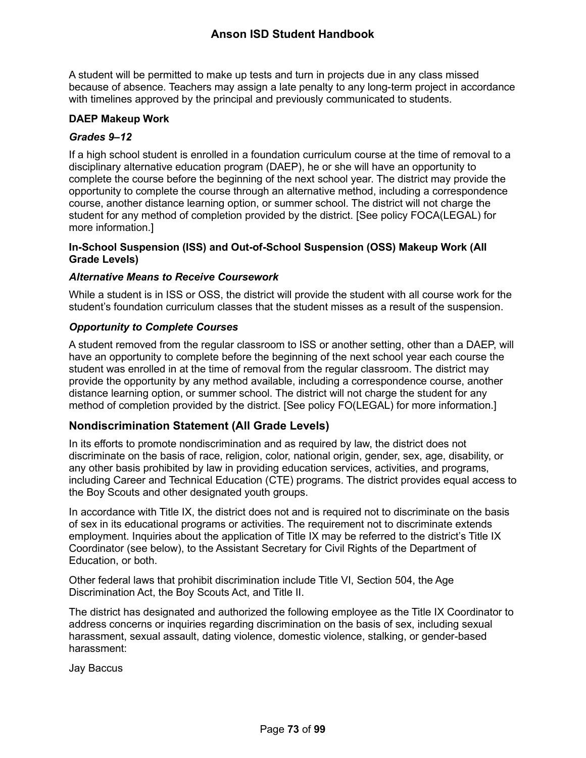A student will be permitted to make up tests and turn in projects due in any class missed because of absence. Teachers may assign a late penalty to any long-term project in accordance with timelines approved by the principal and previously communicated to students.

## **DAEP Makeup Work**

### *Grades 9–12*

If a high school student is enrolled in a foundation curriculum course at the time of removal to a disciplinary alternative education program (DAEP), he or she will have an opportunity to complete the course before the beginning of the next school year. The district may provide the opportunity to complete the course through an alternative method, including a correspondence course, another distance learning option, or summer school. The district will not charge the student for any method of completion provided by the district. [See policy FOCA(LEGAL) for more information.]

### **In-School Suspension (ISS) and Out-of-School Suspension (OSS) Makeup Work (All Grade Levels)**

#### *Alternative Means to Receive Coursework*

While a student is in ISS or OSS, the district will provide the student with all course work for the student's foundation curriculum classes that the student misses as a result of the suspension.

#### *Opportunity to Complete Courses*

A student removed from the regular classroom to ISS or another setting, other than a DAEP, will have an opportunity to complete before the beginning of the next school year each course the student was enrolled in at the time of removal from the regular classroom. The district may provide the opportunity by any method available, including a correspondence course, another distance learning option, or summer school. The district will not charge the student for any method of completion provided by the district. [See policy FO(LEGAL) for more information.]

## **Nondiscrimination Statement (All Grade Levels)**

In its efforts to promote nondiscrimination and as required by law, the district does not discriminate on the basis of race, religion, color, national origin, gender, sex, age, disability, or any other basis prohibited by law in providing education services, activities, and programs, including Career and Technical Education (CTE) programs. The district provides equal access to the Boy Scouts and other designated youth groups.

In accordance with Title IX, the district does not and is required not to discriminate on the basis of sex in its educational programs or activities. The requirement not to discriminate extends employment. Inquiries about the application of Title IX may be referred to the district's Title IX Coordinator (see below), to the Assistant Secretary for Civil Rights of the Department of Education, or both.

Other federal laws that prohibit discrimination include Title VI, Section 504, the Age Discrimination Act, the Boy Scouts Act, and Title II.

The district has designated and authorized the following employee as the Title IX Coordinator to address concerns or inquiries regarding discrimination on the basis of sex, including sexual harassment, sexual assault, dating violence, domestic violence, stalking, or gender-based harassment:

Jay Baccus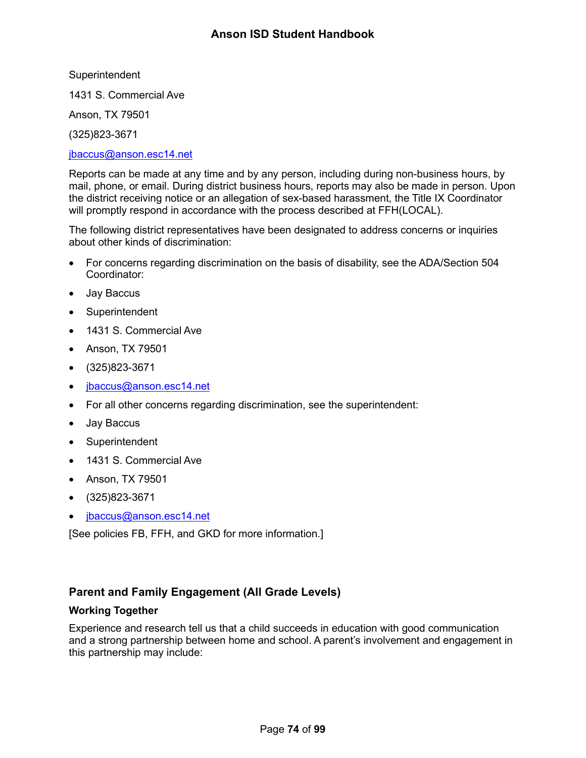**Superintendent** 

1431 S. Commercial Ave

Anson, TX 79501

(325)823-3671

#### [jbaccus@anson.esc14.net](mailto:jbaccus@anson.esc14.net)

Reports can be made at any time and by any person, including during non-business hours, by mail, phone, or email. During district business hours, reports may also be made in person. Upon the district receiving notice or an allegation of sex-based harassment, the Title IX Coordinator will promptly respond in accordance with the process described at FFH(LOCAL).

The following district representatives have been designated to address concerns or inquiries about other kinds of discrimination:

- For concerns regarding discrimination on the basis of disability, see the ADA/Section 504 Coordinator:
- Jay Baccus
- Superintendent
- 1431 S. Commercial Ave
- Anson, TX 79501
- (325)823-3671
- [jbaccus@anson.esc14.net](mailto:jbaccus@anson.esc14.net)
- For all other concerns regarding discrimination, see the superintendent:
- Jay Baccus
- **Superintendent**
- 1431 S. Commercial Ave
- Anson, TX 79501
- (325)823-3671
- [jbaccus@anson.esc14.net](mailto:jbaccus@anson.esc14.net)

[See policies FB, FFH, and GKD for more information.]

## **Parent and Family Engagement (All Grade Levels)**

## <span id="page-74-0"></span>**Working Together**

Experience and research tell us that a child succeeds in education with good communication and a strong partnership between home and school. A parent's involvement and engagement in this partnership may include: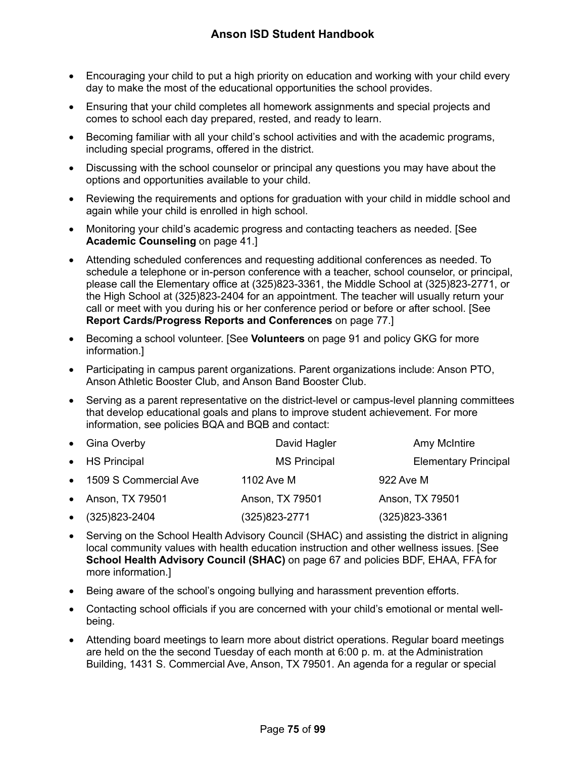- Encouraging your child to put a high priority on education and working with your child every day to make the most of the educational opportunities the school provides.
- Ensuring that your child completes all homework assignments and special projects and comes to school each day prepared, rested, and ready to learn.
- Becoming familiar with all your child's school activities and with the academic programs, including special programs, offered in the district.
- Discussing with the school counselor or principal any questions you may have about the options and opportunities available to your child.
- Reviewing the requirements and options for graduation with your child in middle school and again while your child is enrolled in high school.
- Monitoring your child's academic progress and contacting teachers as needed. [See **Academic Counseling** on page [41.](#page-41-0)]
- Attending scheduled conferences and requesting additional conferences as needed. To schedule a telephone or in-person conference with a teacher, school counselor, or principal, please call the Elementary office at (325)823-3361, the Middle School at (325)823-2771, or the High School at (325)823-2404 for an appointment. The teacher will usually return your call or meet with you during his or her conference period or before or after school. [See **Report Cards/Progress Reports and Conferences** on page [77.](#page-77-0)]
- Becoming a school volunteer. [See **Volunteers** on page [91](#page-91-0) and policy GKG for more information.]
- Participating in campus parent organizations. Parent organizations include: Anson PTO, Anson Athletic Booster Club, and Anson Band Booster Club.
- Serving as a parent representative on the district-level or campus-level planning committees that develop educational goals and plans to improve student achievement. For more information, see policies BQA and BQB and contact:

| • Gina Overby           | David Hagler        | Amy McIntire                |
|-------------------------|---------------------|-----------------------------|
| • HS Principal          | <b>MS Principal</b> | <b>Elementary Principal</b> |
| • 1509 S Commercial Ave | 1102 Ave M          | 922 Ave M                   |
| • Anson, TX 79501       | Anson, TX 79501     | Anson, TX 79501             |
| $\bullet$ (325)823-2404 | $(325)823 - 2771$   | $(325)823 - 3361$           |

- Serving on the School Health Advisory Council (SHAC) and assisting the district in aligning local community values with health education instruction and other wellness issues. [See **School Health Advisory Council (SHAC)** on page [67](#page-67-0) and policies BDF, EHAA, FFA for more information.]
- Being aware of the school's ongoing bullying and harassment prevention efforts.
- Contacting school officials if you are concerned with your child's emotional or mental wellbeing.
- Attending board meetings to learn more about district operations. Regular board meetings are held on the the second Tuesday of each month at 6:00 p. m. at the Administration Building, 1431 S. Commercial Ave, Anson, TX 79501. An agenda for a regular or special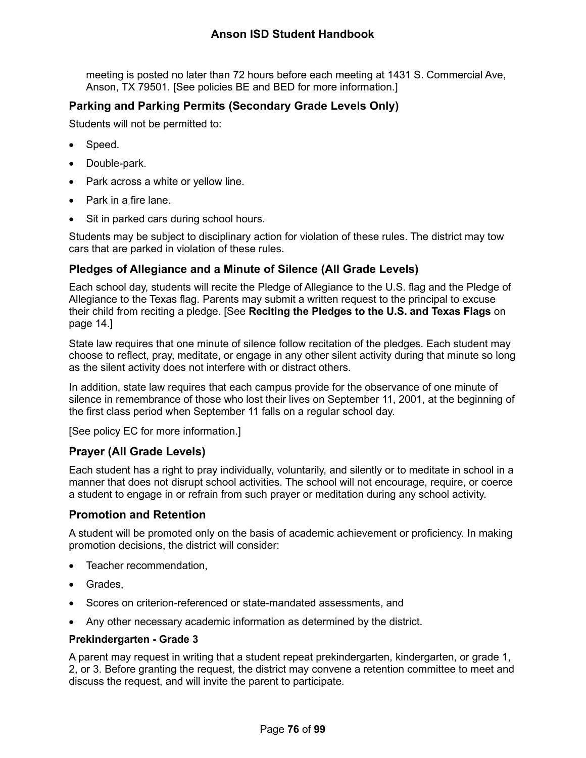meeting is posted no later than 72 hours before each meeting at 1431 S. Commercial Ave, Anson, TX 79501*.* [See policies BE and BED for more information.]

## **Parking and Parking Permits (Secondary Grade Levels Only)**

Students will not be permitted to:

- Speed.
- Double-park.
- Park across a white or yellow line.
- Park in a fire lane.
- Sit in parked cars during school hours.

Students may be subject to disciplinary action for violation of these rules. The district may tow cars that are parked in violation of these rules.

## **Pledges of Allegiance and a Minute of Silence (All Grade Levels)**

Each school day, students will recite the Pledge of Allegiance to the U.S. flag and the Pledge of Allegiance to the Texas flag. Parents may submit a written request to the principal to excuse their child from reciting a pledge. [See **Reciting the Pledges to the U.S. and Texas Flags** on page [14.](#page-14-0)]

State law requires that one minute of silence follow recitation of the pledges. Each student may choose to reflect, pray, meditate, or engage in any other silent activity during that minute so long as the silent activity does not interfere with or distract others.

In addition, state law requires that each campus provide for the observance of one minute of silence in remembrance of those who lost their lives on September 11, 2001, at the beginning of the first class period when September 11 falls on a regular school day.

[See policy EC for more information.]

## **Prayer (All Grade Levels)**

Each student has a right to pray individually, voluntarily, and silently or to meditate in school in a manner that does not disrupt school activities. The school will not encourage, require, or coerce a student to engage in or refrain from such prayer or meditation during any school activity.

## **Promotion and Retention**

A student will be promoted only on the basis of academic achievement or proficiency. In making promotion decisions, the district will consider:

- Teacher recommendation,
- Grades.
- Scores on criterion-referenced or state-mandated assessments, and
- Any other necessary academic information as determined by the district.

## **Prekindergarten - Grade 3**

A parent may request in writing that a student repeat prekindergarten, kindergarten, or grade 1, 2, or 3. Before granting the request, the district may convene a retention committee to meet and discuss the request, and will invite the parent to participate.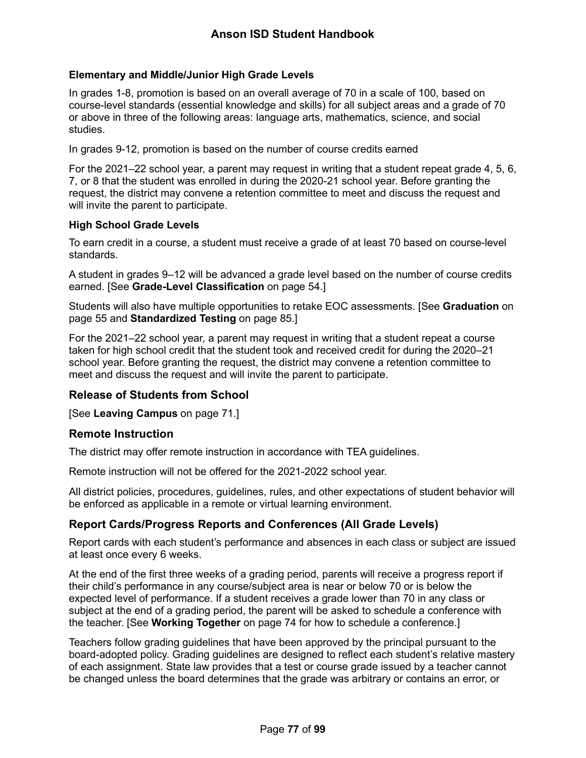## **Elementary and Middle/Junior High Grade Levels**

In grades 1-8, promotion is based on an overall average of 70 in a scale of 100, based on course-level standards (essential knowledge and skills) for all subject areas and a grade of 70 or above in three of the following areas: language arts, mathematics, science, and social studies.

In grades 9-12, promotion is based on the number of course credits earned

For the 2021–22 school year, a parent may request in writing that a student repeat grade 4, 5, 6, 7, or 8 that the student was enrolled in during the 2020-21 school year. Before granting the request, the district may convene a retention committee to meet and discuss the request and will invite the parent to participate.

#### **High School Grade Levels**

To earn credit in a course, a student must receive a grade of at least 70 based on course-level standards.

A student in grades 9–12 will be advanced a grade level based on the number of course credits earned. [See **Grade-Level Classification** on page [54.](#page-54-0)]

Students will also have multiple opportunities to retake EOC assessments. [See **Graduation** on page [55](#page-55-0) and **Standardized Testing** on page [85.](#page-85-0)]

For the 2021–22 school year, a parent may request in writing that a student repeat a course taken for high school credit that the student took and received credit for during the 2020–21 school year. Before granting the request, the district may convene a retention committee to meet and discuss the request and will invite the parent to participate.

## **Release of Students from School**

[See **Leaving Campus** on page [71.](#page-71-0)]

## **Remote Instruction**

The district may offer remote instruction in accordance with TEA guidelines.

Remote instruction will not be offered for the 2021-2022 school year.

All district policies, procedures, guidelines, rules, and other expectations of student behavior will be enforced as applicable in a remote or virtual learning environment.

## <span id="page-77-0"></span>**Report Cards/Progress Reports and Conferences (All Grade Levels)**

Report cards with each student's performance and absences in each class or subject are issued at least once every 6 weeks.

At the end of the first three weeks of a grading period, parents will receive a progress report if their child's performance in any course/subject area is near or below 70 or is below the expected level of performance. If a student receives a grade lower than 70 in any class or subject at the end of a grading period, the parent will be asked to schedule a conference with the teacher. [See **Working Together** on page [74](#page-74-0) for how to schedule a conference.]

Teachers follow grading guidelines that have been approved by the principal pursuant to the board-adopted policy. Grading guidelines are designed to reflect each student's relative mastery of each assignment. State law provides that a test or course grade issued by a teacher cannot be changed unless the board determines that the grade was arbitrary or contains an error, or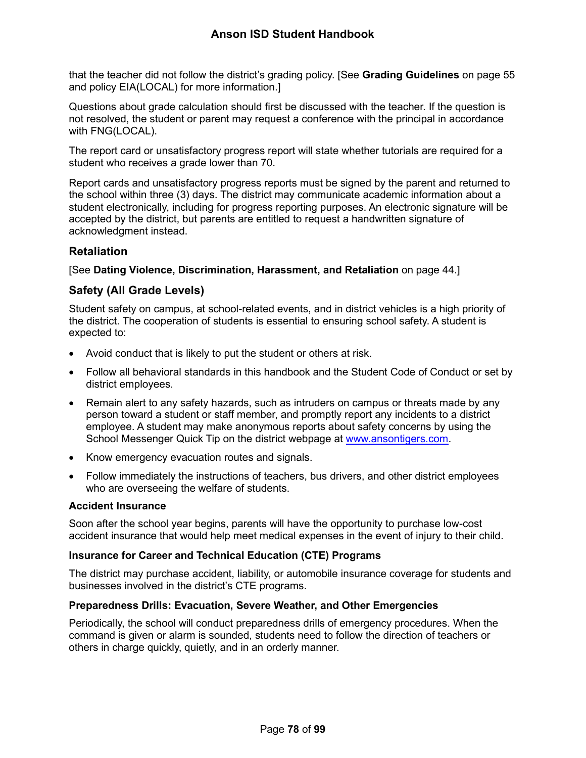that the teacher did not follow the district's grading policy. [See **Grading Guidelines** on page [55](#page-55-1) and policy EIA(LOCAL) for more information.]

Questions about grade calculation should first be discussed with the teacher. If the question is not resolved, the student or parent may request a conference with the principal in accordance with FNG(LOCAL).

The report card or unsatisfactory progress report will state whether tutorials are required for a student who receives a grade lower than 70.

Report cards and unsatisfactory progress reports must be signed by the parent and returned to the school within three (3) days. The district may communicate academic information about a student electronically, including for progress reporting purposes. An electronic signature will be accepted by the district, but parents are entitled to request a handwritten signature of acknowledgment instead.

## **Retaliation**

[See **Dating Violence, Discrimination, Harassment, and Retaliation** on page [44.](#page-44-0)]

## **Safety (All Grade Levels)**

Student safety on campus, at school-related events, and in district vehicles is a high priority of the district. The cooperation of students is essential to ensuring school safety. A student is expected to:

- Avoid conduct that is likely to put the student or others at risk.
- Follow all behavioral standards in this handbook and the Student Code of Conduct or set by district employees.
- Remain alert to any safety hazards, such as intruders on campus or threats made by any person toward a student or staff member, and promptly report any incidents to a district employee. A student may make anonymous reports about safety concerns by using the School Messenger Quick Tip on the district webpage at [www.ansontigers.com.](http://www.ansontigers.com/)
- Know emergency evacuation routes and signals.
- Follow immediately the instructions of teachers, bus drivers, and other district employees who are overseeing the welfare of students.

## **Accident Insurance**

Soon after the school year begins, parents will have the opportunity to purchase low-cost accident insurance that would help meet medical expenses in the event of injury to their child.

## **Insurance for Career and Technical Education (CTE) Programs**

The district may purchase accident, liability, or automobile insurance coverage for students and businesses involved in the district's CTE programs.

## **Preparedness Drills: Evacuation, Severe Weather, and Other Emergencies**

Periodically, the school will conduct preparedness drills of emergency procedures. When the command is given or alarm is sounded, students need to follow the direction of teachers or others in charge quickly, quietly, and in an orderly manner.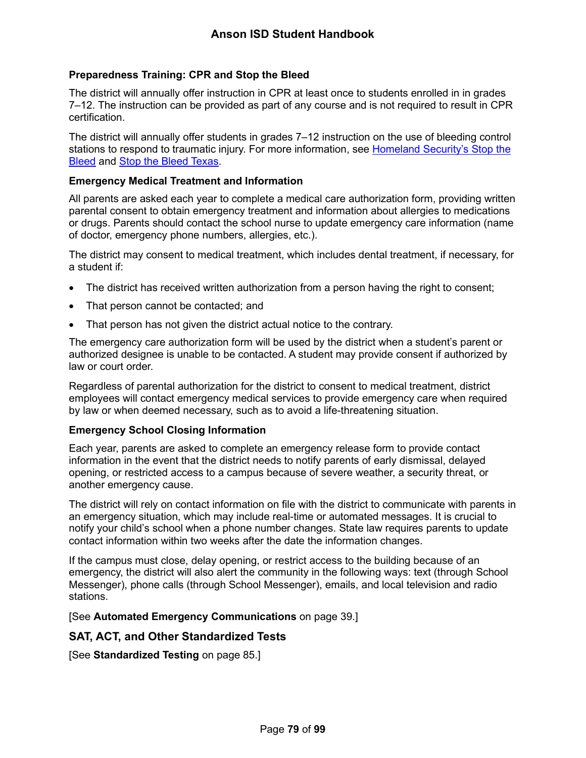## **Preparedness Training: CPR and Stop the Bleed**

The district will annually offer instruction in CPR at least once to students enrolled in in grades 7–12. The instruction can be provided as part of any course and is not required to result in CPR certification.

The district will annually offer students in grades 7–12 instruction on the use of bleeding control stations to respond to traumatic injury. For more information, see [Homeland Security's Stop the](https://www.dhs.gov/stopthebleed)  [Bleed](https://www.dhs.gov/stopthebleed) and [Stop the Bleed Texas.](https://stopthebleedtx.org/)

#### **Emergency Medical Treatment and Information**

All parents are asked each year to complete a medical care authorization form, providing written parental consent to obtain emergency treatment and information about allergies to medications or drugs. Parents should contact the school nurse to update emergency care information (name of doctor, emergency phone numbers, allergies, etc.).

The district may consent to medical treatment, which includes dental treatment, if necessary, for a student if:

- The district has received written authorization from a person having the right to consent;
- That person cannot be contacted; and
- That person has not given the district actual notice to the contrary.

The emergency care authorization form will be used by the district when a student's parent or authorized designee is unable to be contacted. A student may provide consent if authorized by law or court order.

Regardless of parental authorization for the district to consent to medical treatment, district employees will contact emergency medical services to provide emergency care when required by law or when deemed necessary, such as to avoid a life-threatening situation.

#### **Emergency School Closing Information**

Each year, parents are asked to complete an emergency release form to provide contact information in the event that the district needs to notify parents of early dismissal, delayed opening, or restricted access to a campus because of severe weather, a security threat, or another emergency cause.

The district will rely on contact information on file with the district to communicate with parents in an emergency situation, which may include real-time or automated messages. It is crucial to notify your child's school when a phone number changes. State law requires parents to update contact information within two weeks after the date the information changes.

If the campus must close, delay opening, or restrict access to the building because of an emergency, the district will also alert the community in the following ways: text (through School Messenger), phone calls (through School Messenger), emails, and local television and radio stations.

[See **Automated Emergency Communications** on page [39.](#page-39-0)]

## **SAT, ACT, and Other Standardized Tests**

[See **Standardized Testing** on page [85.](#page-85-0)]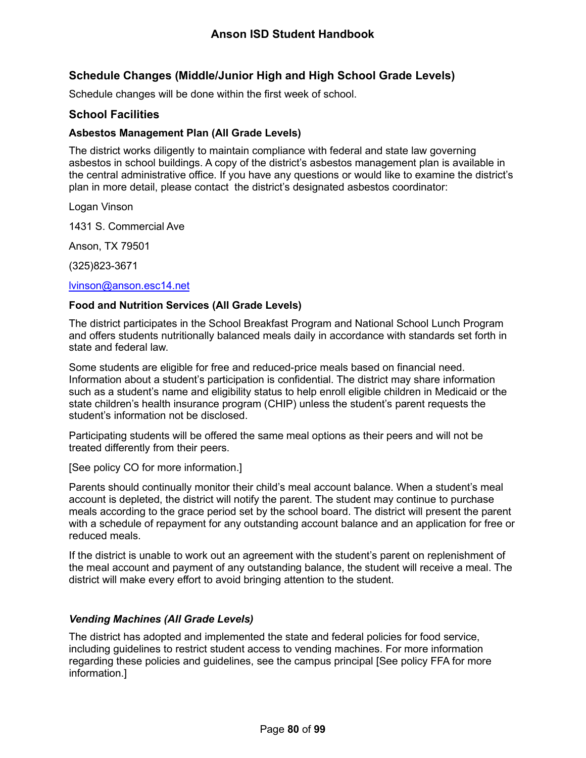## **Schedule Changes (Middle/Junior High and High School Grade Levels)**

Schedule changes will be done within the first week of school.

## **School Facilities**

### **Asbestos Management Plan (All Grade Levels)**

The district works diligently to maintain compliance with federal and state law governing asbestos in school buildings. A copy of the district's asbestos management plan is available in the central administrative office. If you have any questions or would like to examine the district's plan in more detail, please contact the district's designated asbestos coordinator:

Logan Vinson

1431 S. Commercial Ave

Anson, TX 79501

(325)823-3671

#### [lvinson@anson.esc14.net](mailto:lvinson@anson.esc14.net)

#### **Food and Nutrition Services (All Grade Levels)**

The district participates in the School Breakfast Program and National School Lunch Program and offers students nutritionally balanced meals daily in accordance with standards set forth in state and federal law.

Some students are eligible for free and reduced-price meals based on financial need. Information about a student's participation is confidential. The district may share information such as a student's name and eligibility status to help enroll eligible children in Medicaid or the state children's health insurance program (CHIP) unless the student's parent requests the student's information not be disclosed.

Participating students will be offered the same meal options as their peers and will not be treated differently from their peers.

[See policy CO for more information.]

Parents should continually monitor their child's meal account balance. When a student's meal account is depleted, the district will notify the parent. The student may continue to purchase meals according to the grace period set by the school board. The district will present the parent with a schedule of repayment for any outstanding account balance and an application for free or reduced meals.

If the district is unable to work out an agreement with the student's parent on replenishment of the meal account and payment of any outstanding balance, the student will receive a meal. The district will make every effort to avoid bringing attention to the student.

## *Vending Machines (All Grade Levels)*

The district has adopted and implemented the state and federal policies for food service, including guidelines to restrict student access to vending machines. For more information regarding these policies and guidelines, see the campus principal [See policy FFA for more information.]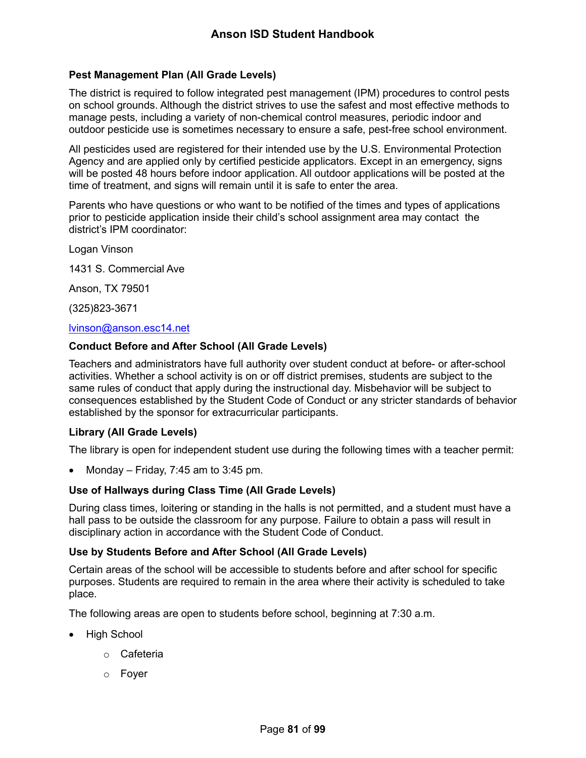## **Pest Management Plan (All Grade Levels)**

The district is required to follow integrated pest management (IPM) procedures to control pests on school grounds. Although the district strives to use the safest and most effective methods to manage pests, including a variety of non-chemical control measures, periodic indoor and outdoor pesticide use is sometimes necessary to ensure a safe, pest-free school environment.

All pesticides used are registered for their intended use by the U.S. Environmental Protection Agency and are applied only by certified pesticide applicators. Except in an emergency, signs will be posted 48 hours before indoor application. All outdoor applications will be posted at the time of treatment, and signs will remain until it is safe to enter the area.

Parents who have questions or who want to be notified of the times and types of applications prior to pesticide application inside their child's school assignment area may contact the district's IPM coordinator:

Logan Vinson

1431 S. Commercial Ave

Anson, TX 79501

(325)823-3671

#### [lvinson@anson.esc14.net](mailto:lvinson@anson.esc14.net)

#### **Conduct Before and After School (All Grade Levels)**

Teachers and administrators have full authority over student conduct at before- or after-school activities. Whether a school activity is on or off district premises, students are subject to the same rules of conduct that apply during the instructional day. Misbehavior will be subject to consequences established by the Student Code of Conduct or any stricter standards of behavior established by the sponsor for extracurricular participants.

#### **Library (All Grade Levels)**

The library is open for independent student use during the following times with a teacher permit:

Monday – Friday, 7:45 am to 3:45 pm.

#### **Use of Hallways during Class Time (All Grade Levels)**

During class times, loitering or standing in the halls is not permitted, and a student must have a hall pass to be outside the classroom for any purpose. Failure to obtain a pass will result in disciplinary action in accordance with the Student Code of Conduct.

#### **Use by Students Before and After School (All Grade Levels)**

Certain areas of the school will be accessible to students before and after school for specific purposes. Students are required to remain in the area where their activity is scheduled to take place.

The following areas are open to students before school, beginning at 7:30 a.m.

- High School
	- o Cafeteria
	- o Foyer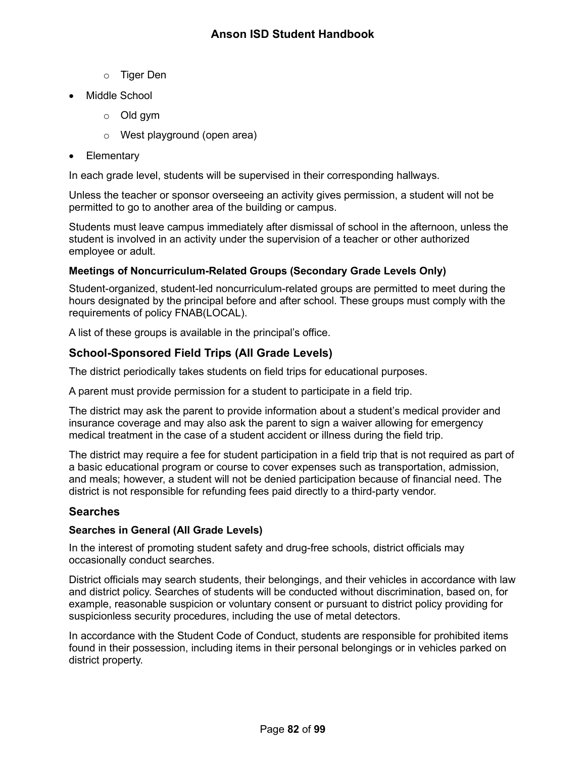- o Tiger Den
- Middle School
	- o Old gym
	- o West playground (open area)
- Elementary

In each grade level, students will be supervised in their corresponding hallways.

Unless the teacher or sponsor overseeing an activity gives permission, a student will not be permitted to go to another area of the building or campus.

Students must leave campus immediately after dismissal of school in the afternoon, unless the student is involved in an activity under the supervision of a teacher or other authorized employee or adult.

## **Meetings of Noncurriculum-Related Groups (Secondary Grade Levels Only)**

Student-organized, student-led noncurriculum-related groups are permitted to meet during the hours designated by the principal before and after school. These groups must comply with the requirements of policy FNAB(LOCAL).

A list of these groups is available in the principal's office.

## <span id="page-82-0"></span>**School-Sponsored Field Trips (All Grade Levels)**

The district periodically takes students on field trips for educational purposes.

A parent must provide permission for a student to participate in a field trip.

The district may ask the parent to provide information about a student's medical provider and insurance coverage and may also ask the parent to sign a waiver allowing for emergency medical treatment in the case of a student accident or illness during the field trip.

The district may require a fee for student participation in a field trip that is not required as part of a basic educational program or course to cover expenses such as transportation, admission, and meals; however, a student will not be denied participation because of financial need. The district is not responsible for refunding fees paid directly to a third-party vendor.

## **Searches**

#### **Searches in General (All Grade Levels)**

In the interest of promoting student safety and drug-free schools, district officials may occasionally conduct searches.

District officials may search students, their belongings, and their vehicles in accordance with law and district policy. Searches of students will be conducted without discrimination, based on, for example, reasonable suspicion or voluntary consent or pursuant to district policy providing for suspicionless security procedures, including the use of metal detectors.

In accordance with the Student Code of Conduct, students are responsible for prohibited items found in their possession, including items in their personal belongings or in vehicles parked on district property.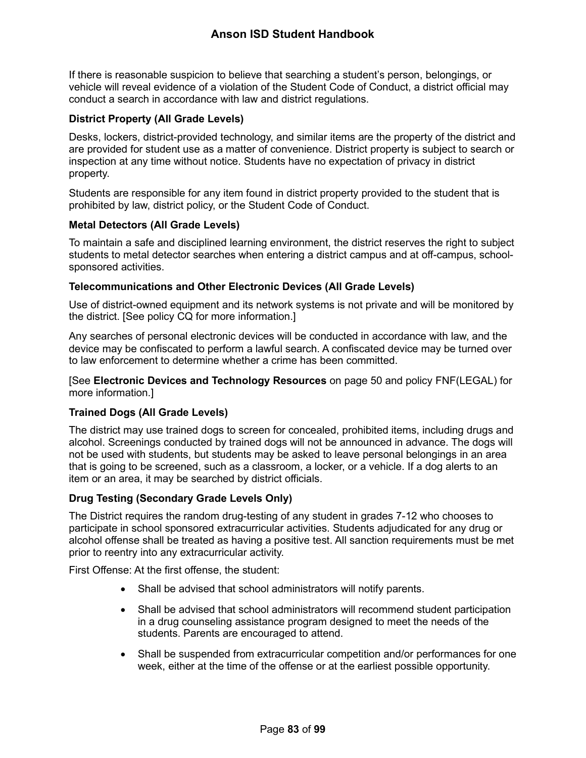If there is reasonable suspicion to believe that searching a student's person, belongings, or vehicle will reveal evidence of a violation of the Student Code of Conduct, a district official may conduct a search in accordance with law and district regulations.

#### **District Property (All Grade Levels)**

Desks, lockers, district-provided technology, and similar items are the property of the district and are provided for student use as a matter of convenience. District property is subject to search or inspection at any time without notice. Students have no expectation of privacy in district property.

Students are responsible for any item found in district property provided to the student that is prohibited by law, district policy, or the Student Code of Conduct.

#### **Metal Detectors (All Grade Levels)**

To maintain a safe and disciplined learning environment, the district reserves the right to subject students to metal detector searches when entering a district campus and at off-campus, schoolsponsored activities.

#### **Telecommunications and Other Electronic Devices (All Grade Levels)**

Use of district-owned equipment and its network systems is not private and will be monitored by the district. [See policy CQ for more information.]

Any searches of personal electronic devices will be conducted in accordance with law, and the device may be confiscated to perform a lawful search. A confiscated device may be turned over to law enforcement to determine whether a crime has been committed.

[See **Electronic Devices and Technology Resources** on page [50](#page-50-0) and policy FNF(LEGAL) for more information.]

## **Trained Dogs (All Grade Levels)**

The district may use trained dogs to screen for concealed, prohibited items, including drugs and alcohol. Screenings conducted by trained dogs will not be announced in advance. The dogs will not be used with students, but students may be asked to leave personal belongings in an area that is going to be screened, such as a classroom, a locker, or a vehicle. If a dog alerts to an item or an area, it may be searched by district officials.

## **Drug Testing (Secondary Grade Levels Only)**

The District requires the random drug-testing of any student in grades 7-12 who chooses to participate in school sponsored extracurricular activities. Students adjudicated for any drug or alcohol offense shall be treated as having a positive test. All sanction requirements must be met prior to reentry into any extracurricular activity.

First Offense: At the first offense, the student:

- Shall be advised that school administrators will notify parents.
- Shall be advised that school administrators will recommend student participation in a drug counseling assistance program designed to meet the needs of the students. Parents are encouraged to attend.
- Shall be suspended from extracurricular competition and/or performances for one week, either at the time of the offense or at the earliest possible opportunity.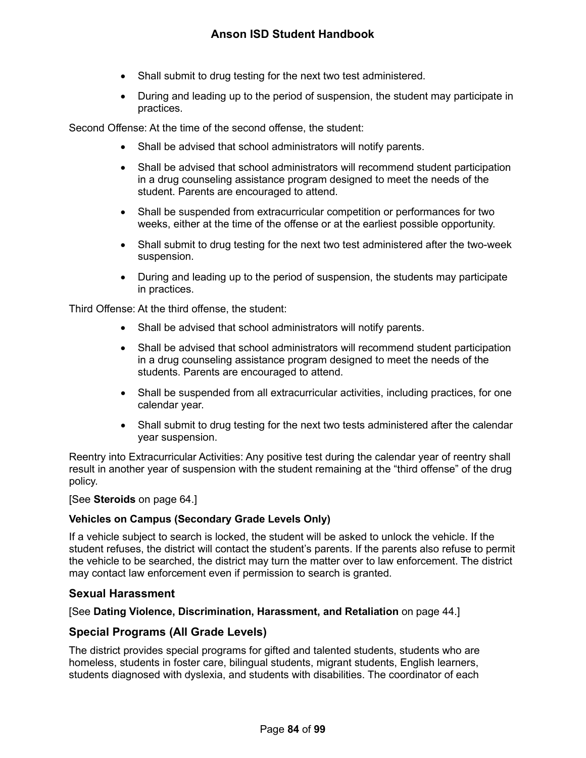- Shall submit to drug testing for the next two test administered.
- During and leading up to the period of suspension, the student may participate in practices.

Second Offense: At the time of the second offense, the student:

- Shall be advised that school administrators will notify parents.
- Shall be advised that school administrators will recommend student participation in a drug counseling assistance program designed to meet the needs of the student. Parents are encouraged to attend.
- Shall be suspended from extracurricular competition or performances for two weeks, either at the time of the offense or at the earliest possible opportunity.
- Shall submit to drug testing for the next two test administered after the two-week suspension.
- During and leading up to the period of suspension, the students may participate in practices.

Third Offense: At the third offense, the student:

- Shall be advised that school administrators will notify parents.
- Shall be advised that school administrators will recommend student participation in a drug counseling assistance program designed to meet the needs of the students. Parents are encouraged to attend.
- Shall be suspended from all extracurricular activities, including practices, for one calendar year.
- Shall submit to drug testing for the next two tests administered after the calendar year suspension.

Reentry into Extracurricular Activities: Any positive test during the calendar year of reentry shall result in another year of suspension with the student remaining at the "third offense" of the drug policy.

[See **Steroids** on page [64.](#page-64-0)]

## **Vehicles on Campus (Secondary Grade Levels Only)**

If a vehicle subject to search is locked, the student will be asked to unlock the vehicle. If the student refuses, the district will contact the student's parents. If the parents also refuse to permit the vehicle to be searched, the district may turn the matter over to law enforcement. The district may contact law enforcement even if permission to search is granted.

## **Sexual Harassment**

[See **Dating Violence, Discrimination, Harassment, and Retaliation** on page [44.](#page-44-0)]

## **Special Programs (All Grade Levels)**

The district provides special programs for gifted and talented students, students who are homeless, students in foster care, bilingual students, migrant students, English learners, students diagnosed with dyslexia, and students with disabilities. The coordinator of each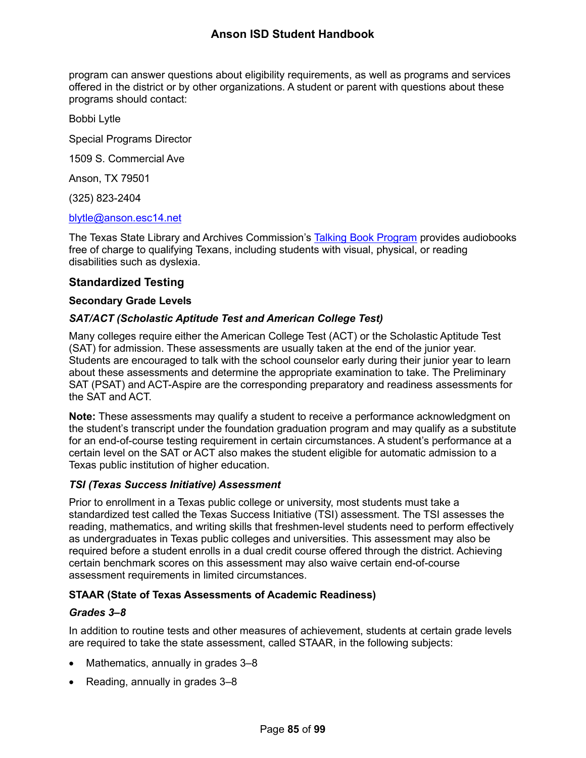program can answer questions about eligibility requirements, as well as programs and services offered in the district or by other organizations. A student or parent with questions about these programs should contact:

Bobbi Lytle

Special Programs Director

1509 S. Commercial Ave

Anson, TX 79501

(325) 823-2404

#### [blytle@anson.esc14.net](mailto:blytle@anson.esc14.net)

The Texas State Library and Archives Commission's Talking [Book Program](https://www.tsl.texas.gov/tbp/index.html) provides audiobooks free of charge to qualifying Texans, including students with visual, physical, or reading disabilities such as dyslexia.

#### <span id="page-85-0"></span>**Standardized Testing**

#### **Secondary Grade Levels**

## *SAT/ACT (Scholastic Aptitude Test and American College Test)*

Many colleges require either the American College Test (ACT) or the Scholastic Aptitude Test (SAT) for admission. These assessments are usually taken at the end of the junior year. Students are encouraged to talk with the school counselor early during their junior year to learn about these assessments and determine the appropriate examination to take. The Preliminary SAT (PSAT) and ACT-Aspire are the corresponding preparatory and readiness assessments for the SAT and ACT.

**Note:** These assessments may qualify a student to receive a performance acknowledgment on the student's transcript under the foundation graduation program and may qualify as a substitute for an end-of-course testing requirement in certain circumstances. A student's performance at a certain level on the SAT or ACT also makes the student eligible for automatic admission to a Texas public institution of higher education.

## *TSI (Texas Success Initiative) Assessment*

Prior to enrollment in a Texas public college or university, most students must take a standardized test called the Texas Success Initiative (TSI) assessment. The TSI assesses the reading, mathematics, and writing skills that freshmen-level students need to perform effectively as undergraduates in Texas public colleges and universities. This assessment may also be required before a student enrolls in a dual credit course offered through the district. Achieving certain benchmark scores on this assessment may also waive certain end-of-course assessment requirements in limited circumstances.

## **STAAR (State of Texas Assessments of Academic Readiness)**

## *Grades 3–8*

In addition to routine tests and other measures of achievement, students at certain grade levels are required to take the state assessment, called STAAR, in the following subjects:

- Mathematics, annually in grades 3–8
- Reading, annually in grades 3–8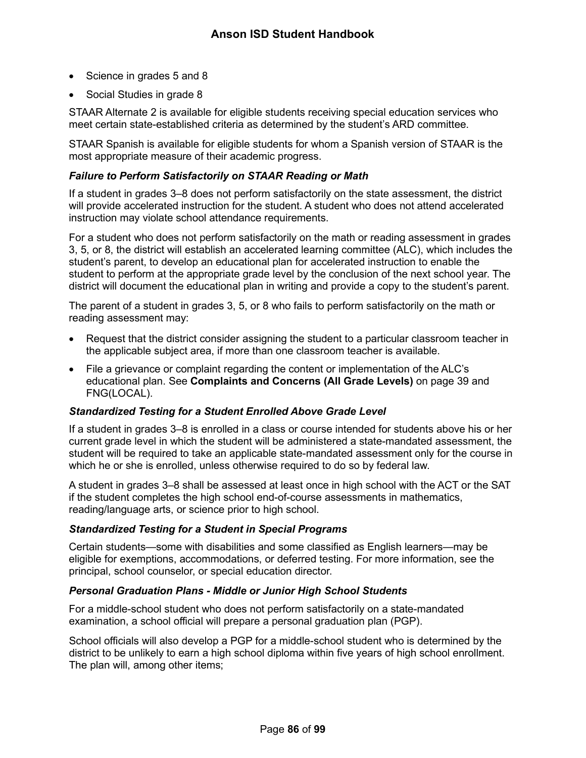- Science in grades 5 and 8
- Social Studies in grade 8

STAAR Alternate 2 is available for eligible students receiving special education services who meet certain state-established criteria as determined by the student's ARD committee.

STAAR Spanish is available for eligible students for whom a Spanish version of STAAR is the most appropriate measure of their academic progress.

### *Failure to Perform Satisfactorily on STAAR Reading or Math*

If a student in grades 3–8 does not perform satisfactorily on the state assessment, the district will provide accelerated instruction for the student. A student who does not attend accelerated instruction may violate school attendance requirements.

For a student who does not perform satisfactorily on the math or reading assessment in grades 3, 5, or 8, the district will establish an accelerated learning committee (ALC), which includes the student's parent, to develop an educational plan for accelerated instruction to enable the student to perform at the appropriate grade level by the conclusion of the next school year. The district will document the educational plan in writing and provide a copy to the student's parent.

The parent of a student in grades 3, 5, or 8 who fails to perform satisfactorily on the math or reading assessment may:

- Request that the district consider assigning the student to a particular classroom teacher in the applicable subject area, if more than one classroom teacher is available.
- File a grievance or complaint regarding the content or implementation of the ALC's educational plan. See **Complaints and Concerns (All Grade Levels)** on page [39](#page-39-1) and FNG(LOCAL).

#### *Standardized Testing for a Student Enrolled Above Grade Level*

If a student in grades 3–8 is enrolled in a class or course intended for students above his or her current grade level in which the student will be administered a state-mandated assessment, the student will be required to take an applicable state-mandated assessment only for the course in which he or she is enrolled, unless otherwise required to do so by federal law.

A student in grades 3–8 shall be assessed at least once in high school with the ACT or the SAT if the student completes the high school end-of-course assessments in mathematics, reading/language arts, or science prior to high school.

## *Standardized Testing for a Student in Special Programs*

Certain students—some with disabilities and some classified as English learners—may be eligible for exemptions, accommodations, or deferred testing. For more information, see the principal, school counselor, or special education director.

#### *Personal Graduation Plans - Middle or Junior High School Students*

For a middle-school student who does not perform satisfactorily on a state-mandated examination, a school official will prepare a personal graduation plan (PGP).

School officials will also develop a PGP for a middle-school student who is determined by the district to be unlikely to earn a high school diploma within five years of high school enrollment. The plan will, among other items;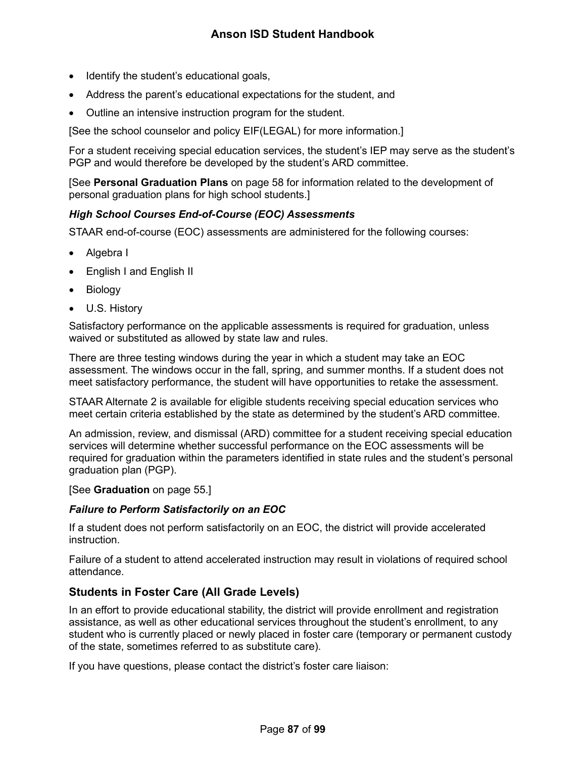- Identify the student's educational goals,
- Address the parent's educational expectations for the student, and
- Outline an intensive instruction program for the student.

[See the school counselor and policy EIF(LEGAL) for more information.]

For a student receiving special education services, the student's IEP may serve as the student's PGP and would therefore be developed by the student's ARD committee.

[See **Personal Graduation Plans** on page [58](#page-58-0) for information related to the development of personal graduation plans for high school students.]

## *High School Courses End-of-Course (EOC) Assessments*

STAAR end-of-course (EOC) assessments are administered for the following courses:

- Algebra I
- English I and English II
- **Biology**
- U.S. History

Satisfactory performance on the applicable assessments is required for graduation, unless waived or substituted as allowed by state law and rules.

There are three testing windows during the year in which a student may take an EOC assessment. The windows occur in the fall, spring, and summer months. If a student does not meet satisfactory performance, the student will have opportunities to retake the assessment.

STAAR Alternate 2 is available for eligible students receiving special education services who meet certain criteria established by the state as determined by the student's ARD committee.

An admission, review, and dismissal (ARD) committee for a student receiving special education services will determine whether successful performance on the EOC assessments will be required for graduation within the parameters identified in state rules and the student's personal graduation plan (PGP).

#### [See **Graduation** on page [55.](#page-55-0)]

## *Failure to Perform Satisfactorily on an EOC*

If a student does not perform satisfactorily on an EOC, the district will provide accelerated instruction.

Failure of a student to attend accelerated instruction may result in violations of required school attendance.

## **Students in Foster Care (All Grade Levels)**

In an effort to provide educational stability, the district will provide enrollment and registration assistance, as well as other educational services throughout the student's enrollment, to any student who is currently placed or newly placed in foster care (temporary or permanent custody of the state, sometimes referred to as substitute care).

If you have questions, please contact the district's foster care liaison: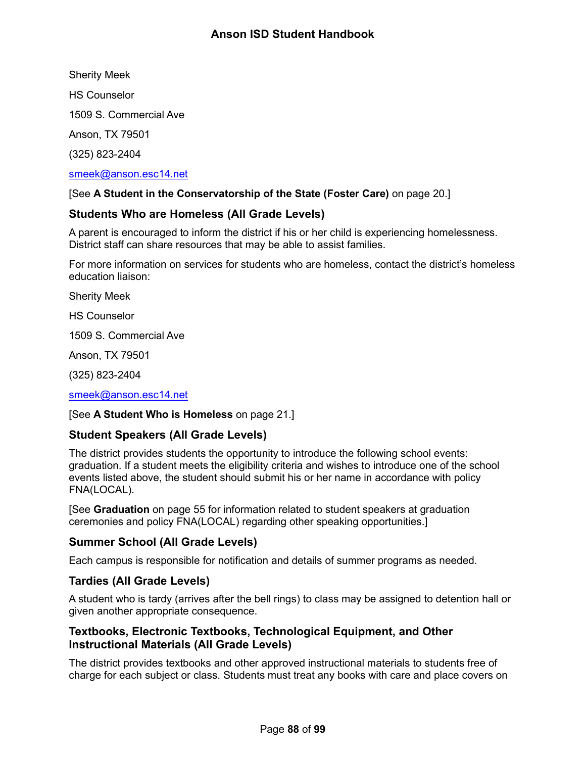Sherity Meek

HS Counselor

1509 S. Commercial Ave

Anson, TX 79501

(325) 823-2404

## [smeek@anson.esc14.net](mailto:smeek@anson.esc14.net)

## [See **A Student in the Conservatorship of the State (Foster Care)** on page [20.](#page-20-0)]

## **Students Who are Homeless (All Grade Levels)**

A parent is encouraged to inform the district if his or her child is experiencing homelessness. District staff can share resources that may be able to assist families.

For more information on services for students who are homeless, contact the district's homeless education liaison:

Sherity Meek

HS Counselor

1509 S. Commercial Ave

Anson, TX 79501

(325) 823-2404

[smeek@anson.esc14.net](mailto:smeek@anson.esc14.net)

## [See **A Student Who is Homeless** on page [21.](#page-21-0)]

## **Student Speakers (All Grade Levels)**

The district provides students the opportunity to introduce the following school events: graduation. If a student meets the eligibility criteria and wishes to introduce one of the school events listed above, the student should submit his or her name in accordance with policy FNA(LOCAL).

[See **Graduation** on page [55](#page-55-0) for information related to student speakers at graduation ceremonies and policy FNA(LOCAL) regarding other speaking opportunities.]

## **Summer School (All Grade Levels)**

Each campus is responsible for notification and details of summer programs as needed.

## **Tardies (All Grade Levels)**

A student who is tardy (arrives after the bell rings) to class may be assigned to detention hall or given another appropriate consequence.

## **Textbooks, Electronic Textbooks, Technological Equipment, and Other Instructional Materials (All Grade Levels)**

The district provides textbooks and other approved instructional materials to students free of charge for each subject or class. Students must treat any books with care and place covers on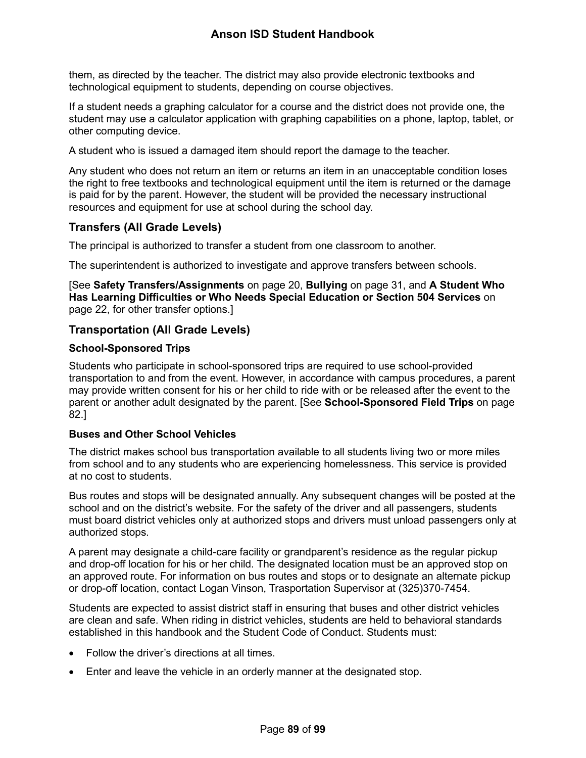them, as directed by the teacher. The district may also provide electronic textbooks and technological equipment to students, depending on course objectives.

If a student needs a graphing calculator for a course and the district does not provide one, the student may use a calculator application with graphing capabilities on a phone, laptop, tablet, or other computing device.

A student who is issued a damaged item should report the damage to the teacher.

Any student who does not return an item or returns an item in an unacceptable condition loses the right to free textbooks and technological equipment until the item is returned or the damage is paid for by the parent. However, the student will be provided the necessary instructional resources and equipment for use at school during the school day.

## **Transfers (All Grade Levels)**

The principal is authorized to transfer a student from one classroom to another.

The superintendent is authorized to investigate and approve transfers between schools.

[See **Safety Transfers/Assignments** on page [20,](#page-20-1) **Bullying** on page [31,](#page-31-0) and **A Student Who Has Learning Difficulties or Who Needs Special Education or Section 504 Services** on page [22,](#page-22-0) for other transfer options.]

## **Transportation (All Grade Levels)**

#### **School-Sponsored Trips**

Students who participate in school-sponsored trips are required to use school-provided transportation to and from the event. However, in accordance with campus procedures, a parent may provide written consent for his or her child to ride with or be released after the event to the parent or another adult designated by the parent. [See **School-Sponsored Field Trips** on page [82.](#page-82-0)]

## **Buses and Other School Vehicles**

The district makes school bus transportation available to all students living two or more miles from school and to any students who are experiencing homelessness. This service is provided at no cost to students.

Bus routes and stops will be designated annually. Any subsequent changes will be posted at the school and on the district's website. For the safety of the driver and all passengers, students must board district vehicles only at authorized stops and drivers must unload passengers only at authorized stops.

A parent may designate a child-care facility or grandparent's residence as the regular pickup and drop-off location for his or her child. The designated location must be an approved stop on an approved route. For information on bus routes and stops or to designate an alternate pickup or drop-off location, contact Logan Vinson, Trasportation Supervisor at (325)370-7454.

Students are expected to assist district staff in ensuring that buses and other district vehicles are clean and safe. When riding in district vehicles, students are held to behavioral standards established in this handbook and the Student Code of Conduct. Students must:

- Follow the driver's directions at all times.
- Enter and leave the vehicle in an orderly manner at the designated stop.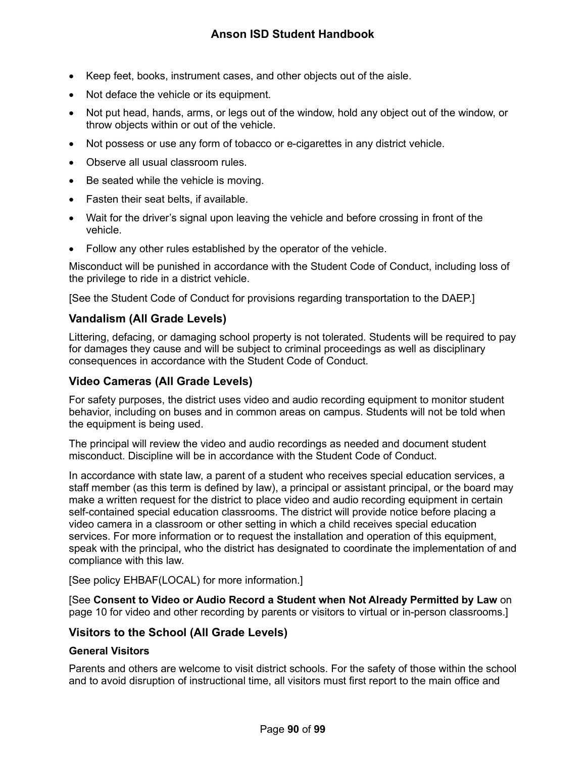- Keep feet, books, instrument cases, and other objects out of the aisle.
- Not deface the vehicle or its equipment.
- Not put head, hands, arms, or legs out of the window, hold any object out of the window, or throw objects within or out of the vehicle.
- Not possess or use any form of tobacco or e-cigarettes in any district vehicle.
- Observe all usual classroom rules.
- Be seated while the vehicle is moving.
- Fasten their seat belts, if available.
- Wait for the driver's signal upon leaving the vehicle and before crossing in front of the vehicle.
- Follow any other rules established by the operator of the vehicle.

Misconduct will be punished in accordance with the Student Code of Conduct, including loss of the privilege to ride in a district vehicle.

[See the Student Code of Conduct for provisions regarding transportation to the DAEP.]

## **Vandalism (All Grade Levels)**

Littering, defacing, or damaging school property is not tolerated. Students will be required to pay for damages they cause and will be subject to criminal proceedings as well as disciplinary consequences in accordance with the Student Code of Conduct.

## **Video Cameras (All Grade Levels)**

For safety purposes, the district uses video and audio recording equipment to monitor student behavior, including on buses and in common areas on campus. Students will not be told when the equipment is being used.

The principal will review the video and audio recordings as needed and document student misconduct. Discipline will be in accordance with the Student Code of Conduct.

In accordance with state law, a parent of a student who receives special education services, a staff member (as this term is defined by law), a principal or assistant principal, or the board may make a written request for the district to place video and audio recording equipment in certain self-contained special education classrooms. The district will provide notice before placing a video camera in a classroom or other setting in which a child receives special education services. For more information or to request the installation and operation of this equipment, speak with the principal, who the district has designated to coordinate the implementation of and compliance with this law.

[See policy EHBAF(LOCAL) for more information.]

[See **Consent to Video or Audio Record a Student when Not Already Permitted by Law** on page [10](#page-10-0) for video and other recording by parents or visitors to virtual or in-person classrooms.]

## **Visitors to the School (All Grade Levels)**

## **General Visitors**

Parents and others are welcome to visit district schools. For the safety of those within the school and to avoid disruption of instructional time, all visitors must first report to the main office and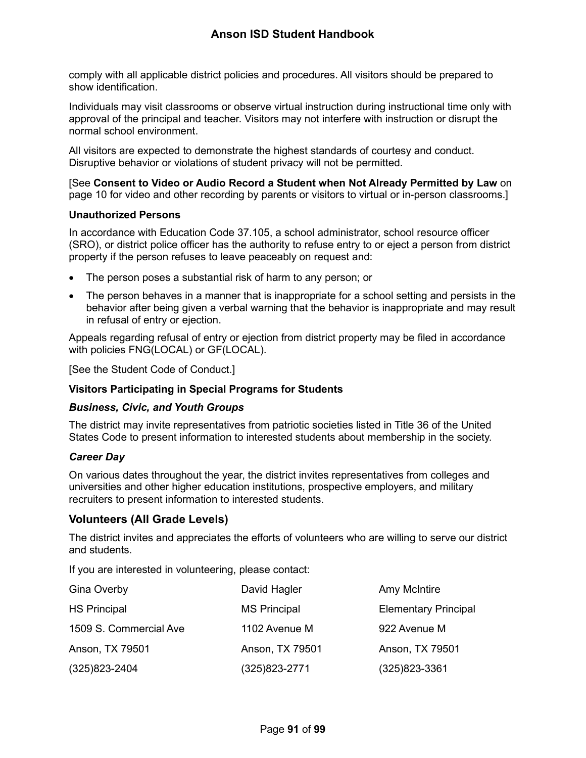comply with all applicable district policies and procedures. All visitors should be prepared to show identification.

Individuals may visit classrooms or observe virtual instruction during instructional time only with approval of the principal and teacher. Visitors may not interfere with instruction or disrupt the normal school environment.

All visitors are expected to demonstrate the highest standards of courtesy and conduct. Disruptive behavior or violations of student privacy will not be permitted.

[See **Consent to Video or Audio Record a Student when Not Already Permitted by Law** on page [10](#page-10-0) for video and other recording by parents or visitors to virtual or in-person classrooms.]

#### **Unauthorized Persons**

In accordance with Education Code 37.105, a school administrator, school resource officer (SRO), or district police officer has the authority to refuse entry to or eject a person from district property if the person refuses to leave peaceably on request and:

- The person poses a substantial risk of harm to any person; or
- The person behaves in a manner that is inappropriate for a school setting and persists in the behavior after being given a verbal warning that the behavior is inappropriate and may result in refusal of entry or ejection.

Appeals regarding refusal of entry or ejection from district property may be filed in accordance with policies FNG(LOCAL) or GF(LOCAL).

[See the Student Code of Conduct.]

## **Visitors Participating in Special Programs for Students**

#### *Business, Civic, and Youth Groups*

The district may invite representatives from patriotic societies listed in Title 36 of the United States Code to present information to interested students about membership in the society.

#### *Career Day*

On various dates throughout the year, the district invites representatives from colleges and universities and other higher education institutions, prospective employers, and military recruiters to present information to interested students.

## <span id="page-91-0"></span>**Volunteers (All Grade Levels)**

The district invites and appreciates the efforts of volunteers who are willing to serve our district and students.

If you are interested in volunteering, please contact:

| Gina Overby            | David Hagler        | Amy McIntire                |
|------------------------|---------------------|-----------------------------|
| <b>HS Principal</b>    | <b>MS Principal</b> | <b>Elementary Principal</b> |
| 1509 S. Commercial Ave | 1102 Avenue M       | 922 Avenue M                |
| Anson, TX 79501        | Anson, TX 79501     | Anson, TX 79501             |
| $(325)823 - 2404$      | (325)823-2771       | $(325)823 - 3361$           |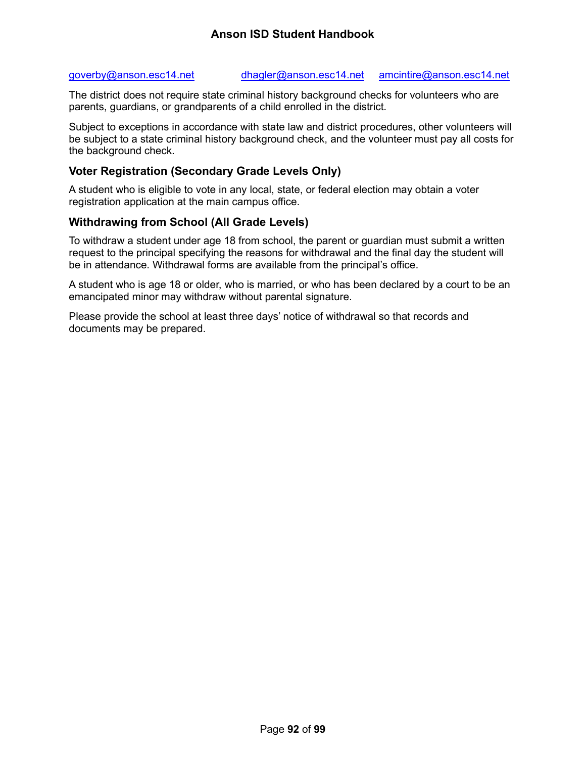#### [goverby@anson.esc14.net](mailto:goverby@anson.esc14.net) [dhagler@anson.esc14.net](mailto:dhagler@anson.esc14.net) [amcintire@anson.esc14.net](mailto:amcintire@anson.esc14.net)

The district does not require state criminal history background checks for volunteers who are parents, guardians, or grandparents of a child enrolled in the district.

Subject to exceptions in accordance with state law and district procedures, other volunteers will be subject to a state criminal history background check, and the volunteer must pay all costs for the background check.

## **Voter Registration (Secondary Grade Levels Only)**

A student who is eligible to vote in any local, state, or federal election may obtain a voter registration application at the main campus office.

## **Withdrawing from School (All Grade Levels)**

To withdraw a student under age 18 from school, the parent or guardian must submit a written request to the principal specifying the reasons for withdrawal and the final day the student will be in attendance. Withdrawal forms are available from the principal's office.

A student who is age 18 or older, who is married, or who has been declared by a court to be an emancipated minor may withdraw without parental signature.

Please provide the school at least three days' notice of withdrawal so that records and documents may be prepared.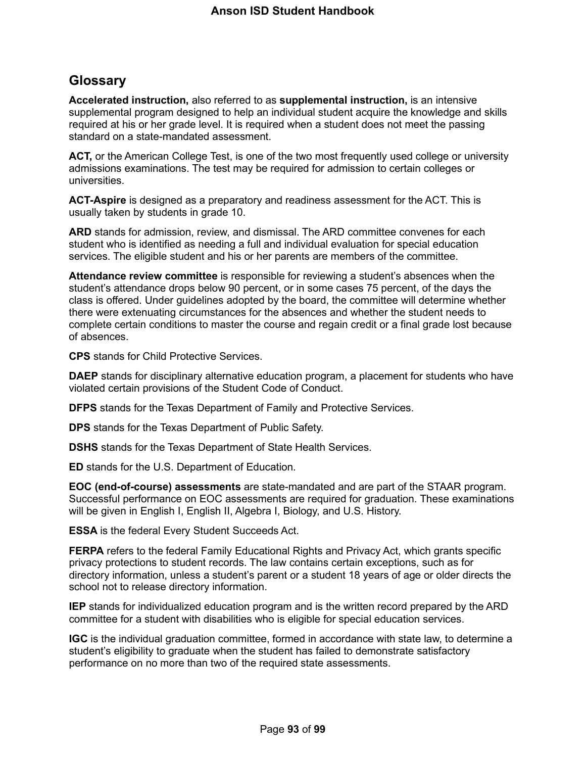# **Glossary**

**Accelerated instruction,** also referred to as **supplemental instruction,** is an intensive supplemental program designed to help an individual student acquire the knowledge and skills required at his or her grade level. It is required when a student does not meet the passing standard on a state-mandated assessment.

**ACT,** or the American College Test, is one of the two most frequently used college or university admissions examinations. The test may be required for admission to certain colleges or universities.

**ACT-Aspire** is designed as a preparatory and readiness assessment for the ACT. This is usually taken by students in grade 10.

**ARD** stands for admission, review, and dismissal. The ARD committee convenes for each student who is identified as needing a full and individual evaluation for special education services. The eligible student and his or her parents are members of the committee.

**Attendance review committee** is responsible for reviewing a student's absences when the student's attendance drops below 90 percent, or in some cases 75 percent, of the days the class is offered. Under guidelines adopted by the board, the committee will determine whether there were extenuating circumstances for the absences and whether the student needs to complete certain conditions to master the course and regain credit or a final grade lost because of absences.

**CPS** stands for Child Protective Services.

**DAEP** stands for disciplinary alternative education program, a placement for students who have violated certain provisions of the Student Code of Conduct.

**DFPS** stands for the Texas Department of Family and Protective Services.

**DPS** stands for the Texas Department of Public Safety.

**DSHS** stands for the Texas Department of State Health Services.

**ED** stands for the U.S. Department of Education.

**EOC (end-of-course) assessments** are state-mandated and are part of the STAAR program. Successful performance on EOC assessments are required for graduation. These examinations will be given in English I, English II, Algebra I, Biology, and U.S. History.

**ESSA** is the federal Every Student Succeeds Act.

**FERPA** refers to the federal Family Educational Rights and Privacy Act, which grants specific privacy protections to student records. The law contains certain exceptions, such as for directory information, unless a student's parent or a student 18 years of age or older directs the school not to release directory information.

**IEP** stands for individualized education program and is the written record prepared by the ARD committee for a student with disabilities who is eligible for special education services.

**IGC** is the individual graduation committee, formed in accordance with state law, to determine a student's eligibility to graduate when the student has failed to demonstrate satisfactory performance on no more than two of the required state assessments.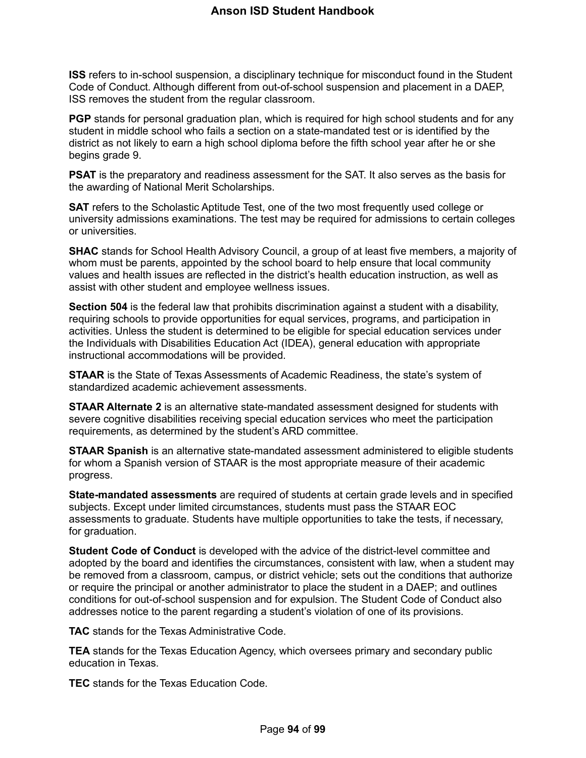**ISS** refers to in-school suspension, a disciplinary technique for misconduct found in the Student Code of Conduct. Although different from out-of-school suspension and placement in a DAEP, ISS removes the student from the regular classroom.

**PGP** stands for personal graduation plan, which is required for high school students and for any student in middle school who fails a section on a state-mandated test or is identified by the district as not likely to earn a high school diploma before the fifth school year after he or she begins grade 9.

**PSAT** is the preparatory and readiness assessment for the SAT. It also serves as the basis for the awarding of National Merit Scholarships.

**SAT** refers to the Scholastic Aptitude Test, one of the two most frequently used college or university admissions examinations. The test may be required for admissions to certain colleges or universities.

**SHAC** stands for School Health Advisory Council, a group of at least five members, a majority of whom must be parents, appointed by the school board to help ensure that local community values and health issues are reflected in the district's health education instruction, as well as assist with other student and employee wellness issues.

**Section 504** is the federal law that prohibits discrimination against a student with a disability, requiring schools to provide opportunities for equal services, programs, and participation in activities. Unless the student is determined to be eligible for special education services under the Individuals with Disabilities Education Act (IDEA), general education with appropriate instructional accommodations will be provided.

**STAAR** is the State of Texas Assessments of Academic Readiness, the state's system of standardized academic achievement assessments.

**STAAR Alternate 2** is an alternative state-mandated assessment designed for students with severe cognitive disabilities receiving special education services who meet the participation requirements, as determined by the student's ARD committee.

**STAAR Spanish** is an alternative state-mandated assessment administered to eligible students for whom a Spanish version of STAAR is the most appropriate measure of their academic progress.

**State-mandated assessments** are required of students at certain grade levels and in specified subjects. Except under limited circumstances, students must pass the STAAR EOC assessments to graduate. Students have multiple opportunities to take the tests, if necessary, for graduation.

**Student Code of Conduct** is developed with the advice of the district-level committee and adopted by the board and identifies the circumstances, consistent with law, when a student may be removed from a classroom, campus, or district vehicle; sets out the conditions that authorize or require the principal or another administrator to place the student in a DAEP; and outlines conditions for out-of-school suspension and for expulsion. The Student Code of Conduct also addresses notice to the parent regarding a student's violation of one of its provisions.

**TAC** stands for the Texas Administrative Code.

**TEA** stands for the Texas Education Agency, which oversees primary and secondary public education in Texas.

**TEC** stands for the Texas Education Code.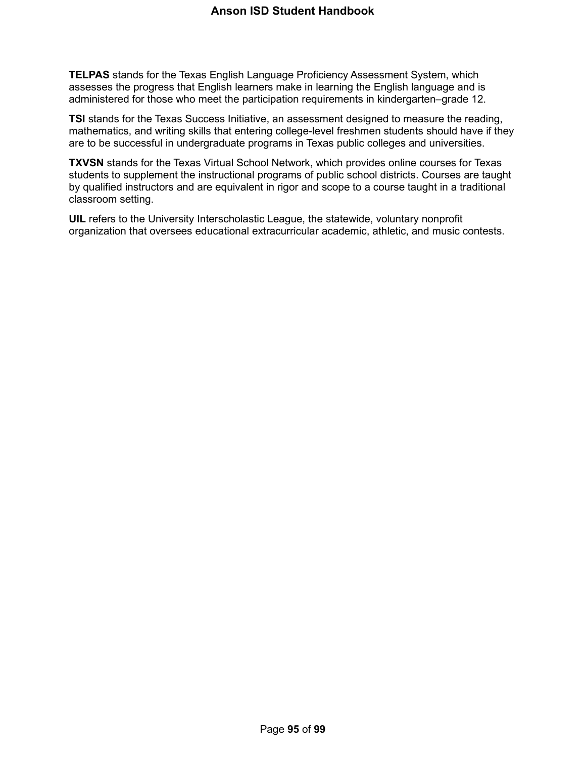**TELPAS** stands for the Texas English Language Proficiency Assessment System, which assesses the progress that English learners make in learning the English language and is administered for those who meet the participation requirements in kindergarten–grade 12.

**TSI** stands for the Texas Success Initiative, an assessment designed to measure the reading, mathematics, and writing skills that entering college-level freshmen students should have if they are to be successful in undergraduate programs in Texas public colleges and universities.

**TXVSN** stands for the Texas Virtual School Network, which provides online courses for Texas students to supplement the instructional programs of public school districts. Courses are taught by qualified instructors and are equivalent in rigor and scope to a course taught in a traditional classroom setting.

**UIL** refers to the University Interscholastic League, the statewide, voluntary nonprofit organization that oversees educational extracurricular academic, athletic, and music contests.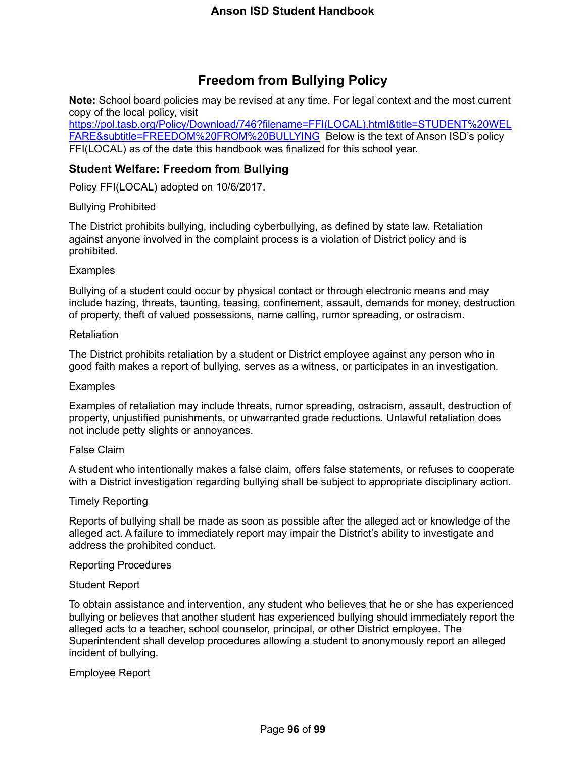# **Freedom from Bullying Policy**

**Note:** School board policies may be revised at any time. For legal context and the most current copy of the local policy, visit

[https://pol.tasb.org/Policy/Download/746?filename=FFI\(LOCAL\).html&title=STUDENT%20WEL](https://pol.tasb.org/Policy/Download/746?filename=FFI(LOCAL).html&title=STUDENT%20WELFARE&subtitle=FREEDOM%20FROM%20BULLYING) [FARE&subtitle=FREEDOM%20FROM%20BULLYING](https://pol.tasb.org/Policy/Download/746?filename=FFI(LOCAL).html&title=STUDENT%20WELFARE&subtitle=FREEDOM%20FROM%20BULLYING) Below is the text of Anson ISD's policy FFI(LOCAL) as of the date this handbook was finalized for this school year.

## **Student Welfare: Freedom from Bullying**

Policy FFI(LOCAL) adopted on 10/6/2017.

## Bullying Prohibited

The District prohibits bullying, including cyberbullying, as defined by state law. Retaliation against anyone involved in the complaint process is a violation of District policy and is prohibited.

## **Examples**

Bullying of a student could occur by physical contact or through electronic means and may include hazing, threats, taunting, teasing, confinement, assault, demands for money, destruction of property, theft of valued possessions, name calling, rumor spreading, or ostracism.

#### Retaliation

The District prohibits retaliation by a student or District employee against any person who in good faith makes a report of bullying, serves as a witness, or participates in an investigation.

#### **Examples**

Examples of retaliation may include threats, rumor spreading, ostracism, assault, destruction of property, unjustified punishments, or unwarranted grade reductions. Unlawful retaliation does not include petty slights or annoyances.

#### False Claim

A student who intentionally makes a false claim, offers false statements, or refuses to cooperate with a District investigation regarding bullying shall be subject to appropriate disciplinary action.

#### Timely Reporting

Reports of bullying shall be made as soon as possible after the alleged act or knowledge of the alleged act. A failure to immediately report may impair the District's ability to investigate and address the prohibited conduct.

#### Reporting Procedures

#### Student Report

To obtain assistance and intervention, any student who believes that he or she has experienced bullying or believes that another student has experienced bullying should immediately report the alleged acts to a teacher, school counselor, principal, or other District employee. The Superintendent shall develop procedures allowing a student to anonymously report an alleged incident of bullying.

Employee Report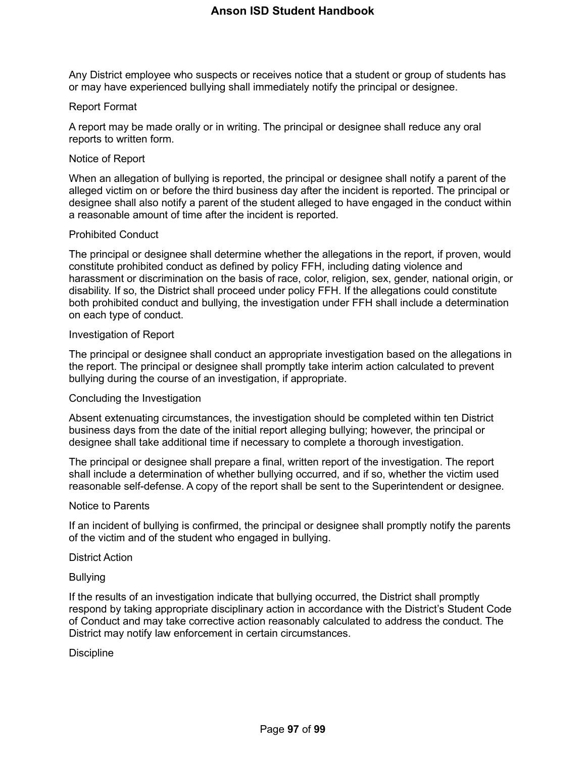Any District employee who suspects or receives notice that a student or group of students has or may have experienced bullying shall immediately notify the principal or designee.

#### Report Format

A report may be made orally or in writing. The principal or designee shall reduce any oral reports to written form.

#### Notice of Report

When an allegation of bullying is reported, the principal or designee shall notify a parent of the alleged victim on or before the third business day after the incident is reported. The principal or designee shall also notify a parent of the student alleged to have engaged in the conduct within a reasonable amount of time after the incident is reported.

#### Prohibited Conduct

The principal or designee shall determine whether the allegations in the report, if proven, would constitute prohibited conduct as defined by policy FFH, including dating violence and harassment or discrimination on the basis of race, color, religion, sex, gender, national origin, or disability. If so, the District shall proceed under policy FFH. If the allegations could constitute both prohibited conduct and bullying, the investigation under FFH shall include a determination on each type of conduct.

#### Investigation of Report

The principal or designee shall conduct an appropriate investigation based on the allegations in the report. The principal or designee shall promptly take interim action calculated to prevent bullying during the course of an investigation, if appropriate.

#### Concluding the Investigation

Absent extenuating circumstances, the investigation should be completed within ten District business days from the date of the initial report alleging bullying; however, the principal or designee shall take additional time if necessary to complete a thorough investigation.

The principal or designee shall prepare a final, written report of the investigation. The report shall include a determination of whether bullying occurred, and if so, whether the victim used reasonable self-defense. A copy of the report shall be sent to the Superintendent or designee.

#### Notice to Parents

If an incident of bullying is confirmed, the principal or designee shall promptly notify the parents of the victim and of the student who engaged in bullying.

#### District Action

#### Bullying

If the results of an investigation indicate that bullying occurred, the District shall promptly respond by taking appropriate disciplinary action in accordance with the District's Student Code of Conduct and may take corrective action reasonably calculated to address the conduct. The District may notify law enforcement in certain circumstances.

#### **Discipline**